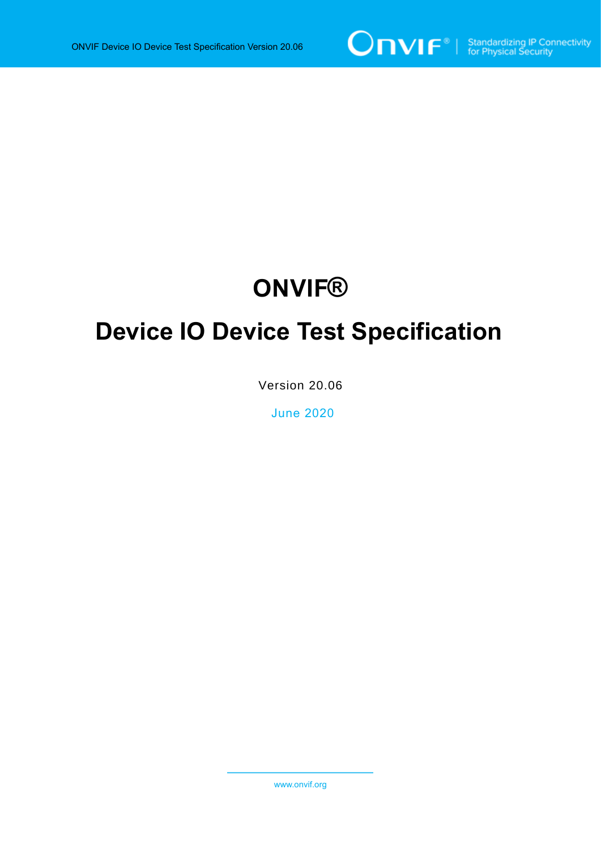

# **ONVIF®**

# **Device IO Device Test Specification**

Version 20.06

June 2020

www.onvif.org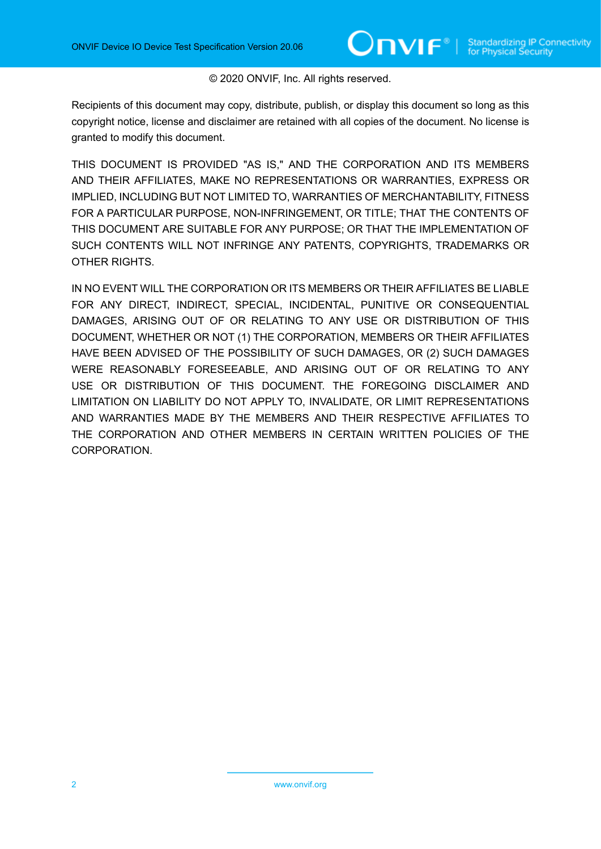#### © 2020 ONVIF, Inc. All rights reserved.

Recipients of this document may copy, distribute, publish, or display this document so long as this copyright notice, license and disclaimer are retained with all copies of the document. No license is granted to modify this document.

THIS DOCUMENT IS PROVIDED "AS IS," AND THE CORPORATION AND ITS MEMBERS AND THEIR AFFILIATES, MAKE NO REPRESENTATIONS OR WARRANTIES, EXPRESS OR IMPLIED, INCLUDING BUT NOT LIMITED TO, WARRANTIES OF MERCHANTABILITY, FITNESS FOR A PARTICULAR PURPOSE, NON-INFRINGEMENT, OR TITLE; THAT THE CONTENTS OF THIS DOCUMENT ARE SUITABLE FOR ANY PURPOSE; OR THAT THE IMPLEMENTATION OF SUCH CONTENTS WILL NOT INFRINGE ANY PATENTS, COPYRIGHTS, TRADEMARKS OR OTHER RIGHTS.

IN NO EVENT WILL THE CORPORATION OR ITS MEMBERS OR THEIR AFFILIATES BE LIABLE FOR ANY DIRECT, INDIRECT, SPECIAL, INCIDENTAL, PUNITIVE OR CONSEQUENTIAL DAMAGES, ARISING OUT OF OR RELATING TO ANY USE OR DISTRIBUTION OF THIS DOCUMENT, WHETHER OR NOT (1) THE CORPORATION, MEMBERS OR THEIR AFFILIATES HAVE BEEN ADVISED OF THE POSSIBILITY OF SUCH DAMAGES, OR (2) SUCH DAMAGES WERE REASONABLY FORESEEABLE, AND ARISING OUT OF OR RELATING TO ANY USE OR DISTRIBUTION OF THIS DOCUMENT. THE FOREGOING DISCLAIMER AND LIMITATION ON LIABILITY DO NOT APPLY TO, INVALIDATE, OR LIMIT REPRESENTATIONS AND WARRANTIES MADE BY THE MEMBERS AND THEIR RESPECTIVE AFFILIATES TO THE CORPORATION AND OTHER MEMBERS IN CERTAIN WRITTEN POLICIES OF THE CORPORATION.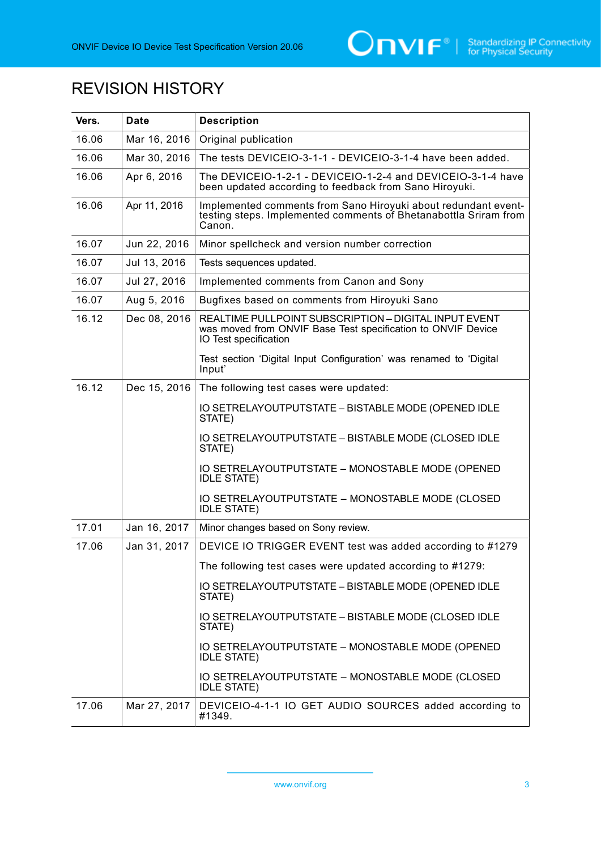

# REVISION HISTORY

| Vers. | <b>Date</b>  | <b>Description</b>                                                                                                                             |
|-------|--------------|------------------------------------------------------------------------------------------------------------------------------------------------|
| 16.06 | Mar 16, 2016 | Original publication                                                                                                                           |
| 16.06 | Mar 30, 2016 | The tests DEVICEIO-3-1-1 - DEVICEIO-3-1-4 have been added.                                                                                     |
| 16.06 | Apr 6, 2016  | The DEVICEIO-1-2-1 - DEVICEIO-1-2-4 and DEVICEIO-3-1-4 have<br>been updated according to feedback from Sano Hiroyuki.                          |
| 16.06 | Apr 11, 2016 | Implemented comments from Sano Hiroyuki about redundant event-<br>testing steps. Implemented comments of Bhetanabottla Sriram from<br>Canon.   |
| 16.07 | Jun 22, 2016 | Minor spellcheck and version number correction                                                                                                 |
| 16.07 | Jul 13, 2016 | Tests sequences updated.                                                                                                                       |
| 16.07 | Jul 27, 2016 | Implemented comments from Canon and Sony                                                                                                       |
| 16.07 | Aug 5, 2016  | Bugfixes based on comments from Hiroyuki Sano                                                                                                  |
| 16.12 | Dec 08, 2016 | REALTIME PULLPOINT SUBSCRIPTION - DIGITAL INPUT EVENT<br>was moved from ONVIF Base Test specification to ONVIF Device<br>IO Test specification |
|       |              | Test section 'Digital Input Configuration' was renamed to 'Digital<br>Input'                                                                   |
| 16.12 | Dec 15, 2016 | The following test cases were updated:                                                                                                         |
|       |              | IO SETRELAYOUTPUTSTATE - BISTABLE MODE (OPENED IDLE<br>STATE)                                                                                  |
|       |              | IO SETRELAYOUTPUTSTATE - BISTABLE MODE (CLOSED IDLE<br>STATE)                                                                                  |
|       |              | IO SETRELAYOUTPUTSTATE - MONOSTABLE MODE (OPENED<br><b>IDLE STATE)</b>                                                                         |
|       |              | IO SETRELAYOUTPUTSTATE - MONOSTABLE MODE (CLOSED<br><b>IDLE STATE)</b>                                                                         |
| 17.01 | Jan 16, 2017 | Minor changes based on Sony review.                                                                                                            |
| 17.06 | Jan 31, 2017 | DEVICE IO TRIGGER EVENT test was added according to #1279                                                                                      |
|       |              | The following test cases were updated according to #1279:                                                                                      |
|       |              | IO SETRELAYOUTPUTSTATE - BISTABLE MODE (OPENED IDLE<br>STATE)                                                                                  |
|       |              | IO SETRELAYOUTPUTSTATE - BISTABLE MODE (CLOSED IDLE<br>STATE)                                                                                  |
|       |              | IO SETRELAYOUTPUTSTATE - MONOSTABLE MODE (OPENED<br><b>IDLE STATE)</b>                                                                         |
|       |              | IO SETRELAYOUTPUTSTATE - MONOSTABLE MODE (CLOSED<br><b>IDLE STATE)</b>                                                                         |
| 17.06 | Mar 27, 2017 | DEVICEIO-4-1-1 IO GET AUDIO SOURCES added according to<br>#1349.                                                                               |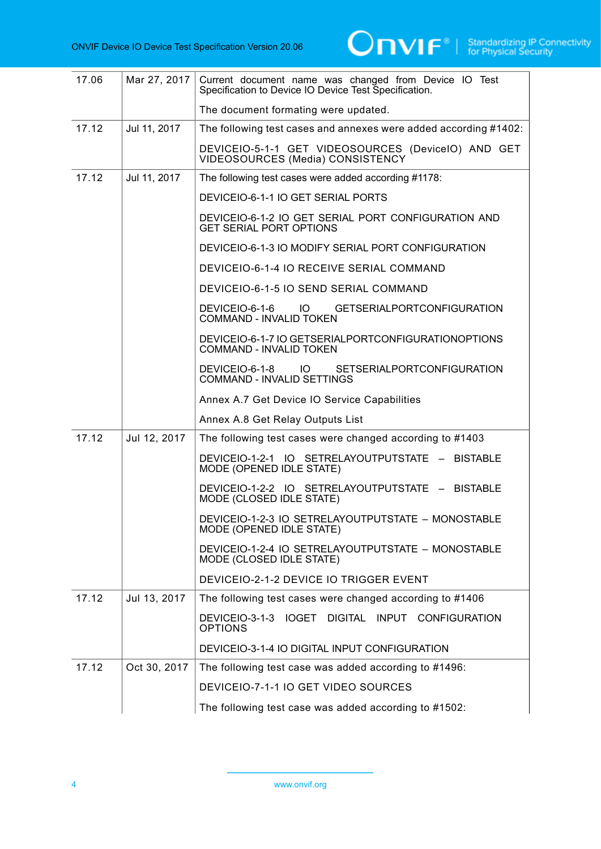

| 17.06 | Mar 27, 2017 | Current document name was changed from Device IO Test<br>Specification to Device IO Device Test Specification. |
|-------|--------------|----------------------------------------------------------------------------------------------------------------|
|       |              | The document formating were updated.                                                                           |
| 17.12 | Jul 11, 2017 | The following test cases and annexes were added according #1402:                                               |
|       |              | DEVICEIO-5-1-1 GET VIDEOSOURCES (DeviceIO) AND GET<br>VIDEOSOURCES (Media) CONSISTENCY                         |
| 17.12 | Jul 11, 2017 | The following test cases were added according #1178:                                                           |
|       |              | DEVICEIO-6-1-1 IO GET SERIAL PORTS                                                                             |
|       |              | DEVICEIO-6-1-2 IO GET SERIAL PORT CONFIGURATION AND<br><b>GET SERIAL PORT OPTIONS</b>                          |
|       |              | DEVICEIO-6-1-3 IO MODIFY SERIAL PORT CONFIGURATION                                                             |
|       |              | DEVICEIO-6-1-4 IO RECEIVE SERIAL COMMAND                                                                       |
|       |              | DEVICEIO-6-1-5 IO SEND SERIAL COMMAND                                                                          |
|       |              | <b>GETSERIALPORTCONFIGURATION</b><br>DEVICEIO-6-1-6 IO<br><b>COMMAND - INVALID TOKEN</b>                       |
|       |              | DEVICEIO-6-1-7 IO GETSERIALPORTCONFIGURATIONOPTIONS<br><b>COMMAND - INVALID TOKEN</b>                          |
|       |              | DEVICEIO-6-1-8 IO SETSERIALPORTCONFIGURATION<br><b>COMMAND - INVALID SETTINGS</b>                              |
|       |              | Annex A.7 Get Device IO Service Capabilities                                                                   |
|       |              | Annex A.8 Get Relay Outputs List                                                                               |
| 17.12 | Jul 12, 2017 | The following test cases were changed according to #1403                                                       |
|       |              | DEVICEIO-1-2-1 IO SETRELAYOUTPUTSTATE - BISTABLE<br>MODE (OPENED IDLE STATE)                                   |
|       |              | DEVICEIO-1-2-2 IO SETRELAYOUTPUTSTATE - BISTABLE<br>MODE (CLOSED IDLE STATE)                                   |
|       |              | DEVICEIO-1-2-3 IO SETRELAYOUTPUTSTATE - MONOSTABLE<br>MODE (OPENED IDLE STATE)                                 |
|       |              | DEVICEIO-1-2-4 IO SETRELAYOUTPUTSTATE - MONOSTABLE<br>MODE (CLOSED IDLE STATE)                                 |
|       |              | DEVICEIO-2-1-2 DEVICE IO TRIGGER EVENT                                                                         |
| 17.12 | Jul 13, 2017 | The following test cases were changed according to #1406                                                       |
|       |              | DEVICEIO-3-1-3 IOGET DIGITAL INPUT CONFIGURATION<br><b>OPTIONS</b>                                             |
|       |              | DEVICEIO-3-1-4 IO DIGITAL INPUT CONFIGURATION                                                                  |
| 17.12 | Oct 30, 2017 | The following test case was added according to #1496:                                                          |
|       |              | DEVICEIO-7-1-1 IO GET VIDEO SOURCES                                                                            |
|       |              | The following test case was added according to #1502:                                                          |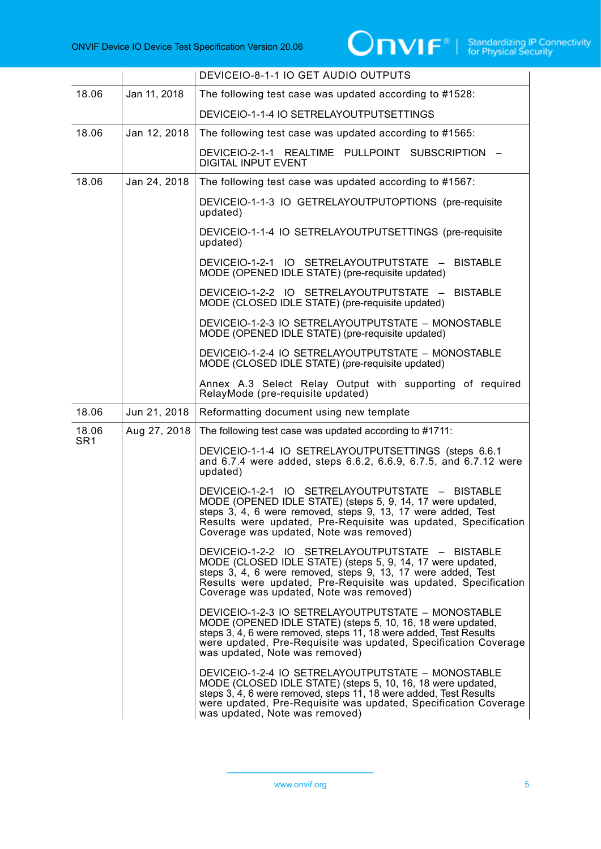|                          |              | DEVICEIO-8-1-1 IO GET AUDIO OUTPUTS                                                                                                                                                                                                                                                         |
|--------------------------|--------------|---------------------------------------------------------------------------------------------------------------------------------------------------------------------------------------------------------------------------------------------------------------------------------------------|
| 18.06                    | Jan 11, 2018 | The following test case was updated according to #1528:                                                                                                                                                                                                                                     |
|                          |              | DEVICEIO-1-1-4 IO SETRELAYOUTPUTSETTINGS                                                                                                                                                                                                                                                    |
| 18.06                    | Jan 12, 2018 | The following test case was updated according to #1565:                                                                                                                                                                                                                                     |
|                          |              | DEVICEIO-2-1-1 REALTIME PULLPOINT SUBSCRIPTION<br><b>DIGITAL INPUT EVENT</b>                                                                                                                                                                                                                |
| 18.06                    | Jan 24, 2018 | The following test case was updated according to #1567:                                                                                                                                                                                                                                     |
|                          |              | DEVICEIO-1-1-3 IO GETRELAYOUTPUTOPTIONS (pre-requisite<br>updated)                                                                                                                                                                                                                          |
|                          |              | DEVICEIO-1-1-4 IO SETRELAYOUTPUTSETTINGS (pre-requisite<br>updated)                                                                                                                                                                                                                         |
|                          |              | DEVICEIO-1-2-1 IO SETRELAYOUTPUTSTATE - BISTABLE<br>MODE (OPENED IDLE STATE) (pre-requisite updated)                                                                                                                                                                                        |
|                          |              | DEVICEIO-1-2-2 IO SETRELAYOUTPUTSTATE - BISTABLE<br>MODE (CLOSED IDLE STATE) (pre-requisite updated)                                                                                                                                                                                        |
|                          |              | DEVICEIO-1-2-3 IO SETRELAYOUTPUTSTATE - MONOSTABLE<br>MODE (OPENED IDLE STATE) (pre-requisite updated)                                                                                                                                                                                      |
|                          |              | DEVICEIO-1-2-4 IO SETRELAYOUTPUTSTATE - MONOSTABLE<br>MODE (CLOSED IDLE STATE) (pre-requisite updated)                                                                                                                                                                                      |
|                          |              | Annex A.3 Select Relay Output with supporting of required<br>RelayMode (pre-requisite updated)                                                                                                                                                                                              |
| 18.06                    | Jun 21, 2018 | Reformatting document using new template                                                                                                                                                                                                                                                    |
| 18.06<br>SR <sub>1</sub> | Aug 27, 2018 | The following test case was updated according to #1711:                                                                                                                                                                                                                                     |
|                          |              | DEVICEIO-1-1-4 IO SETRELAYOUTPUTSETTINGS (steps 6.6.1<br>and 6.7.4 were added, steps 6.6.2, 6.6.9, 6.7.5, and 6.7.12 were<br>updated)                                                                                                                                                       |
|                          |              | DEVICEIO-1-2-1 IO SETRELAYOUTPUTSTATE - BISTABLE<br>MODE (OPENED IDLE STATE) (steps 5, 9, 14, 17 were updated,<br>steps 3, 4, 6 were removed, steps 9, 13, 17 were added, Test<br>Results were updated, Pre-Requisite was updated, Specification<br>Coverage was updated, Note was removed) |
|                          |              | DEVICEIO-1-2-2 IO SETRELAYOUTPUTSTATE - BISTABLE<br>MODE (CLOSED IDLE STATE) (steps 5, 9, 14, 17 were updated,<br>steps 3, 4, 6 were removed, steps 9, 13, 17 were added, Test<br>Results were updated, Pre-Requisite was updated, Specification<br>Coverage was updated, Note was removed) |
|                          |              | DEVICEIO-1-2-3 IO SETRELAYOUTPUTSTATE - MONOSTABLE<br>MODE (OPENED IDLE STATE) (steps 5, 10, 16, 18 were updated,<br>steps 3, 4, 6 were removed, steps 11, 18 were added, Test Results<br>were updated, Pre-Requisite was updated, Specification Coverage<br>was updated, Note was removed) |
|                          |              | DEVICEIO-1-2-4 IO SETRELAYOUTPUTSTATE - MONOSTABLE<br>MODE (CLOSED IDLE STATE) (steps 5, 10, 16, 18 were updated,<br>steps 3, 4, 6 were removed, steps 11, 18 were added, Test Results<br>were updated, Pre-Requisite was updated, Specification Coverage<br>was updated, Note was removed) |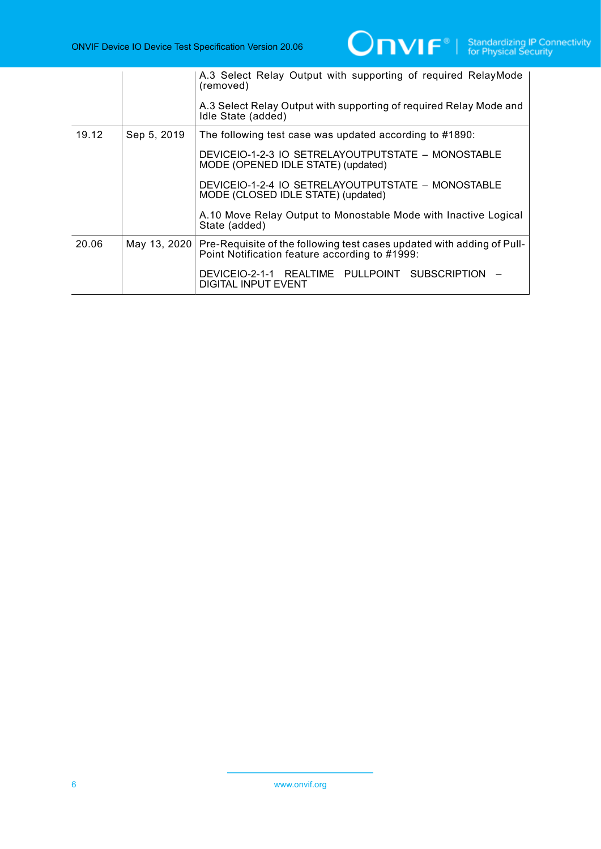

|       |                                                         | A.3 Select Relay Output with supporting of required RelayMode<br>(removed)                                               |
|-------|---------------------------------------------------------|--------------------------------------------------------------------------------------------------------------------------|
|       |                                                         | A.3 Select Relay Output with supporting of required Relay Mode and<br>Idle State (added)                                 |
| 19.12 | The following test case was updated according to #1890: |                                                                                                                          |
|       |                                                         | DEVICEIO-1-2-3 IO SETRELAYOUTPUTSTATE - MONOSTABLE<br>MODE (OPENED IDLE STATE) (updated)                                 |
|       |                                                         | DEVICEIO-1-2-4 IO SETRELAYOUTPUTSTATE - MONOSTABLE<br>MODE (CLOSED IDLE STATE) (updated)                                 |
|       |                                                         | A.10 Move Relay Output to Monostable Mode with Inactive Logical<br>State (added)                                         |
| 20.06 | May 13, 2020                                            | Pre-Requisite of the following test cases updated with adding of Pull-<br>Point Notification feature according to #1999: |
|       |                                                         | DEVICEIO-2-1-1 REALTIME PULLPOINT SUBSCRIPTION<br><b>DIGITAL INPUT EVENT</b>                                             |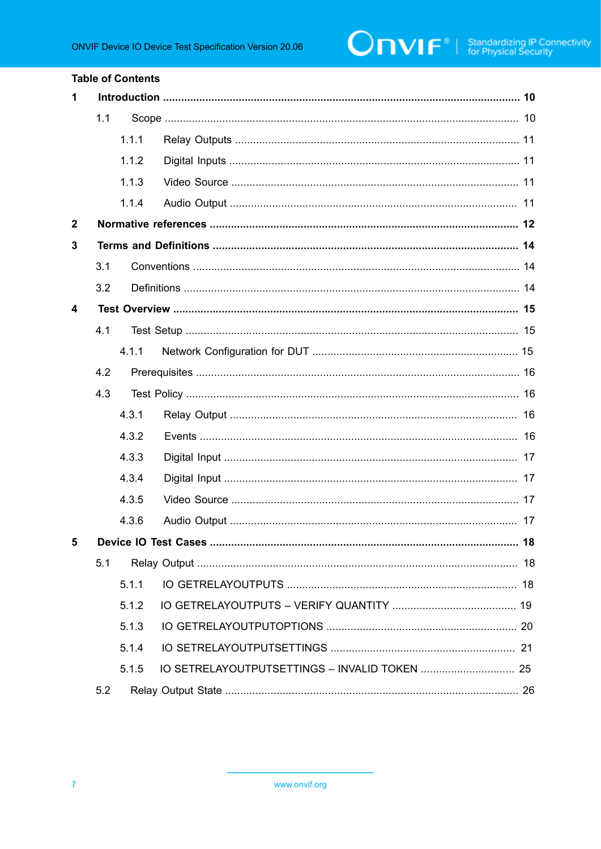#### **Table of Contents** 1  $1.1$  $1.1.1$  $1.1.2$  $1.1.3$  $1.1.4$  $\overline{2}$ 3  $3.1$  $3.2$  $\overline{\mathbf{4}}$  $4.1$  $4.1.1$  $4.2$ 43  $4.3.1$  $4.3.2$  $4.3.3$ 4.3.4 4.3.5 4.3.6 5  $5.1$  $511$  $5.1.2$  $513$  $514$ IO SETREI AYOUTPUTSETTINGS - INVALID TOKEN 25  $515$  $5.2$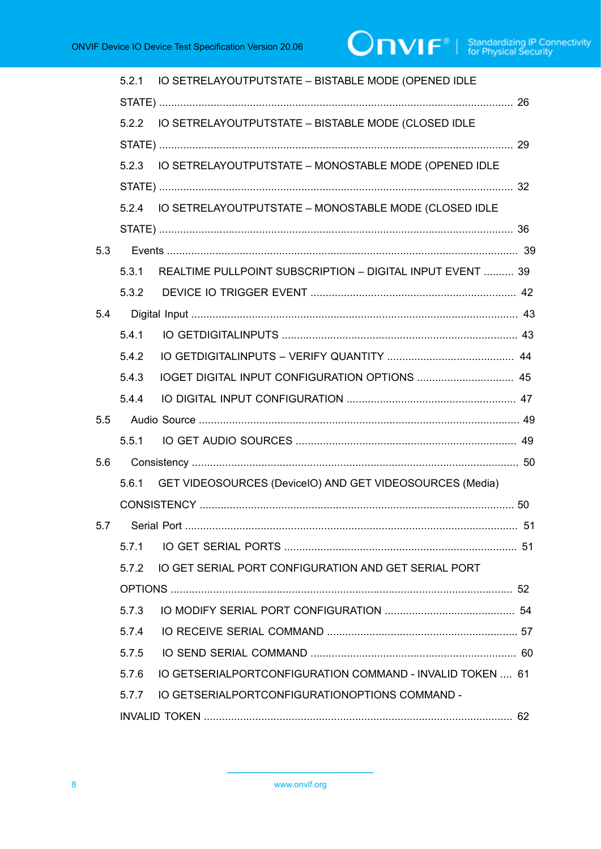# $\boxed{\color{red} \bigcap \mathbf{VIF}^{\text{@}} \mid \; \substack{\text{Standardizing IP Connectivity} \\ \text{for Physical Security}}}$

|     |       | 5.2.1 IO SETRELAYOUTPUTSTATE - BISTABLE MODE (OPENED IDLE   |  |
|-----|-------|-------------------------------------------------------------|--|
|     |       |                                                             |  |
|     |       | 5.2.2 IO SETRELAYOUTPUTSTATE - BISTABLE MODE (CLOSED IDLE   |  |
|     |       |                                                             |  |
|     |       | 5.2.3 IO SETRELAYOUTPUTSTATE - MONOSTABLE MODE (OPENED IDLE |  |
|     |       |                                                             |  |
|     |       | 5.2.4 IO SETRELAYOUTPUTSTATE - MONOSTABLE MODE (CLOSED IDLE |  |
|     |       |                                                             |  |
| 5.3 |       |                                                             |  |
|     | 5.3.1 | REALTIME PULLPOINT SUBSCRIPTION - DIGITAL INPUT EVENT  39   |  |
|     |       |                                                             |  |
| 5.4 |       |                                                             |  |
|     | 5.4.1 |                                                             |  |
|     | 5.4.2 |                                                             |  |
|     | 5.4.3 |                                                             |  |
|     | 5.4.4 |                                                             |  |
| 5.5 |       |                                                             |  |
|     |       |                                                             |  |
| 5.6 |       |                                                             |  |
|     | 5.6.1 | GET VIDEOSOURCES (DeviceIO) AND GET VIDEOSOURCES (Media)    |  |
|     |       |                                                             |  |
|     |       |                                                             |  |
|     | 5.7.1 |                                                             |  |
|     | 572   | IO GET SERIAL PORT CONFIGURATION AND GET SERIAL PORT        |  |
|     |       |                                                             |  |
|     | 5.7.3 |                                                             |  |
|     | 5.7.4 |                                                             |  |
|     | 5.7.5 |                                                             |  |
|     | 5.7.6 | IO GETSERIALPORTCONFIGURATION COMMAND - INVALID TOKEN  61   |  |
|     | 5.7.7 | IO GETSERIALPORTCONFIGURATIONOPTIONS COMMAND -              |  |
|     |       |                                                             |  |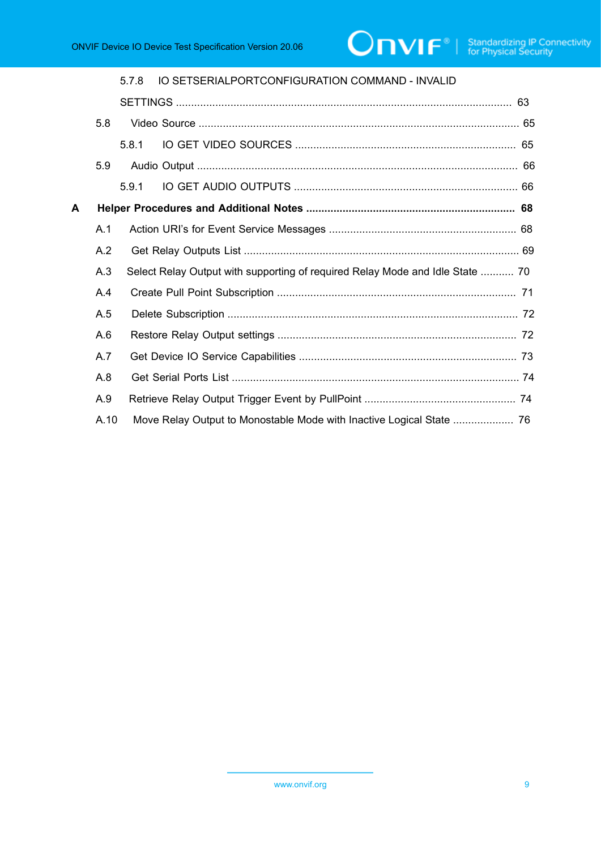|   |            | 5.7.8 | IO SETSERIALPORTCONFIGURATION COMMAND - INVALID                               |  |
|---|------------|-------|-------------------------------------------------------------------------------|--|
|   |            |       |                                                                               |  |
|   | 5.8        |       |                                                                               |  |
|   |            | 5.8.1 |                                                                               |  |
|   | 5.9        |       |                                                                               |  |
|   |            | 5.9.1 |                                                                               |  |
| A |            |       |                                                                               |  |
|   | A.1        |       |                                                                               |  |
|   | A.2        |       |                                                                               |  |
|   | A.3        |       | Select Relay Output with supporting of required Relay Mode and Idle State  70 |  |
|   | A.4        |       |                                                                               |  |
|   | A.5<br>A.6 |       |                                                                               |  |
|   |            |       |                                                                               |  |
|   | A.7        |       |                                                                               |  |
|   | A.8        |       |                                                                               |  |
|   | A.9        |       |                                                                               |  |
|   | A.10       |       |                                                                               |  |
|   |            |       |                                                                               |  |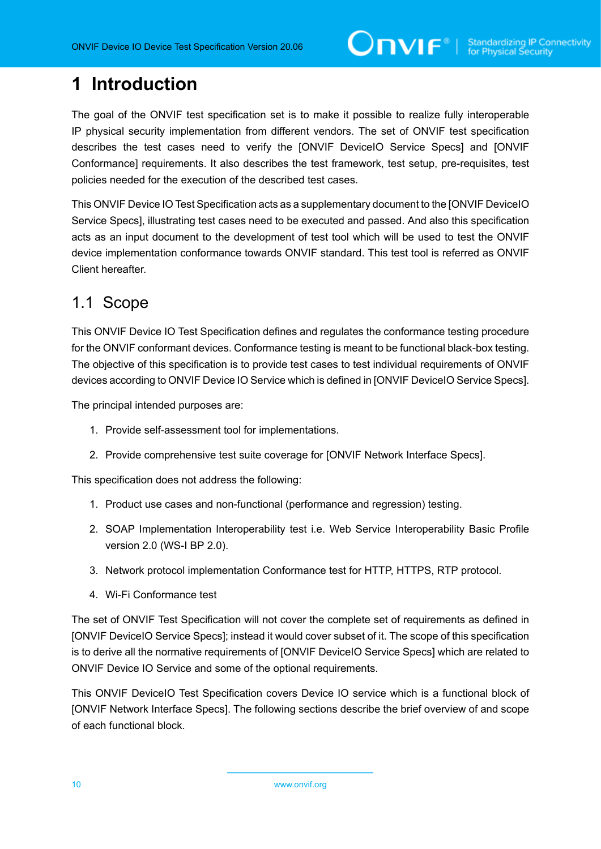# <span id="page-9-0"></span>**1 Introduction**

The goal of the ONVIF test specification set is to make it possible to realize fully interoperable IP physical security implementation from different vendors. The set of ONVIF test specification describes the test cases need to verify the [ONVIF DeviceIO Service Specs] and [ONVIF Conformance] requirements. It also describes the test framework, test setup, pre-requisites, test policies needed for the execution of the described test cases.

This ONVIF Device IO Test Specification acts as a supplementary document to the [ONVIF DeviceIO Service Specs], illustrating test cases need to be executed and passed. And also this specification acts as an input document to the development of test tool which will be used to test the ONVIF device implementation conformance towards ONVIF standard. This test tool is referred as ONVIF Client hereafter.

## <span id="page-9-1"></span>1.1 Scope

This ONVIF Device IO Test Specification defines and regulates the conformance testing procedure for the ONVIF conformant devices. Conformance testing is meant to be functional black-box testing. The objective of this specification is to provide test cases to test individual requirements of ONVIF devices according to ONVIF Device IO Service which is defined in [ONVIF DeviceIO Service Specs].

The principal intended purposes are:

- 1. Provide self-assessment tool for implementations.
- 2. Provide comprehensive test suite coverage for [ONVIF Network Interface Specs].

This specification does not address the following:

- 1. Product use cases and non-functional (performance and regression) testing.
- 2. SOAP Implementation Interoperability test i.e. Web Service Interoperability Basic Profile version 2.0 (WS-I BP 2.0).
- 3. Network protocol implementation Conformance test for HTTP, HTTPS, RTP protocol.
- 4. Wi-Fi Conformance test

The set of ONVIF Test Specification will not cover the complete set of requirements as defined in [ONVIF DeviceIO Service Specs]; instead it would cover subset of it. The scope of this specification is to derive all the normative requirements of [ONVIF DeviceIO Service Specs] which are related to ONVIF Device IO Service and some of the optional requirements.

This ONVIF DeviceIO Test Specification covers Device IO service which is a functional block of [ONVIF Network Interface Specs]. The following sections describe the brief overview of and scope of each functional block.

10 www.onvif.org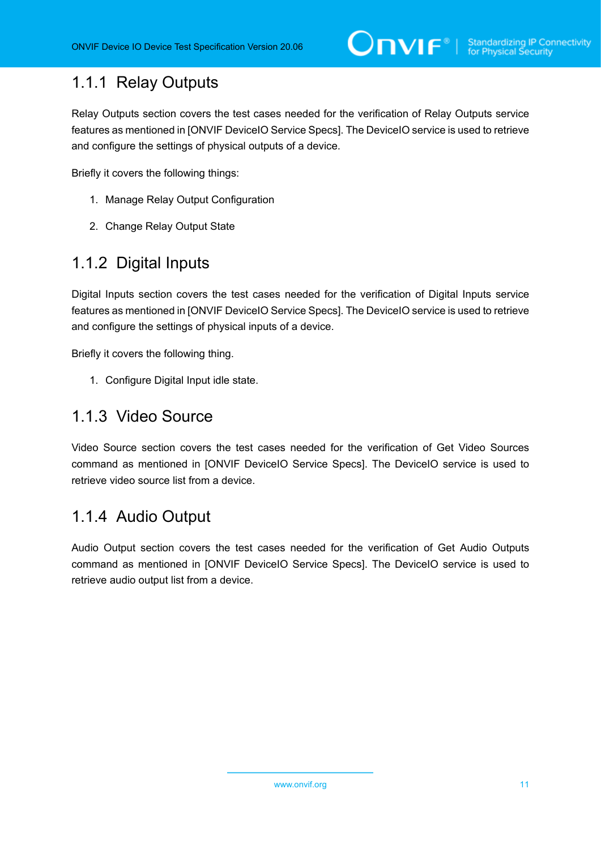# <span id="page-10-0"></span>1.1.1 Relay Outputs

Relay Outputs section covers the test cases needed for the verification of Relay Outputs service features as mentioned in [ONVIF DeviceIO Service Specs]. The DeviceIO service is used to retrieve and configure the settings of physical outputs of a device.

Briefly it covers the following things:

- 1. Manage Relay Output Configuration
- 2. Change Relay Output State

## <span id="page-10-1"></span>1.1.2 Digital Inputs

Digital Inputs section covers the test cases needed for the verification of Digital Inputs service features as mentioned in [ONVIF DeviceIO Service Specs]. The DeviceIO service is used to retrieve and configure the settings of physical inputs of a device.

Briefly it covers the following thing.

1. Configure Digital Input idle state.

### <span id="page-10-2"></span>1.1.3 Video Source

Video Source section covers the test cases needed for the verification of Get Video Sources command as mentioned in [ONVIF DeviceIO Service Specs]. The DeviceIO service is used to retrieve video source list from a device.

### <span id="page-10-3"></span>1.1.4 Audio Output

Audio Output section covers the test cases needed for the verification of Get Audio Outputs command as mentioned in [ONVIF DeviceIO Service Specs]. The DeviceIO service is used to retrieve audio output list from a device.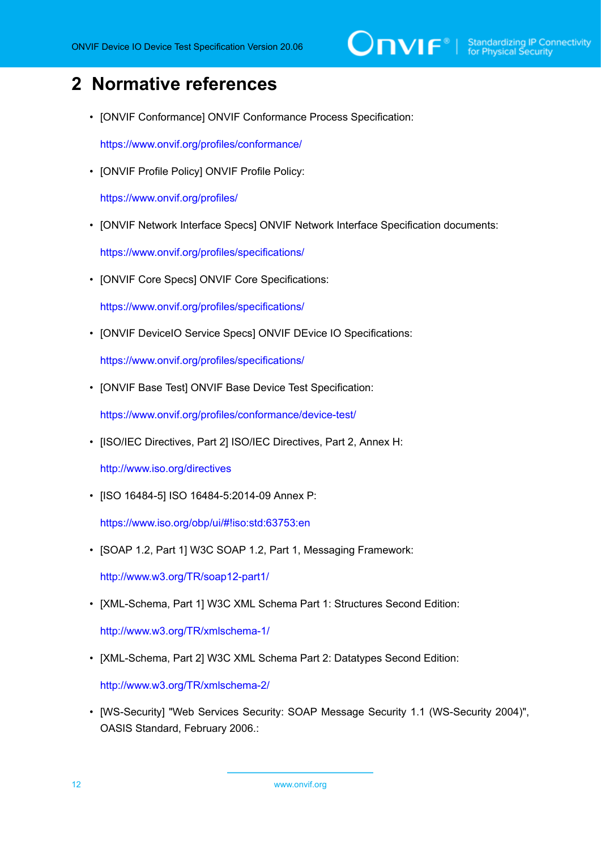# $\sum_{\text{ref}}$   $\sum_{\text{ref}}$   $\sum_{\text{ref}}$  Standardizing IP Connectivity

# <span id="page-11-0"></span>**2 Normative references**

• [ONVIF Conformance] ONVIF Conformance Process Specification:

<https://www.onvif.org/profiles/conformance/>

• [ONVIF Profile Policy] ONVIF Profile Policy:

<https://www.onvif.org/profiles/>

• [ONVIF Network Interface Specs] ONVIF Network Interface Specification documents:

<https://www.onvif.org/profiles/specifications/>

• [ONVIF Core Specs] ONVIF Core Specifications:

<https://www.onvif.org/profiles/specifications/>

• [ONVIF DeviceIO Service Specs] ONVIF DEvice IO Specifications:

<https://www.onvif.org/profiles/specifications/>

• [ONVIF Base Test] ONVIF Base Device Test Specification:

<https://www.onvif.org/profiles/conformance/device-test/>

• [ISO/IEC Directives, Part 2] ISO/IEC Directives, Part 2, Annex H:

<http://www.iso.org/directives>

• [ISO 16484-5] ISO 16484-5:2014-09 Annex P:

<https://www.iso.org/obp/ui/#!iso:std:63753:en>

• [SOAP 1.2, Part 1] W3C SOAP 1.2, Part 1, Messaging Framework:

<http://www.w3.org/TR/soap12-part1/>

• [XML-Schema, Part 1] W3C XML Schema Part 1: Structures Second Edition:

<http://www.w3.org/TR/xmlschema-1/>

• [XML-Schema, Part 2] W3C XML Schema Part 2: Datatypes Second Edition:

<http://www.w3.org/TR/xmlschema-2/>

• [WS-Security] "Web Services Security: SOAP Message Security 1.1 (WS-Security 2004)", OASIS Standard, February 2006.: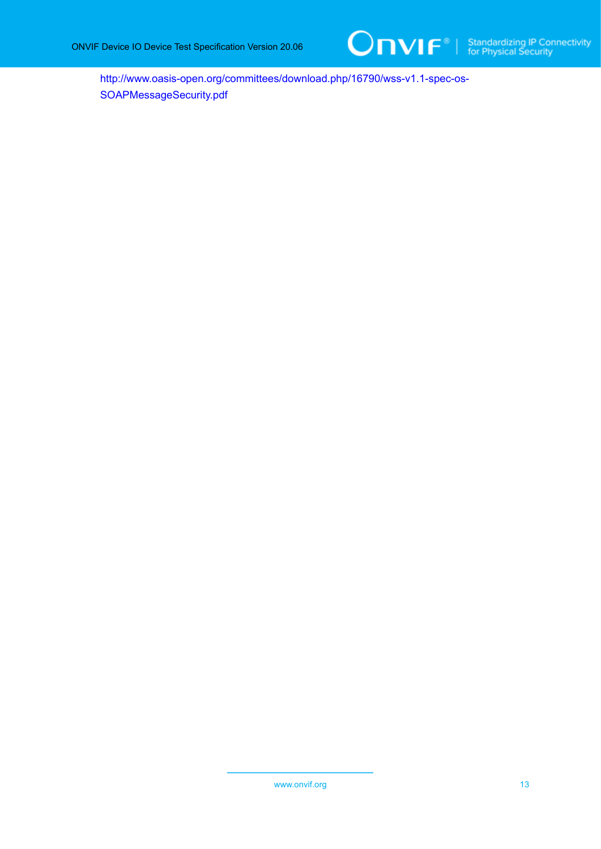

[http://www.oasis-open.org/committees/download.php/16790/wss-v1.1-spec-os-](http://www.oasis-open.org/committees/download.php/16790/wss-v1.1-spec-os-SOAPMessageSecurity.pdf)[SOAPMessageSecurity.pdf](http://www.oasis-open.org/committees/download.php/16790/wss-v1.1-spec-os-SOAPMessageSecurity.pdf)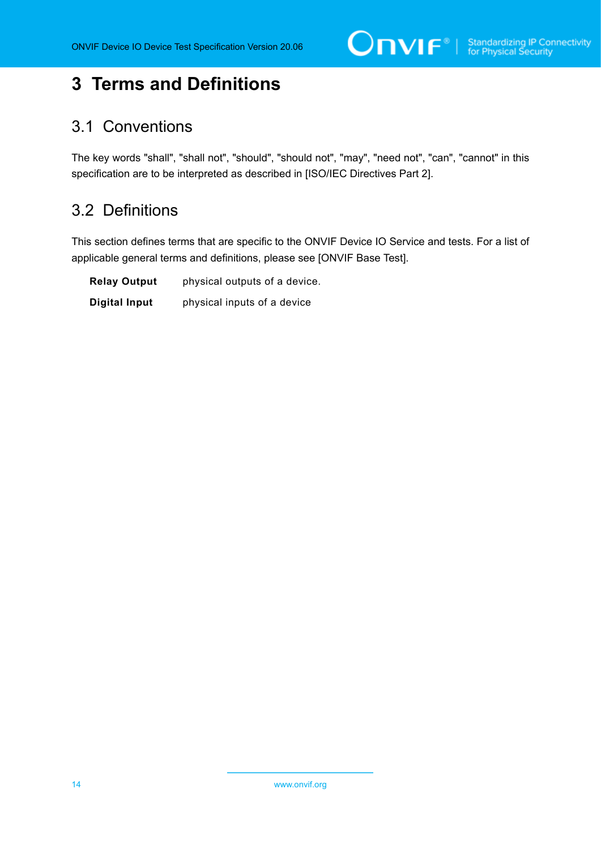# <span id="page-13-0"></span>**3 Terms and Definitions**

## <span id="page-13-1"></span>3.1 Conventions

The key words "shall", "shall not", "should", "should not", "may", "need not", "can", "cannot" in this specification are to be interpreted as described in [ISO/IEC Directives Part 2].

# <span id="page-13-2"></span>3.2 Definitions

This section defines terms that are specific to the ONVIF Device IO Service and tests. For a list of applicable general terms and definitions, please see [ONVIF Base Test].

**Relay Output** physical outputs of a device. **Digital Input** physical inputs of a device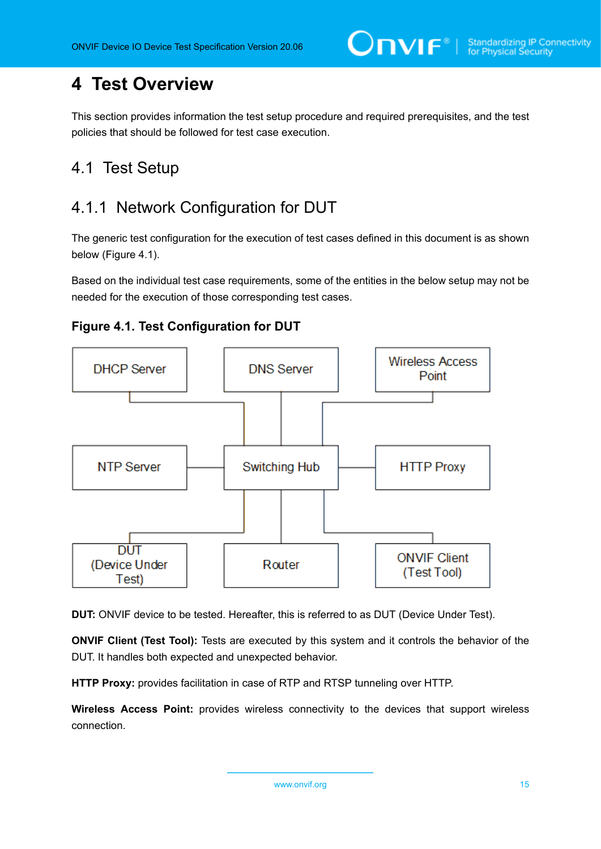# <span id="page-14-0"></span>**4 Test Overview**

This section provides information the test setup procedure and required prerequisites, and the test policies that should be followed for test case execution.

# <span id="page-14-1"></span>4.1 Test Setup

# <span id="page-14-2"></span>4.1.1 Network Configuration for DUT

The generic test configuration for the execution of test cases defined in this document is as shown below (Figure 4.1).

Based on the individual test case requirements, some of the entities in the below setup may not be needed for the execution of those corresponding test cases.





**DUT:** ONVIF device to be tested. Hereafter, this is referred to as DUT (Device Under Test).

**ONVIF Client (Test Tool):** Tests are executed by this system and it controls the behavior of the DUT. It handles both expected and unexpected behavior.

**HTTP Proxy:** provides facilitation in case of RTP and RTSP tunneling over HTTP.

**Wireless Access Point:** provides wireless connectivity to the devices that support wireless connection.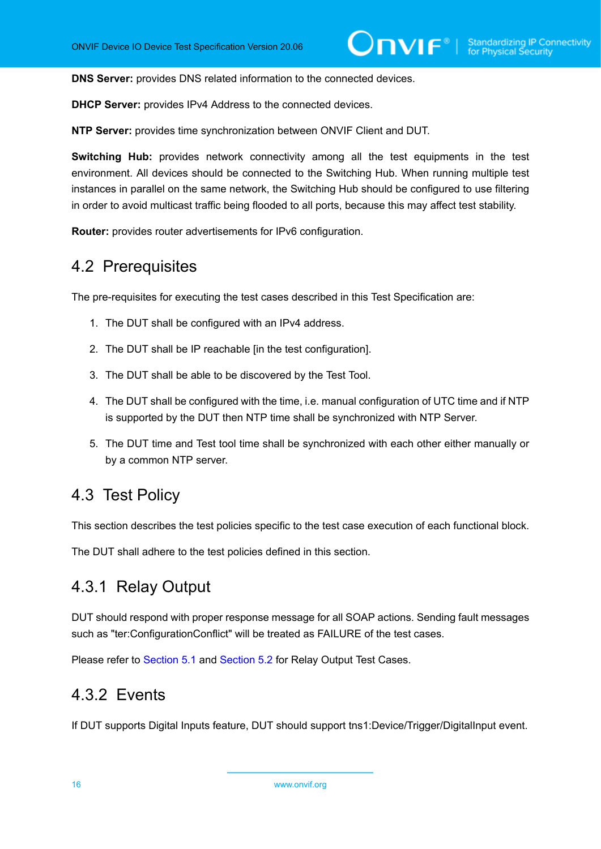**DNS Server:** provides DNS related information to the connected devices.

**DHCP Server:** provides IPv4 Address to the connected devices.

**NTP Server:** provides time synchronization between ONVIF Client and DUT.

**Switching Hub:** provides network connectivity among all the test equipments in the test environment. All devices should be connected to the Switching Hub. When running multiple test instances in parallel on the same network, the Switching Hub should be configured to use filtering in order to avoid multicast traffic being flooded to all ports, because this may affect test stability.

<span id="page-15-0"></span>**Router:** provides router advertisements for IPv6 configuration.

### 4.2 Prerequisites

The pre-requisites for executing the test cases described in this Test Specification are:

- 1. The DUT shall be configured with an IPv4 address.
- 2. The DUT shall be IP reachable [in the test configuration].
- 3. The DUT shall be able to be discovered by the Test Tool.
- 4. The DUT shall be configured with the time, i.e. manual configuration of UTC time and if NTP is supported by the DUT then NTP time shall be synchronized with NTP Server.
- 5. The DUT time and Test tool time shall be synchronized with each other either manually or by a common NTP server.

### <span id="page-15-1"></span>4.3 Test Policy

This section describes the test policies specific to the test case execution of each functional block.

<span id="page-15-2"></span>The DUT shall adhere to the test policies defined in this section.

### 4.3.1 Relay Output

DUT should respond with proper response message for all SOAP actions. Sending fault messages such as "ter:ConfigurationConflict" will be treated as FAILURE of the test cases.

<span id="page-15-3"></span>Please refer to [Section 5.1](#page-17-1) and [Section 5.2](#page-25-0) for Relay Output Test Cases.

### 4.3.2 Events

If DUT supports Digital Inputs feature, DUT should support tns1:Device/Trigger/DigitalInput event.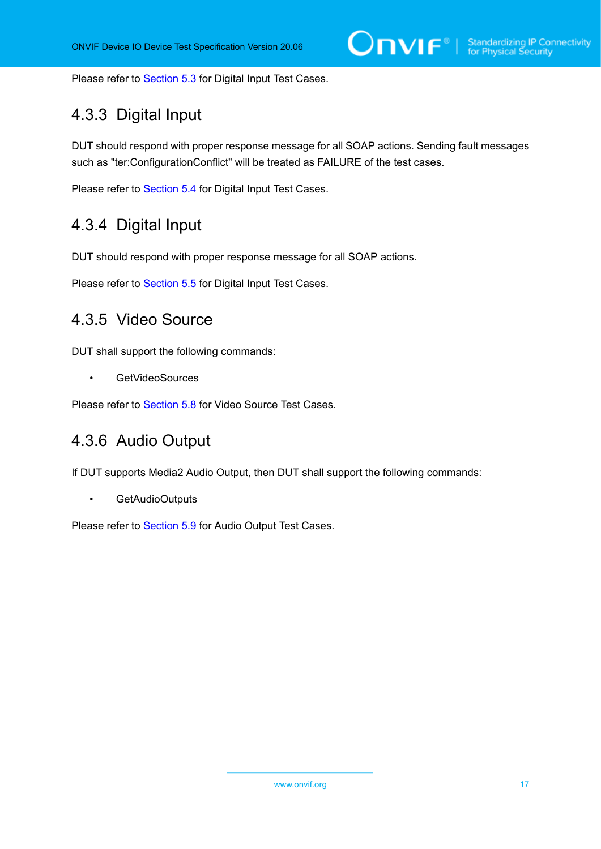<span id="page-16-0"></span>Please refer to [Section 5.3](#page-38-0) for Digital Input Test Cases.

# 4.3.3 Digital Input

DUT should respond with proper response message for all SOAP actions. Sending fault messages such as "ter:ConfigurationConflict" will be treated as FAILURE of the test cases.

<span id="page-16-1"></span>Please refer to [Section 5.4](#page-42-0) for Digital Input Test Cases.

### 4.3.4 Digital Input

DUT should respond with proper response message for all SOAP actions.

<span id="page-16-2"></span>Please refer to [Section 5.5](#page-48-0) for Digital Input Test Cases.

### 4.3.5 Video Source

DUT shall support the following commands:

**GetVideoSources** 

<span id="page-16-3"></span>Please refer to [Section 5.8](#page-64-0) for Video Source Test Cases.

# 4.3.6 Audio Output

If DUT supports Media2 Audio Output, then DUT shall support the following commands:

• GetAudioOutputs

Please refer to [Section 5.9](#page-65-0) for Audio Output Test Cases.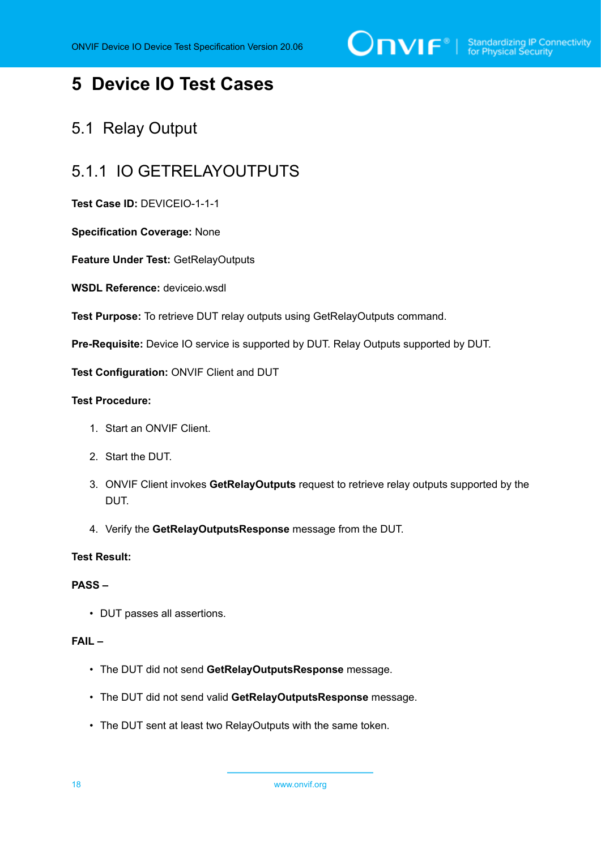$\sum_{\text{IVIF}^{\circ} | \text{Standardizing IP Connectivity}}$ 

# <span id="page-17-0"></span>**5 Device IO Test Cases**

## <span id="page-17-1"></span>5.1 Relay Output

# <span id="page-17-2"></span>5.1.1 IO GETRELAYOUTPUTS

**Test Case ID:** DEVICEIO-1-1-1

**Specification Coverage:** None

**Feature Under Test:** GetRelayOutputs

**WSDL Reference:** deviceio.wsdl

**Test Purpose:** To retrieve DUT relay outputs using GetRelayOutputs command.

**Pre-Requisite:** Device IO service is supported by DUT. Relay Outputs supported by DUT.

**Test Configuration:** ONVIF Client and DUT

#### **Test Procedure:**

- 1. Start an ONVIF Client.
- 2. Start the DUT.
- 3. ONVIF Client invokes **GetRelayOutputs** request to retrieve relay outputs supported by the DUT.
- 4. Verify the **GetRelayOutputsResponse** message from the DUT.

#### **Test Result:**

#### **PASS –**

• DUT passes all assertions.

#### **FAIL –**

- The DUT did not send **GetRelayOutputsResponse** message.
- The DUT did not send valid **GetRelayOutputsResponse** message.
- The DUT sent at least two RelayOutputs with the same token.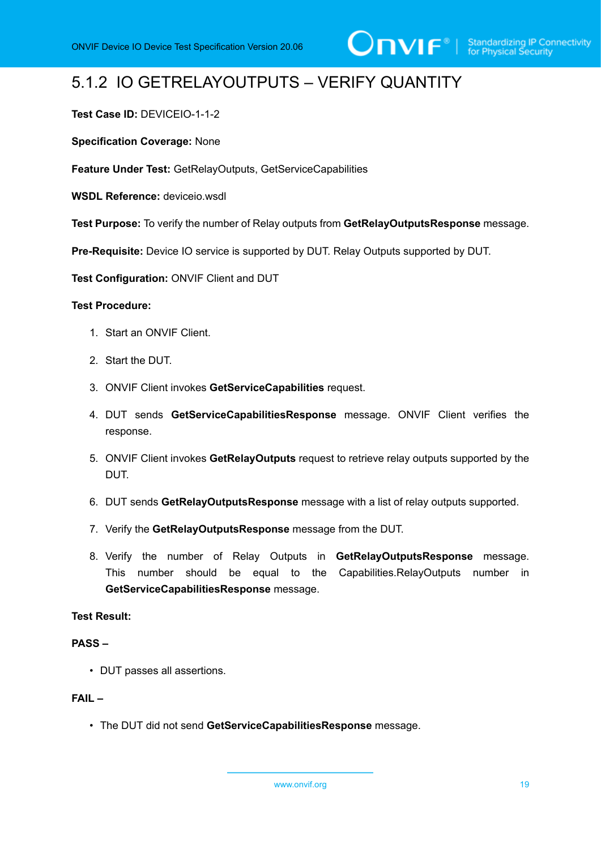# <span id="page-18-0"></span>5.1.2 IO GETRELAYOUTPUTS – VERIFY QUANTITY

#### **Test Case ID:** DEVICEIO-1-1-2

**Specification Coverage:** None

**Feature Under Test:** GetRelayOutputs, GetServiceCapabilities

**WSDL Reference:** deviceio.wsdl

**Test Purpose:** To verify the number of Relay outputs from **GetRelayOutputsResponse** message.

**Pre-Requisite:** Device IO service is supported by DUT. Relay Outputs supported by DUT.

**Test Configuration:** ONVIF Client and DUT

#### **Test Procedure:**

- 1. Start an ONVIF Client.
- 2. Start the DUT.
- 3. ONVIF Client invokes **GetServiceCapabilities** request.
- 4. DUT sends **GetServiceCapabilitiesResponse** message. ONVIF Client verifies the response.
- 5. ONVIF Client invokes **GetRelayOutputs** request to retrieve relay outputs supported by the DUT.
- 6. DUT sends **GetRelayOutputsResponse** message with a list of relay outputs supported.
- 7. Verify the **GetRelayOutputsResponse** message from the DUT.
- 8. Verify the number of Relay Outputs in **GetRelayOutputsResponse** message. This number should be equal to the Capabilities.RelayOutputs number in **GetServiceCapabilitiesResponse** message.

#### **Test Result:**

#### **PASS –**

• DUT passes all assertions.

#### **FAIL –**

• The DUT did not send **GetServiceCapabilitiesResponse** message.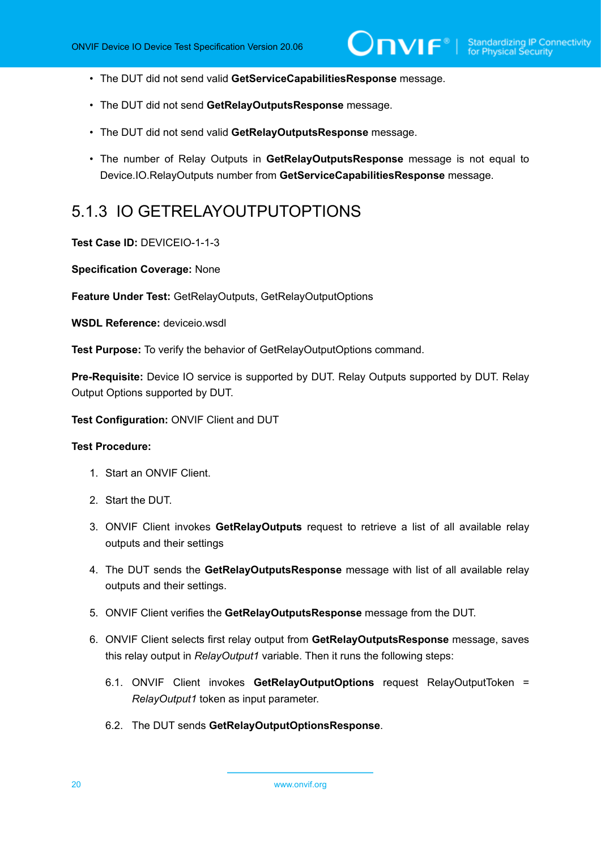- The DUT did not send valid **GetServiceCapabilitiesResponse** message.
- The DUT did not send **GetRelayOutputsResponse** message.
- The DUT did not send valid **GetRelayOutputsResponse** message.
- The number of Relay Outputs in **GetRelayOutputsResponse** message is not equal to Device.IO.RelayOutputs number from **GetServiceCapabilitiesResponse** message.

### <span id="page-19-0"></span>5.1.3 IO GETRELAYOUTPUTOPTIONS

#### **Test Case ID:** DEVICEIO-1-1-3

**Specification Coverage:** None

**Feature Under Test:** GetRelayOutputs, GetRelayOutputOptions

**WSDL Reference:** deviceio.wsdl

**Test Purpose:** To verify the behavior of GetRelayOutputOptions command.

**Pre-Requisite:** Device IO service is supported by DUT. Relay Outputs supported by DUT. Relay Output Options supported by DUT.

**Test Configuration:** ONVIF Client and DUT

- 1. Start an ONVIF Client.
- 2. Start the DUT.
- 3. ONVIF Client invokes **GetRelayOutputs** request to retrieve a list of all available relay outputs and their settings
- 4. The DUT sends the **GetRelayOutputsResponse** message with list of all available relay outputs and their settings.
- 5. ONVIF Client verifies the **GetRelayOutputsResponse** message from the DUT.
- 6. ONVIF Client selects first relay output from **GetRelayOutputsResponse** message, saves this relay output in *RelayOutput1* variable. Then it runs the following steps:
	- 6.1. ONVIF Client invokes **GetRelayOutputOptions** request RelayOutputToken = *RelayOutput1* token as input parameter.
	- 6.2. The DUT sends **GetRelayOutputOptionsResponse**.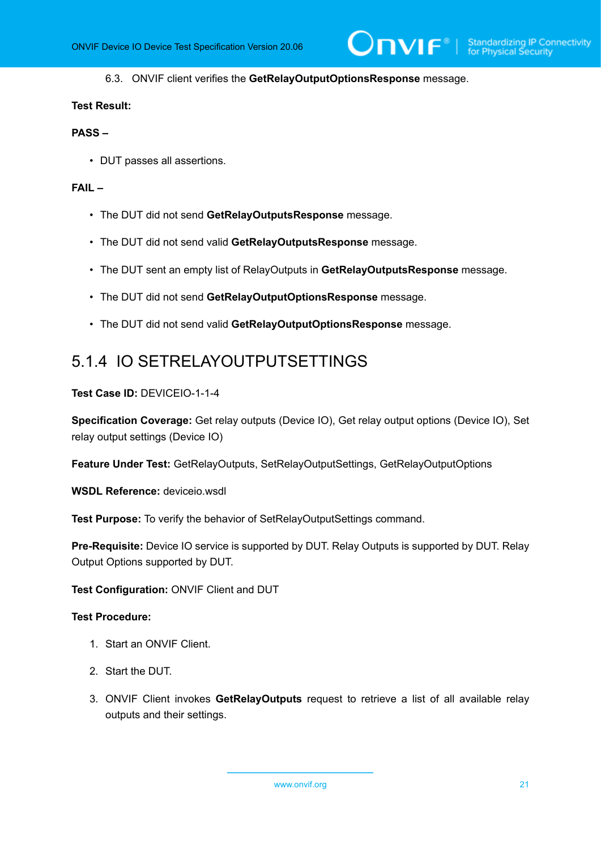#### 6.3. ONVIF client verifies the **GetRelayOutputOptionsResponse** message.

#### **Test Result:**

#### **PASS –**

• DUT passes all assertions.

#### **FAIL –**

- The DUT did not send **GetRelayOutputsResponse** message.
- The DUT did not send valid **GetRelayOutputsResponse** message.
- The DUT sent an empty list of RelayOutputs in **GetRelayOutputsResponse** message.
- The DUT did not send **GetRelayOutputOptionsResponse** message.
- The DUT did not send valid **GetRelayOutputOptionsResponse** message.

# <span id="page-20-0"></span>5.1.4 IO SETRELAYOUTPUTSETTINGS

**Test Case ID:** DEVICEIO-1-1-4

**Specification Coverage:** Get relay outputs (Device IO), Get relay output options (Device IO), Set relay output settings (Device IO)

**Feature Under Test:** GetRelayOutputs, SetRelayOutputSettings, GetRelayOutputOptions

**WSDL Reference:** deviceio.wsdl

**Test Purpose:** To verify the behavior of SetRelayOutputSettings command.

**Pre-Requisite:** Device IO service is supported by DUT. Relay Outputs is supported by DUT. Relay Output Options supported by DUT.

#### **Test Configuration:** ONVIF Client and DUT

- 1. Start an ONVIF Client.
- 2. Start the DUT.
- 3. ONVIF Client invokes **GetRelayOutputs** request to retrieve a list of all available relay outputs and their settings.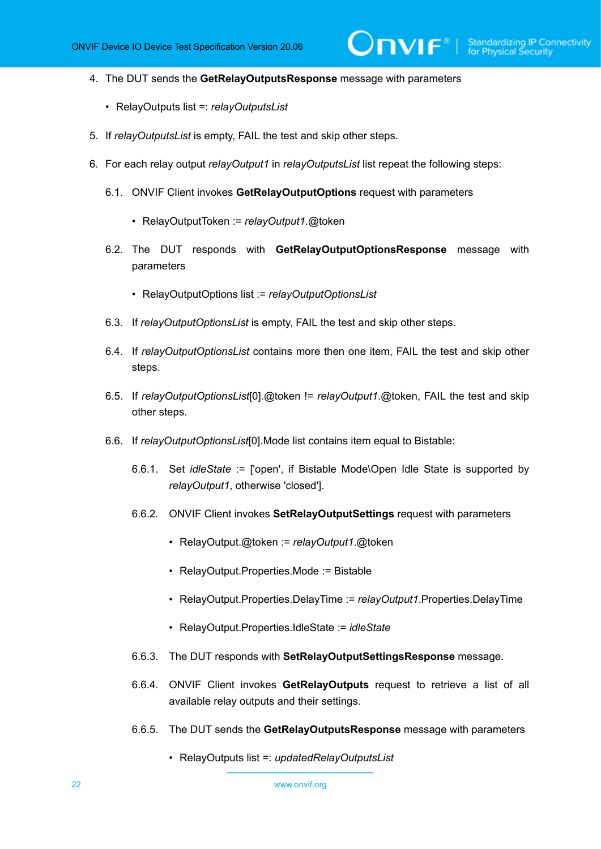- 4. The DUT sends the **GetRelayOutputsResponse** message with parameters
	- RelayOutputs list =: *relayOutputsList*
- 5. If *relayOutputsList* is empty, FAIL the test and skip other steps.
- 6. For each relay output *relayOutput1* in *relayOutputsList* list repeat the following steps:
	- 6.1. ONVIF Client invokes **GetRelayOutputOptions** request with parameters
		- RelayOutputToken := *relayOutput1*.@token
	- 6.2. The DUT responds with **GetRelayOutputOptionsResponse** message with parameters
		- RelayOutputOptions list := *relayOutputOptionsList*
	- 6.3. If *relayOutputOptionsList* is empty, FAIL the test and skip other steps.
	- 6.4. If *relayOutputOptionsList* contains more then one item, FAIL the test and skip other steps.
	- 6.5. If *relayOutputOptionsList*[0].@token != *relayOutput1*.@token, FAIL the test and skip other steps.
	- 6.6. If *relayOutputOptionsList*[0].Mode list contains item equal to Bistable:
		- 6.6.1. Set *idleState* := ['open', if Bistable Mode\Open Idle State is supported by *relayOutput1*, otherwise 'closed'].
		- 6.6.2. ONVIF Client invokes **SetRelayOutputSettings** request with parameters
			- RelayOutput.@token := *relayOutput1*.@token
			- RelayOutput.Properties.Mode := Bistable
			- RelayOutput.Properties.DelayTime := *relayOutput1*.Properties.DelayTime
			- RelayOutput.Properties.IdleState := *idleState*
		- 6.6.3. The DUT responds with **SetRelayOutputSettingsResponse** message.
		- 6.6.4. ONVIF Client invokes **GetRelayOutputs** request to retrieve a list of all available relay outputs and their settings.
		- 6.6.5. The DUT sends the **GetRelayOutputsResponse** message with parameters
			- RelayOutputs list =: *updatedRelayOutputsList*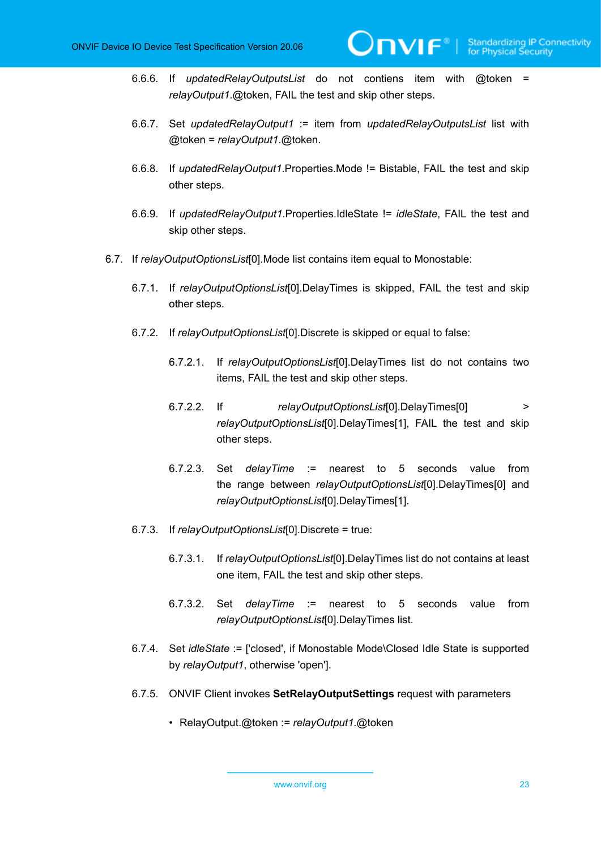- 6.6.6. If *updatedRelayOutputsList* do not contiens item with @token = *relayOutput1*.@token, FAIL the test and skip other steps.
- 6.6.7. Set *updatedRelayOutput1* := item from *updatedRelayOutputsList* list with @token = *relayOutput1*.@token.
- 6.6.8. If *updatedRelayOutput1*.Properties.Mode != Bistable, FAIL the test and skip other steps.
- 6.6.9. If *updatedRelayOutput1*.Properties.IdleState != *idleState*, FAIL the test and skip other steps.
- 6.7. If *relayOutputOptionsList*[0].Mode list contains item equal to Monostable:
	- 6.7.1. If *relayOutputOptionsList*[0].DelayTimes is skipped, FAIL the test and skip other steps.
	- 6.7.2. If *relayOutputOptionsList*[0].Discrete is skipped or equal to false:
		- 6.7.2.1. If *relayOutputOptionsList*[0].DelayTimes list do not contains two items, FAIL the test and skip other steps.
		- 6.7.2.2. If *relayOutputOptionsList*[0].DelayTimes[0] > *relayOutputOptionsList*[0].DelayTimes[1], FAIL the test and skip other steps.
		- 6.7.2.3. Set *delayTime* := nearest to 5 seconds value from the range between *relayOutputOptionsList*[0].DelayTimes[0] and *relayOutputOptionsList*[0].DelayTimes[1].
	- 6.7.3. If *relayOutputOptionsList*[0].Discrete = true:
		- 6.7.3.1. If *relayOutputOptionsList*[0].DelayTimes list do not contains at least one item, FAIL the test and skip other steps.
		- 6.7.3.2. Set *delayTime* := nearest to 5 seconds value from *relayOutputOptionsList*[0].DelayTimes list.
	- 6.7.4. Set *idleState* := ['closed', if Monostable Mode\Closed Idle State is supported by *relayOutput1*, otherwise 'open'].
	- 6.7.5. ONVIF Client invokes **SetRelayOutputSettings** request with parameters
		- RelayOutput.@token := *relayOutput1*.@token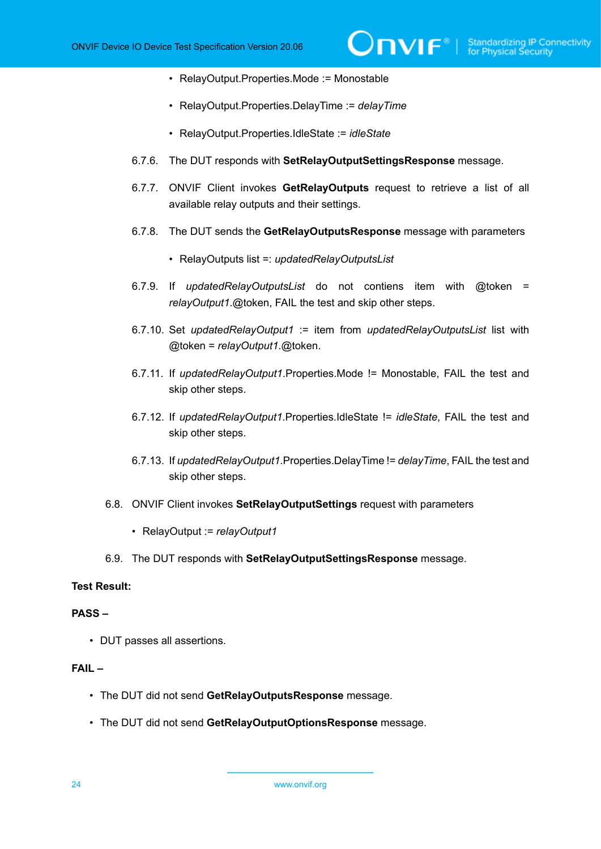- RelayOutput.Properties.Mode := Monostable
- RelayOutput.Properties.DelayTime := *delayTime*
- RelayOutput.Properties.IdleState := *idleState*
- 6.7.6. The DUT responds with **SetRelayOutputSettingsResponse** message.
- 6.7.7. ONVIF Client invokes **GetRelayOutputs** request to retrieve a list of all available relay outputs and their settings.
- 6.7.8. The DUT sends the **GetRelayOutputsResponse** message with parameters
	- RelayOutputs list =: *updatedRelayOutputsList*
- 6.7.9. If *updatedRelayOutputsList* do not contiens item with @token = *relayOutput1*.@token, FAIL the test and skip other steps.
- 6.7.10. Set *updatedRelayOutput1* := item from *updatedRelayOutputsList* list with @token = *relayOutput1*.@token.
- 6.7.11. If *updatedRelayOutput1*.Properties.Mode != Monostable, FAIL the test and skip other steps.
- 6.7.12. If *updatedRelayOutput1*.Properties.IdleState != *idleState*, FAIL the test and skip other steps.
- 6.7.13. If *updatedRelayOutput1*.Properties.DelayTime != *delayTime*, FAIL the test and skip other steps.
- 6.8. ONVIF Client invokes **SetRelayOutputSettings** request with parameters
	- RelayOutput := *relayOutput1*
- 6.9. The DUT responds with **SetRelayOutputSettingsResponse** message.

#### **Test Result:**

#### **PASS –**

• DUT passes all assertions.

#### **FAIL –**

- The DUT did not send **GetRelayOutputsResponse** message.
- The DUT did not send **GetRelayOutputOptionsResponse** message.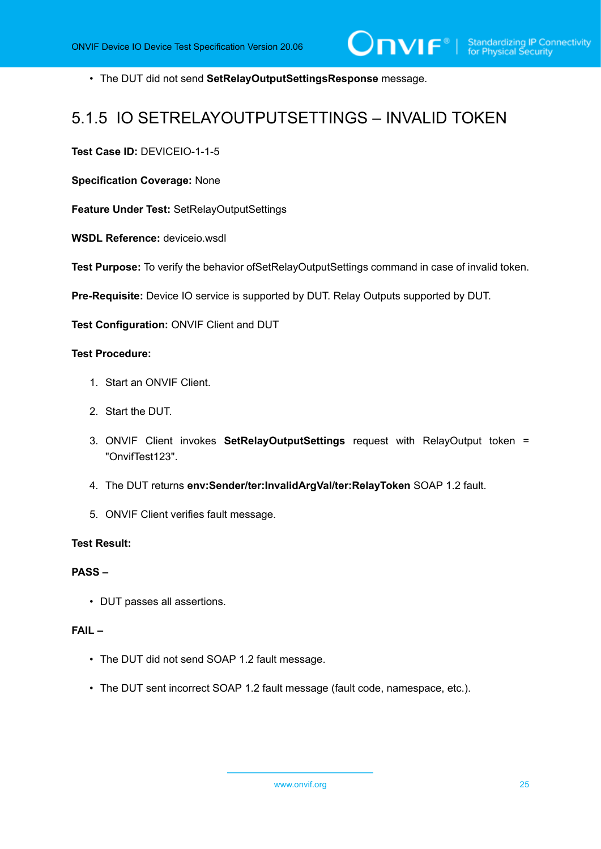• The DUT did not send **SetRelayOutputSettingsResponse** message.

## <span id="page-24-0"></span>5.1.5 IO SETRELAYOUTPUTSETTINGS – INVALID TOKEN

**Test Case ID:** DEVICEIO-1-1-5

**Specification Coverage:** None

**Feature Under Test:** SetRelayOutputSettings

**WSDL Reference:** deviceio.wsdl

**Test Purpose:** To verify the behavior ofSetRelayOutputSettings command in case of invalid token.

**Pre-Requisite:** Device IO service is supported by DUT. Relay Outputs supported by DUT.

**Test Configuration:** ONVIF Client and DUT

#### **Test Procedure:**

- 1. Start an ONVIF Client.
- 2. Start the DUT.
- 3. ONVIF Client invokes **SetRelayOutputSettings** request with RelayOutput token = "OnvifTest123".
- 4. The DUT returns **env:Sender/ter:InvalidArgVal/ter:RelayToken** SOAP 1.2 fault.
- 5. ONVIF Client verifies fault message.

#### **Test Result:**

#### **PASS –**

• DUT passes all assertions.

#### **FAIL –**

- The DUT did not send SOAP 1.2 fault message.
- The DUT sent incorrect SOAP 1.2 fault message (fault code, namespace, etc.).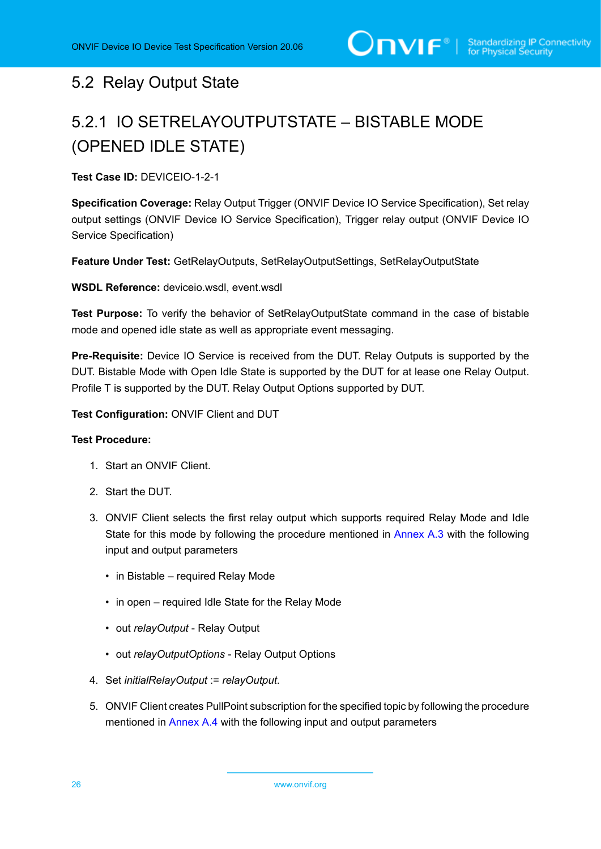# <span id="page-25-0"></span>5.2 Relay Output State

# <span id="page-25-1"></span>5.2.1 IO SETRELAYOUTPUTSTATE – BISTABLE MODE (OPENED IDLE STATE)

**Test Case ID:** DEVICEIO-1-2-1

**Specification Coverage:** Relay Output Trigger (ONVIF Device IO Service Specification), Set relay output settings (ONVIF Device IO Service Specification), Trigger relay output (ONVIF Device IO Service Specification)

**Feature Under Test:** GetRelayOutputs, SetRelayOutputSettings, SetRelayOutputState

**WSDL Reference:** deviceio.wsdl, event.wsdl

**Test Purpose:** To verify the behavior of SetRelayOutputState command in the case of bistable mode and opened idle state as well as appropriate event messaging.

**Pre-Requisite:** Device IO Service is received from the DUT. Relay Outputs is supported by the DUT. Bistable Mode with Open Idle State is supported by the DUT for at lease one Relay Output. Profile T is supported by the DUT. Relay Output Options supported by DUT.

**Test Configuration:** ONVIF Client and DUT

- 1. Start an ONVIF Client.
- 2. Start the DUT.
- 3. ONVIF Client selects the first relay output which supports required Relay Mode and Idle State for this mode by following the procedure mentioned in [Annex A.3](#page-69-0) with the following input and output parameters
	- in Bistable required Relay Mode
	- in open required Idle State for the Relay Mode
	- out *relayOutput* Relay Output
	- out *relayOutputOptions* Relay Output Options
- 4. Set *initialRelayOutput* := *relayOutput*.
- 5. ONVIF Client creates PullPoint subscription for the specified topic by following the procedure mentioned in [Annex A.4](#page-70-0) with the following input and output parameters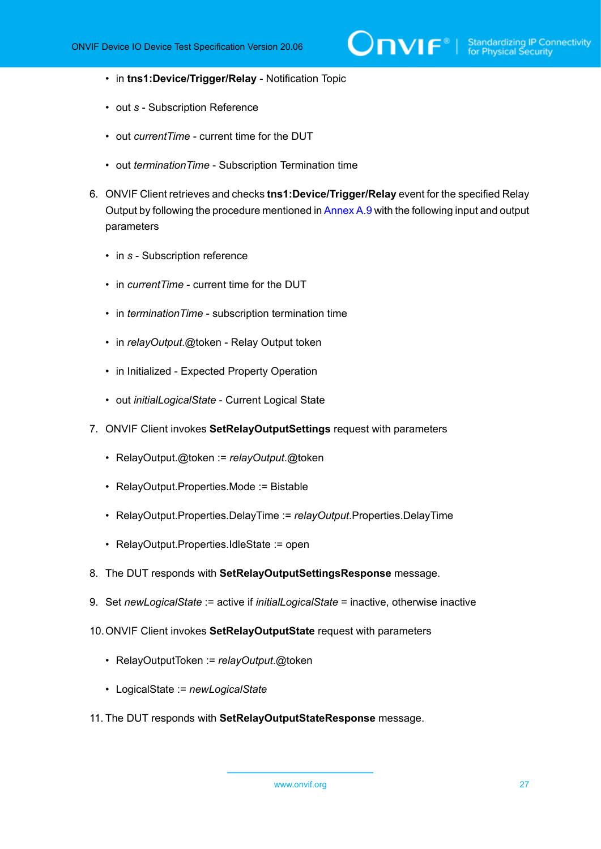- in **tns1:Device/Trigger/Relay** Notification Topic
- out *s* Subscription Reference
- out *currentTime* current time for the DUT
- out *terminationTime* Subscription Termination time
- 6. ONVIF Client retrieves and checks **tns1:Device/Trigger/Relay** event for the specified Relay Output by following the procedure mentioned in [Annex A.9](#page-73-1) with the following input and output parameters
	- in *s* Subscription reference
	- in *currentTime* current time for the DUT
	- in *terminationTime* subscription termination time
	- in *relayOutput*.@token Relay Output token
	- in Initialized Expected Property Operation
	- out *initialLogicalState* Current Logical State
- 7. ONVIF Client invokes **SetRelayOutputSettings** request with parameters
	- RelayOutput.@token := *relayOutput*.@token
	- RelayOutput.Properties.Mode := Bistable
	- RelayOutput.Properties.DelayTime := *relayOutput*.Properties.DelayTime
	- RelayOutput.Properties.IdleState := open
- 8. The DUT responds with **SetRelayOutputSettingsResponse** message.
- 9. Set *newLogicalState* := active if *initialLogicalState* = inactive, otherwise inactive
- 10.ONVIF Client invokes **SetRelayOutputState** request with parameters
	- RelayOutputToken := *relayOutput*.@token
	- LogicalState := *newLogicalState*
- 11. The DUT responds with **SetRelayOutputStateResponse** message.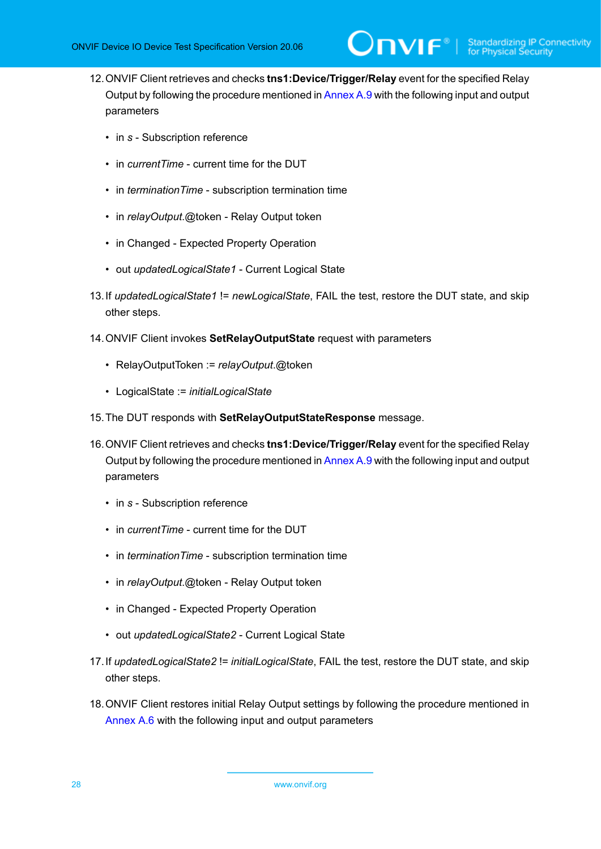- 12.ONVIF Client retrieves and checks **tns1:Device/Trigger/Relay** event for the specified Relay Output by following the procedure mentioned in [Annex A.9](#page-73-1) with the following input and output parameters
	- in *s* Subscription reference
	- in *currentTime* current time for the DUT
	- in *terminationTime* subscription termination time
	- in *relayOutput*.@token Relay Output token
	- in Changed Expected Property Operation
	- out *updatedLogicalState1* Current Logical State
- 13.If *updatedLogicalState1* != *newLogicalState*, FAIL the test, restore the DUT state, and skip other steps.
- 14.ONVIF Client invokes **SetRelayOutputState** request with parameters
	- RelayOutputToken := *relayOutput*.@token
	- LogicalState := *initialLogicalState*
- 15.The DUT responds with **SetRelayOutputStateResponse** message.
- 16.ONVIF Client retrieves and checks **tns1:Device/Trigger/Relay** event for the specified Relay Output by following the procedure mentioned in [Annex A.9](#page-73-1) with the following input and output parameters
	- in *s* Subscription reference
	- in *currentTime* current time for the DUT
	- in *terminationTime* subscription termination time
	- in *relayOutput*.@token Relay Output token
	- in Changed Expected Property Operation
	- out *updatedLogicalState2* Current Logical State
- 17.If *updatedLogicalState2* != *initialLogicalState*, FAIL the test, restore the DUT state, and skip other steps.
- 18.ONVIF Client restores initial Relay Output settings by following the procedure mentioned in [Annex A.6](#page-71-1) with the following input and output parameters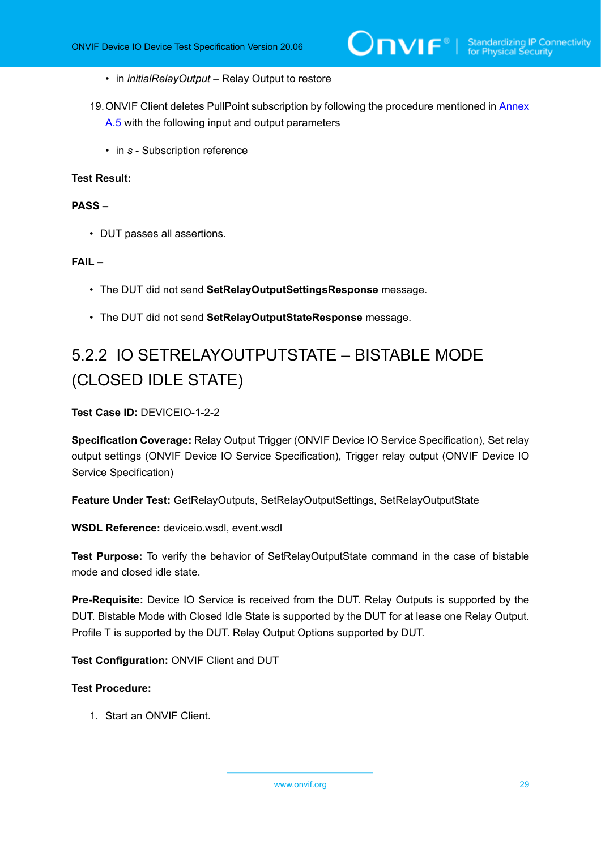- in *initialRelayOutput* Relay Output to restore
- 19.ONVIF Client deletes PullPoint subscription by following the procedure mentioned in [Annex](#page-71-0) [A.5](#page-71-0) with the following input and output parameters
	- in *s* Subscription reference

#### **Test Result:**

#### **PASS –**

• DUT passes all assertions.

#### **FAIL –**

- The DUT did not send **SetRelayOutputSettingsResponse** message.
- The DUT did not send **SetRelayOutputStateResponse** message.

# <span id="page-28-0"></span>5.2.2 IO SETRELAYOUTPUTSTATE – BISTABLE MODE (CLOSED IDLE STATE)

**Test Case ID:** DEVICEIO-1-2-2

**Specification Coverage:** Relay Output Trigger (ONVIF Device IO Service Specification), Set relay output settings (ONVIF Device IO Service Specification), Trigger relay output (ONVIF Device IO Service Specification)

**Feature Under Test:** GetRelayOutputs, SetRelayOutputSettings, SetRelayOutputState

**WSDL Reference:** deviceio.wsdl, event.wsdl

**Test Purpose:** To verify the behavior of SetRelayOutputState command in the case of bistable mode and closed idle state.

**Pre-Requisite:** Device IO Service is received from the DUT. Relay Outputs is supported by the DUT. Bistable Mode with Closed Idle State is supported by the DUT for at lease one Relay Output. Profile T is supported by the DUT. Relay Output Options supported by DUT.

**Test Configuration:** ONVIF Client and DUT

#### **Test Procedure:**

1. Start an ONVIF Client.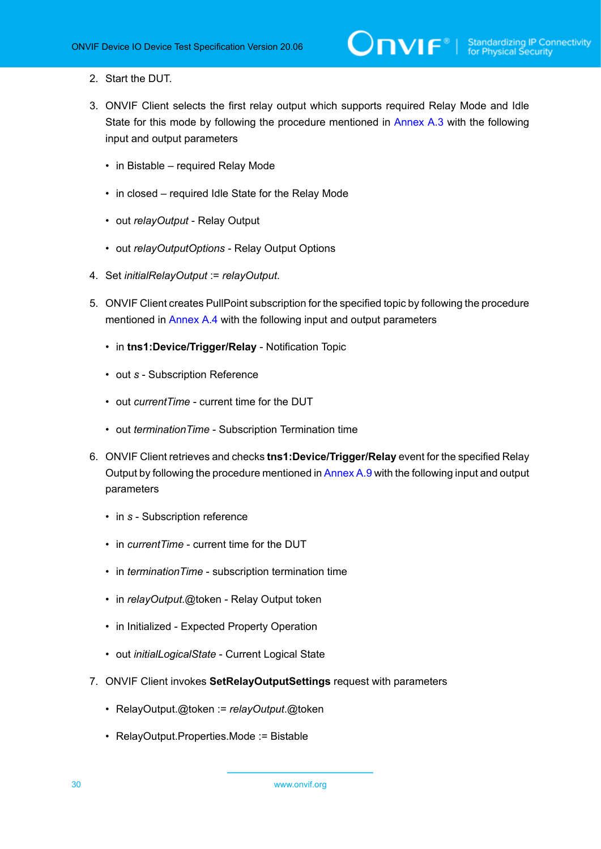- 2. Start the DUT.
- 3. ONVIF Client selects the first relay output which supports required Relay Mode and Idle State for this mode by following the procedure mentioned in [Annex A.3](#page-69-0) with the following input and output parameters
	- in Bistable required Relay Mode
	- in closed required Idle State for the Relay Mode
	- out *relayOutput* Relay Output
	- out *relayOutputOptions* Relay Output Options
- 4. Set *initialRelayOutput* := *relayOutput*.
- 5. ONVIF Client creates PullPoint subscription for the specified topic by following the procedure mentioned in [Annex A.4](#page-70-0) with the following input and output parameters
	- in **tns1:Device/Trigger/Relay** Notification Topic
	- out *s* Subscription Reference
	- out *currentTime* current time for the DUT
	- out *terminationTime* Subscription Termination time
- 6. ONVIF Client retrieves and checks **tns1:Device/Trigger/Relay** event for the specified Relay Output by following the procedure mentioned in [Annex A.9](#page-73-1) with the following input and output parameters
	- in *s* Subscription reference
	- in *currentTime* current time for the DUT
	- in *terminationTime* subscription termination time
	- in *relayOutput*.@token Relay Output token
	- in Initialized Expected Property Operation
	- out *initialLogicalState* Current Logical State
- 7. ONVIF Client invokes **SetRelayOutputSettings** request with parameters
	- RelayOutput.@token := *relayOutput*.@token
	- RelayOutput.Properties.Mode := Bistable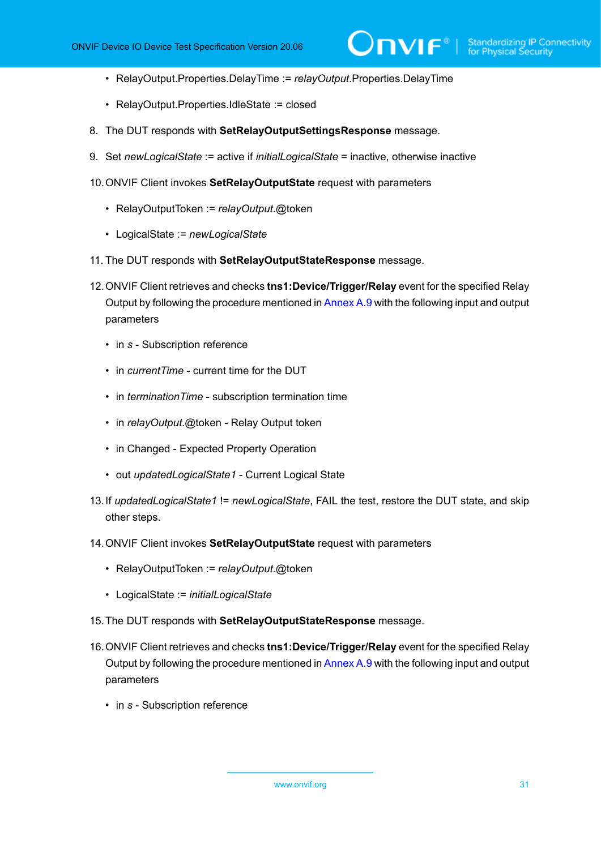- RelayOutput.Properties.DelayTime := *relayOutput*.Properties.DelayTime
- RelayOutput.Properties.IdleState := closed
- 8. The DUT responds with **SetRelayOutputSettingsResponse** message.
- 9. Set *newLogicalState* := active if *initialLogicalState* = inactive, otherwise inactive
- 10.ONVIF Client invokes **SetRelayOutputState** request with parameters
	- RelayOutputToken := *relayOutput*.@token
	- LogicalState := *newLogicalState*
- 11. The DUT responds with **SetRelayOutputStateResponse** message.
- 12.ONVIF Client retrieves and checks **tns1:Device/Trigger/Relay** event for the specified Relay Output by following the procedure mentioned in [Annex A.9](#page-73-1) with the following input and output parameters
	- in *s* Subscription reference
	- in *currentTime* current time for the DUT
	- in *terminationTime* subscription termination time
	- in *relayOutput*.@token Relay Output token
	- in Changed Expected Property Operation
	- out *updatedLogicalState1* Current Logical State
- 13.If *updatedLogicalState1* != *newLogicalState*, FAIL the test, restore the DUT state, and skip other steps.
- 14.ONVIF Client invokes **SetRelayOutputState** request with parameters
	- RelayOutputToken := *relayOutput*.@token
	- LogicalState := *initialLogicalState*
- 15.The DUT responds with **SetRelayOutputStateResponse** message.
- 16.ONVIF Client retrieves and checks **tns1:Device/Trigger/Relay** event for the specified Relay Output by following the procedure mentioned in [Annex A.9](#page-73-1) with the following input and output parameters
	- in *s* Subscription reference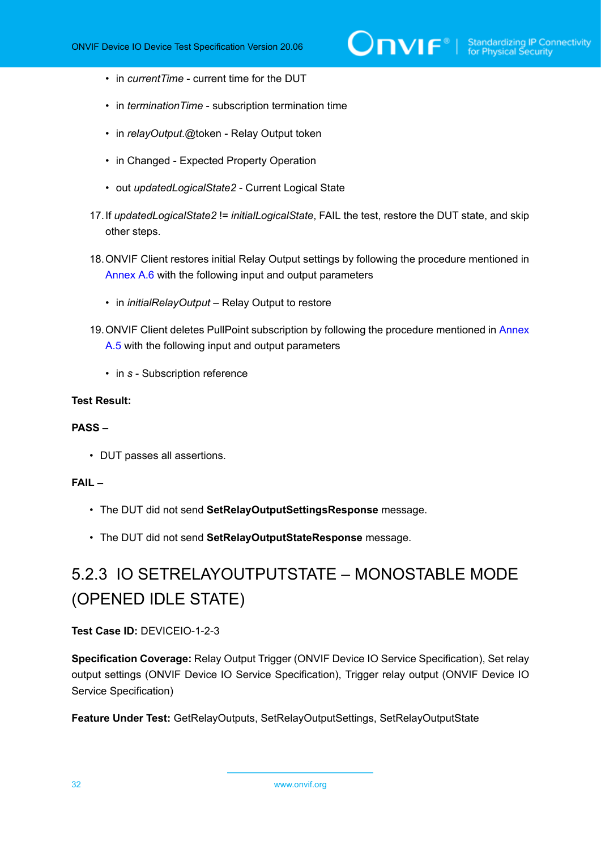- in *currentTime* current time for the DUT
- in *terminationTime* subscription termination time
- in *relayOutput*.@token Relay Output token
- in Changed Expected Property Operation
- out *updatedLogicalState2* Current Logical State
- 17.If *updatedLogicalState2* != *initialLogicalState*, FAIL the test, restore the DUT state, and skip other steps.
- 18.ONVIF Client restores initial Relay Output settings by following the procedure mentioned in [Annex A.6](#page-71-1) with the following input and output parameters
	- in *initialRelayOutput* Relay Output to restore
- 19.ONVIF Client deletes PullPoint subscription by following the procedure mentioned in [Annex](#page-71-0) [A.5](#page-71-0) with the following input and output parameters
	- in *s* Subscription reference

#### **Test Result:**

#### **PASS –**

• DUT passes all assertions.

#### **FAIL –**

- The DUT did not send **SetRelayOutputSettingsResponse** message.
- The DUT did not send **SetRelayOutputStateResponse** message.

# <span id="page-31-0"></span>5.2.3 IO SETRELAYOUTPUTSTATE – MONOSTABLE MODE (OPENED IDLE STATE)

#### **Test Case ID:** DEVICEIO-1-2-3

**Specification Coverage:** Relay Output Trigger (ONVIF Device IO Service Specification), Set relay output settings (ONVIF Device IO Service Specification), Trigger relay output (ONVIF Device IO Service Specification)

**Feature Under Test:** GetRelayOutputs, SetRelayOutputSettings, SetRelayOutputState

32 www.onvif.org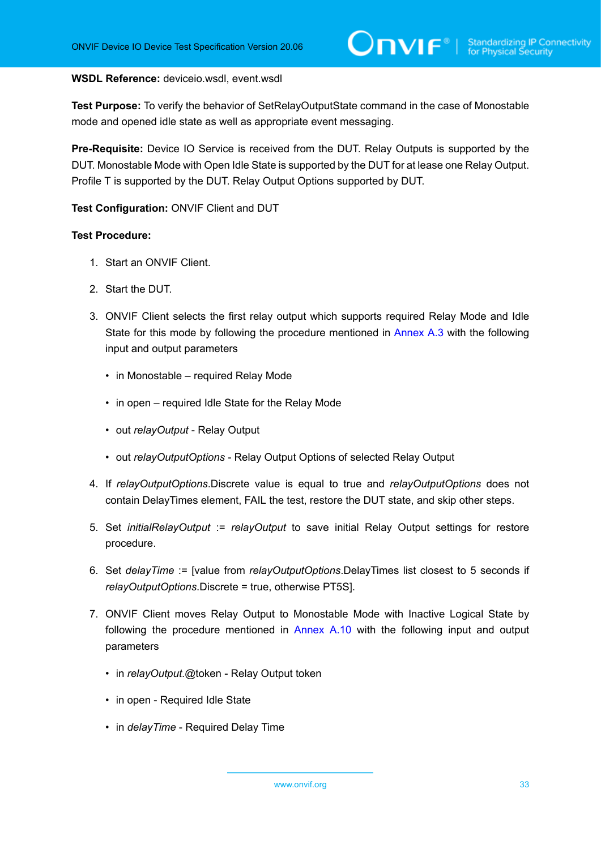#### **WSDL Reference:** deviceio.wsdl, event.wsdl

**Test Purpose:** To verify the behavior of SetRelayOutputState command in the case of Monostable mode and opened idle state as well as appropriate event messaging.

**Pre-Requisite:** Device IO Service is received from the DUT. Relay Outputs is supported by the DUT. Monostable Mode with Open Idle State is supported by the DUT for at lease one Relay Output. Profile T is supported by the DUT. Relay Output Options supported by DUT.

#### **Test Configuration:** ONVIF Client and DUT

- 1. Start an ONVIF Client.
- 2. Start the DUT.
- 3. ONVIF Client selects the first relay output which supports required Relay Mode and Idle State for this mode by following the procedure mentioned in [Annex A.3](#page-69-0) with the following input and output parameters
	- in Monostable required Relay Mode
	- in open required Idle State for the Relay Mode
	- out *relayOutput* Relay Output
	- out *relayOutputOptions* Relay Output Options of selected Relay Output
- 4. If *relayOutputOptions*.Discrete value is equal to true and *relayOutputOptions* does not contain DelayTimes element, FAIL the test, restore the DUT state, and skip other steps.
- 5. Set *initialRelayOutput* := *relayOutput* to save initial Relay Output settings for restore procedure.
- 6. Set *delayTime* := [value from *relayOutputOptions*.DelayTimes list closest to 5 seconds if *relayOutputOptions*.Discrete = true, otherwise PT5S].
- 7. ONVIF Client moves Relay Output to Monostable Mode with Inactive Logical State by following the procedure mentioned in [Annex A.10](#page-75-0) with the following input and output parameters
	- in *relayOutput*.@token Relay Output token
	- in open Required Idle State
	- in *delayTime* Required Delay Time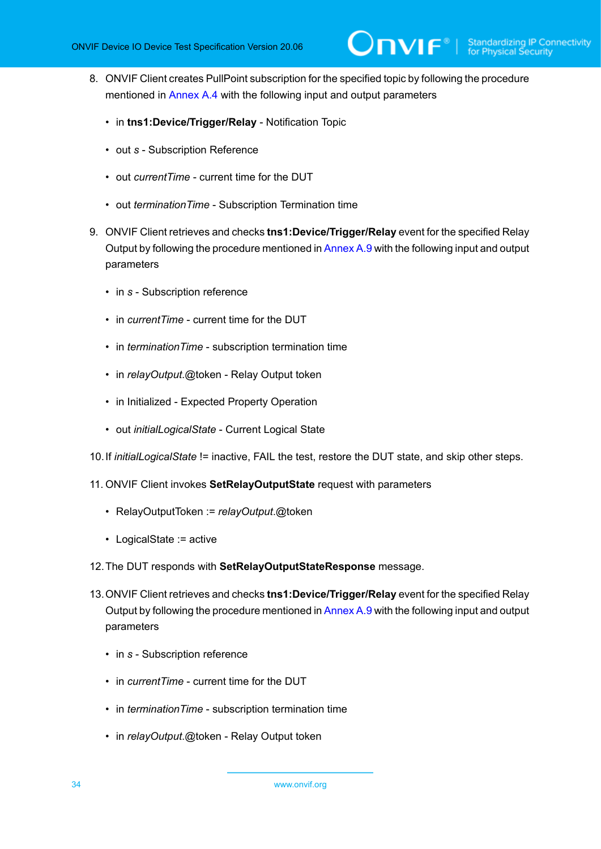- 8. ONVIF Client creates PullPoint subscription for the specified topic by following the procedure mentioned in [Annex A.4](#page-70-0) with the following input and output parameters
	- in **tns1:Device/Trigger/Relay** Notification Topic
	- out *s* Subscription Reference
	- out *currentTime* current time for the DUT
	- out *terminationTime* Subscription Termination time
- 9. ONVIF Client retrieves and checks **tns1:Device/Trigger/Relay** event for the specified Relay Output by following the procedure mentioned in [Annex A.9](#page-73-1) with the following input and output parameters
	- in *s* Subscription reference
	- in *currentTime* current time for the DUT
	- in *terminationTime* subscription termination time
	- in *relayOutput*.@token Relay Output token
	- in Initialized Expected Property Operation
	- out *initialLogicalState* Current Logical State
- 10.If *initialLogicalState* != inactive, FAIL the test, restore the DUT state, and skip other steps.
- 11. ONVIF Client invokes **SetRelayOutputState** request with parameters
	- RelayOutputToken := *relayOutput*.@token
	- LogicalState := active
- 12.The DUT responds with **SetRelayOutputStateResponse** message.
- 13.ONVIF Client retrieves and checks **tns1:Device/Trigger/Relay** event for the specified Relay Output by following the procedure mentioned in [Annex A.9](#page-73-1) with the following input and output parameters
	- in *s* Subscription reference
	- in *currentTime* current time for the DUT
	- in *terminationTime* subscription termination time
	- in *relayOutput*.@token Relay Output token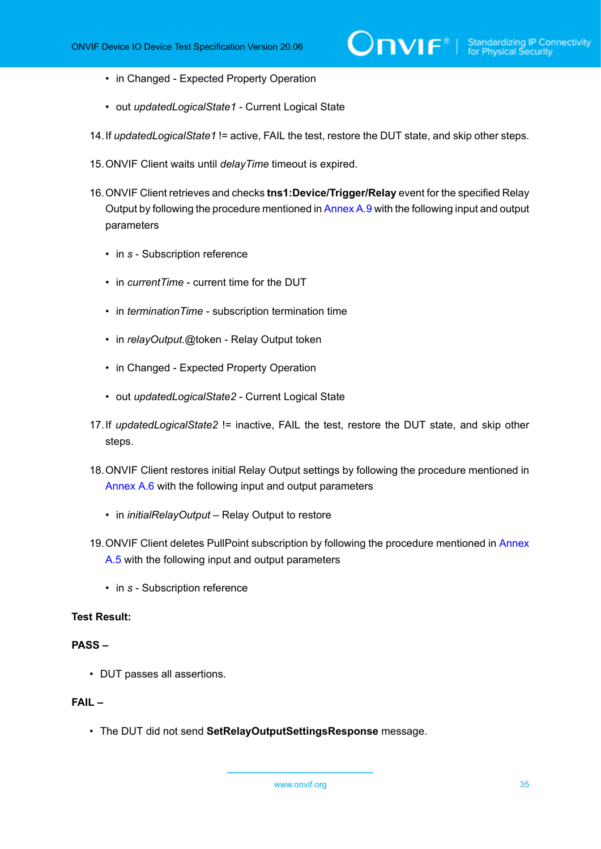- in Changed Expected Property Operation
- out *updatedLogicalState1* Current Logical State
- 14.If *updatedLogicalState1* != active, FAIL the test, restore the DUT state, and skip other steps.
- 15.ONVIF Client waits until *delayTime* timeout is expired.
- 16.ONVIF Client retrieves and checks **tns1:Device/Trigger/Relay** event for the specified Relay Output by following the procedure mentioned in [Annex A.9](#page-73-1) with the following input and output parameters
	- in *s* Subscription reference
	- in *currentTime* current time for the DUT
	- in *terminationTime* subscription termination time
	- in *relayOutput*.@token Relay Output token
	- in Changed Expected Property Operation
	- out *updatedLogicalState2* Current Logical State
- 17.If *updatedLogicalState2* != inactive, FAIL the test, restore the DUT state, and skip other steps.
- 18.ONVIF Client restores initial Relay Output settings by following the procedure mentioned in [Annex A.6](#page-71-1) with the following input and output parameters
	- in *initialRelayOutput* Relay Output to restore
- 19. ONVIF Client deletes PullPoint subscription by following the procedure mentioned in [Annex](#page-71-0) [A.5](#page-71-0) with the following input and output parameters
	- in *s* Subscription reference

#### **Test Result:**

#### **PASS –**

• DUT passes all assertions.

#### **FAIL –**

• The DUT did not send **SetRelayOutputSettingsResponse** message.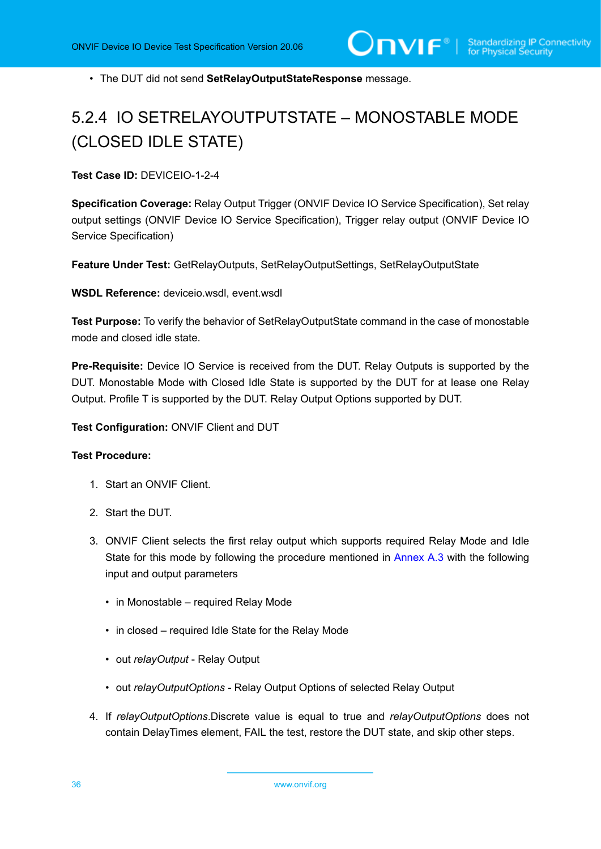• The DUT did not send **SetRelayOutputStateResponse** message.

# <span id="page-35-0"></span>5.2.4 IO SETRELAYOUTPUTSTATE – MONOSTABLE MODE (CLOSED IDLE STATE)

**Test Case ID:** DEVICEIO-1-2-4

**Specification Coverage:** Relay Output Trigger (ONVIF Device IO Service Specification), Set relay output settings (ONVIF Device IO Service Specification), Trigger relay output (ONVIF Device IO Service Specification)

**Feature Under Test:** GetRelayOutputs, SetRelayOutputSettings, SetRelayOutputState

**WSDL Reference:** deviceio.wsdl, event.wsdl

**Test Purpose:** To verify the behavior of SetRelayOutputState command in the case of monostable mode and closed idle state.

**Pre-Requisite:** Device IO Service is received from the DUT. Relay Outputs is supported by the DUT. Monostable Mode with Closed Idle State is supported by the DUT for at lease one Relay Output. Profile T is supported by the DUT. Relay Output Options supported by DUT.

**Test Configuration:** ONVIF Client and DUT

- 1. Start an ONVIF Client.
- 2. Start the DUT.
- 3. ONVIF Client selects the first relay output which supports required Relay Mode and Idle State for this mode by following the procedure mentioned in [Annex A.3](#page-69-0) with the following input and output parameters
	- in Monostable required Relay Mode
	- in closed required Idle State for the Relay Mode
	- out *relayOutput* Relay Output
	- out *relayOutputOptions* Relay Output Options of selected Relay Output
- 4. If *relayOutputOptions*.Discrete value is equal to true and *relayOutputOptions* does not contain DelayTimes element, FAIL the test, restore the DUT state, and skip other steps.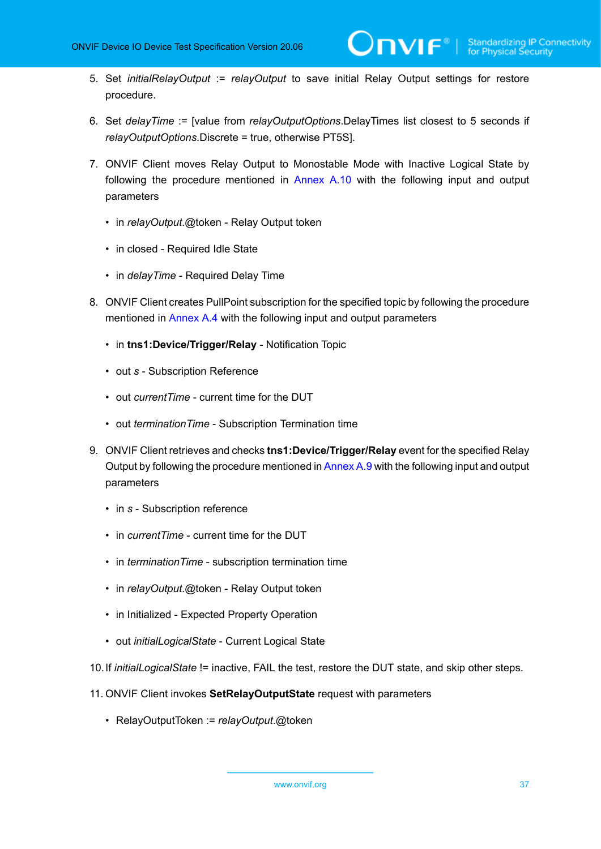- 5. Set *initialRelayOutput* := *relayOutput* to save initial Relay Output settings for restore procedure.
- 6. Set *delayTime* := [value from *relayOutputOptions*.DelayTimes list closest to 5 seconds if *relayOutputOptions*.Discrete = true, otherwise PT5S].
- 7. ONVIF Client moves Relay Output to Monostable Mode with Inactive Logical State by following the procedure mentioned in [Annex A.10](#page-75-0) with the following input and output parameters
	- in *relayOutput*.@token Relay Output token
	- in closed Required Idle State
	- in *delayTime* Required Delay Time
- 8. ONVIF Client creates PullPoint subscription for the specified topic by following the procedure mentioned in [Annex A.4](#page-70-0) with the following input and output parameters
	- in **tns1:Device/Trigger/Relay** Notification Topic
	- out *s* Subscription Reference
	- out *currentTime* current time for the DUT
	- out *terminationTime* Subscription Termination time
- 9. ONVIF Client retrieves and checks **tns1:Device/Trigger/Relay** event for the specified Relay Output by following the procedure mentioned in [Annex A.9](#page-73-0) with the following input and output parameters
	- in *s* Subscription reference
	- in *currentTime* current time for the DUT
	- in *terminationTime* subscription termination time
	- in *relayOutput*.@token Relay Output token
	- in Initialized Expected Property Operation
	- out *initialLogicalState* Current Logical State
- 10.If *initialLogicalState* != inactive, FAIL the test, restore the DUT state, and skip other steps.
- 11. ONVIF Client invokes **SetRelayOutputState** request with parameters
	- RelayOutputToken := *relayOutput*.@token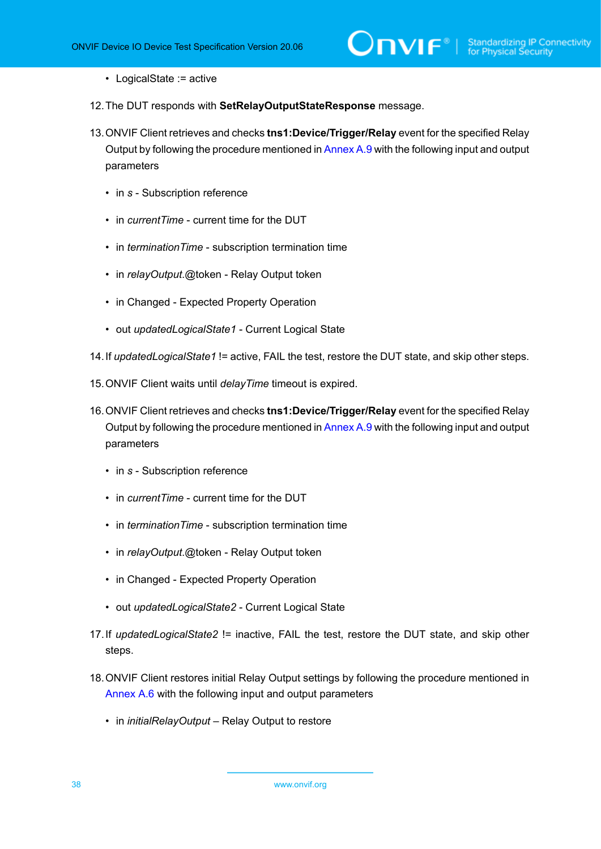- LogicalState := active
- 12.The DUT responds with **SetRelayOutputStateResponse** message.
- 13.ONVIF Client retrieves and checks **tns1:Device/Trigger/Relay** event for the specified Relay Output by following the procedure mentioned in [Annex A.9](#page-73-0) with the following input and output parameters
	- in *s* Subscription reference
	- in *currentTime* current time for the DUT
	- in *terminationTime* subscription termination time
	- in *relayOutput*.@token Relay Output token
	- in Changed Expected Property Operation
	- out *updatedLogicalState1* Current Logical State
- 14.If *updatedLogicalState1* != active, FAIL the test, restore the DUT state, and skip other steps.
- 15.ONVIF Client waits until *delayTime* timeout is expired.
- 16.ONVIF Client retrieves and checks **tns1:Device/Trigger/Relay** event for the specified Relay Output by following the procedure mentioned in [Annex A.9](#page-73-0) with the following input and output parameters
	- in *s* Subscription reference
	- in *currentTime* current time for the DUT
	- in *terminationTime* subscription termination time
	- in *relayOutput*.@token Relay Output token
	- in Changed Expected Property Operation
	- out *updatedLogicalState2* Current Logical State
- 17.If *updatedLogicalState2* != inactive, FAIL the test, restore the DUT state, and skip other steps.
- 18.ONVIF Client restores initial Relay Output settings by following the procedure mentioned in [Annex A.6](#page-71-0) with the following input and output parameters
	- in *initialRelayOutput* Relay Output to restore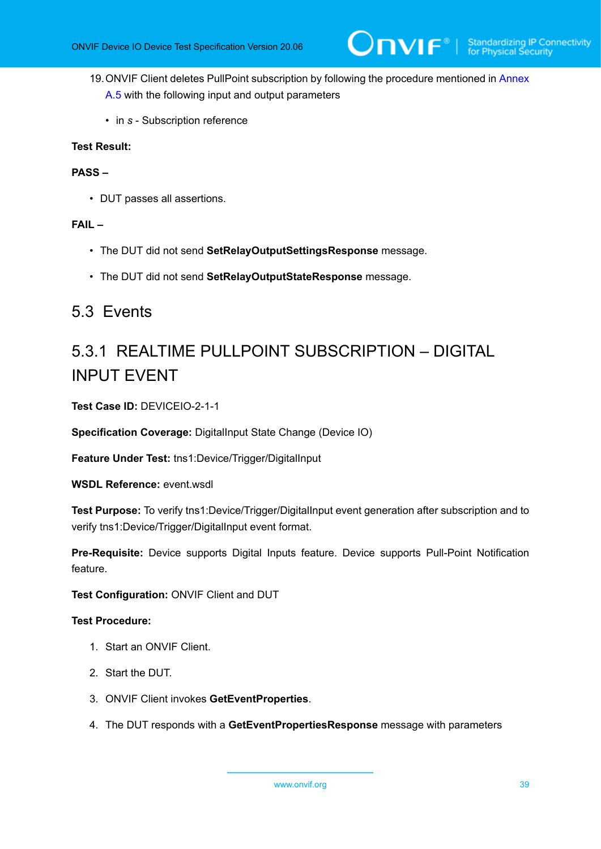- 19.ONVIF Client deletes PullPoint subscription by following the procedure mentioned in [Annex](#page-71-1) [A.5](#page-71-1) with the following input and output parameters
	- in *s* Subscription reference

## **PASS –**

• DUT passes all assertions.

## **FAIL –**

- The DUT did not send **SetRelayOutputSettingsResponse** message.
- The DUT did not send **SetRelayOutputStateResponse** message.

# 5.3 Events

# 5.3.1 REALTIME PULLPOINT SUBSCRIPTION – DIGITAL INPUT EVENT

**Test Case ID:** DEVICEIO-2-1-1

**Specification Coverage:** DigitalInput State Change (Device IO)

**Feature Under Test:** tns1:Device/Trigger/DigitalInput

**WSDL Reference:** event.wsdl

**Test Purpose:** To verify tns1:Device/Trigger/DigitalInput event generation after subscription and to verify tns1:Device/Trigger/DigitalInput event format.

**Pre-Requisite:** Device supports Digital Inputs feature. Device supports Pull-Point Notification feature.

#### **Test Configuration:** ONVIF Client and DUT

- 1. Start an ONVIF Client.
- 2. Start the DUT.
- 3. ONVIF Client invokes **GetEventProperties**.
- 4. The DUT responds with a **GetEventPropertiesResponse** message with parameters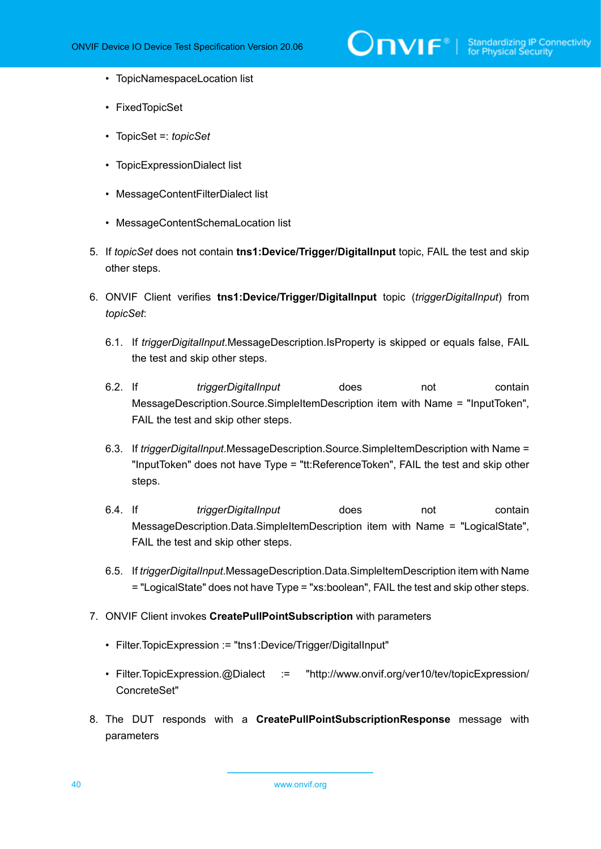

- TopicNamespaceLocation list
- FixedTopicSet
- TopicSet =: *topicSet*
- TopicExpressionDialect list
- MessageContentFilterDialect list
- MessageContentSchemaLocation list
- 5. If *topicSet* does not contain **tns1:Device/Trigger/DigitalInput** topic, FAIL the test and skip other steps.
- 6. ONVIF Client verifies **tns1:Device/Trigger/DigitalInput** topic (*triggerDigitalInput*) from *topicSet*:
	- 6.1. If *triggerDigitalInput*.MessageDescription.IsProperty is skipped or equals false, FAIL the test and skip other steps.
	- 6.2. If *triggerDigitalInput* does not contain MessageDescription.Source.SimpleItemDescription item with Name = "InputToken", FAIL the test and skip other steps.
	- 6.3. If *triggerDigitalInput*.MessageDescription.Source.SimpleItemDescription with Name = "InputToken" does not have Type = "tt:ReferenceToken", FAIL the test and skip other steps.
	- 6.4. If *triggerDigitalInput* does not contain MessageDescription.Data.SimpleItemDescription item with Name = "LogicalState", FAIL the test and skip other steps.
	- 6.5. If *triggerDigitalInput*.MessageDescription.Data.SimpleItemDescription item with Name = "LogicalState" does not have Type = "xs:boolean", FAIL the test and skip other steps.
- 7. ONVIF Client invokes **CreatePullPointSubscription** with parameters
	- Filter.TopicExpression := "tns1:Device/Trigger/DigitalInput"
	- Filter.TopicExpression.@Dialect := "http://www.onvif.org/ver10/tev/topicExpression/ ConcreteSet"
- 8. The DUT responds with a **CreatePullPointSubscriptionResponse** message with parameters

40 www.onvif.org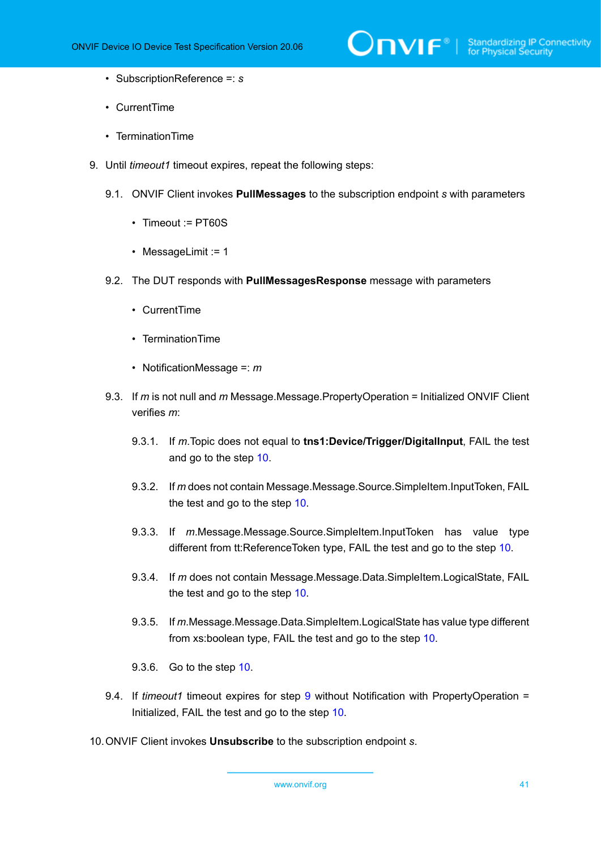- SubscriptionReference =: *s*
- CurrentTime
- TerminationTime
- <span id="page-40-1"></span>9. Until *timeout1* timeout expires, repeat the following steps:
	- 9.1. ONVIF Client invokes **PullMessages** to the subscription endpoint *s* with parameters
		- Timeout := PT60S
		- MessageLimit := 1
	- 9.2. The DUT responds with **PullMessagesResponse** message with parameters
		- CurrentTime
		- TerminationTime
		- NotificationMessage =: *m*
	- 9.3. If *m* is not null and *m* Message.Message.PropertyOperation = Initialized ONVIF Client verifies *m*:
		- 9.3.1. If *m*.Topic does not equal to **tns1:Device/Trigger/DigitalInput**, FAIL the test and go to the step [10](#page-40-0).
		- 9.3.2. If *m* does not contain Message.Message.Source.SimpleItem.InputToken, FAIL the test and go to the step [10](#page-40-0).
		- 9.3.3. If *m*.Message.Message.Source.SimpleItem.InputToken has value type different from tt:ReferenceToken type, FAIL the test and go to the step [10](#page-40-0).
		- 9.3.4. If *m* does not contain Message.Message.Data.SimpleItem.LogicalState, FAIL the test and go to the step [10](#page-40-0).
		- 9.3.5. If *m*.Message.Message.Data.SimpleItem.LogicalState has value type different from xs:boolean type, FAIL the test and go to the step [10](#page-40-0).
		- 9.3.6. Go to the step [10.](#page-40-0)
	- 9.4. If *timeout1* timeout expires for step [9](#page-40-1) without Notification with PropertyOperation = Initialized, FAIL the test and go to the step [10.](#page-40-0)
- <span id="page-40-0"></span>10.ONVIF Client invokes **Unsubscribe** to the subscription endpoint *s*.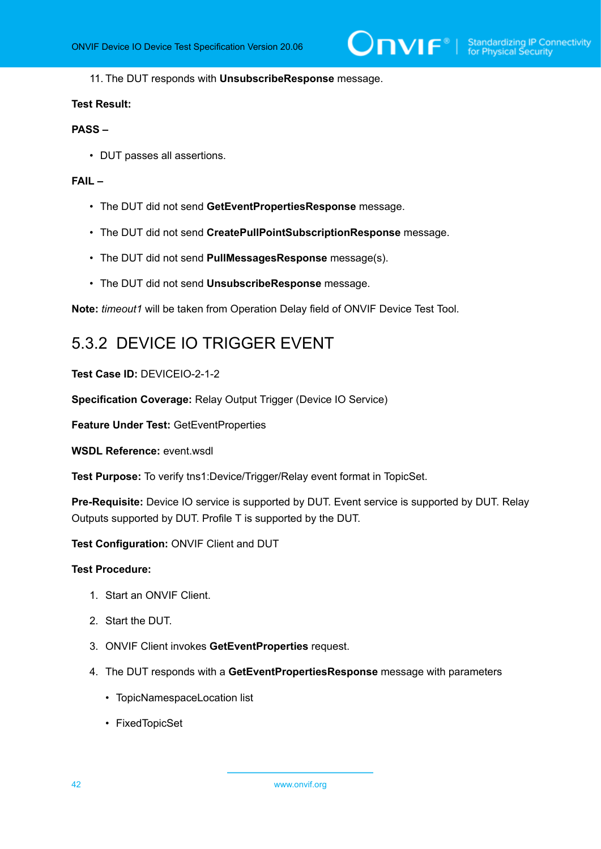11. The DUT responds with **UnsubscribeResponse** message.

#### **Test Result:**

## **PASS –**

• DUT passes all assertions.

#### **FAIL –**

- The DUT did not send **GetEventPropertiesResponse** message.
- The DUT did not send **CreatePullPointSubscriptionResponse** message.
- The DUT did not send **PullMessagesResponse** message(s).
- The DUT did not send **UnsubscribeResponse** message.

**Note:** *timeout1* will be taken from Operation Delay field of ONVIF Device Test Tool.

# 5.3.2 DEVICE IO TRIGGER EVENT

#### **Test Case ID:** DEVICEIO-2-1-2

**Specification Coverage:** Relay Output Trigger (Device IO Service)

**Feature Under Test:** GetEventProperties

**WSDL Reference:** event wsdl

**Test Purpose:** To verify tns1:Device/Trigger/Relay event format in TopicSet.

**Pre-Requisite:** Device IO service is supported by DUT. Event service is supported by DUT. Relay Outputs supported by DUT. Profile T is supported by the DUT.

**Test Configuration:** ONVIF Client and DUT

- 1. Start an ONVIF Client.
- 2. Start the DUT.
- 3. ONVIF Client invokes **GetEventProperties** request.
- 4. The DUT responds with a **GetEventPropertiesResponse** message with parameters
	- TopicNamespaceLocation list
	- FixedTopicSet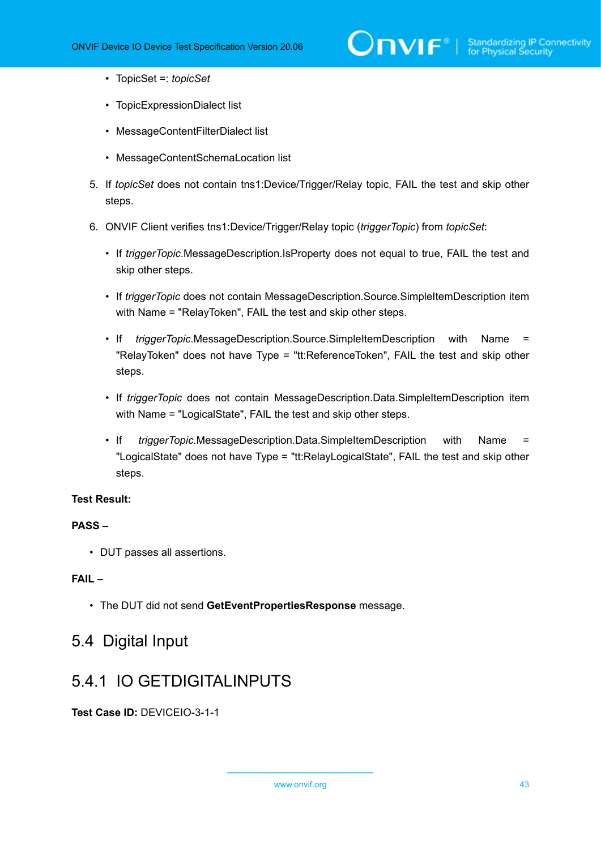# $\sum_{i} \sum_{i} \int_{\mathbf{F}}^{\mathbf{F}} | \int_{\mathbf{F}}^{\mathbf{S}}$  Standardizing IP Connectivity

- TopicSet =: *topicSet*
- TopicExpressionDialect list
- MessageContentFilterDialect list
- MessageContentSchemaLocation list
- 5. If *topicSet* does not contain tns1:Device/Trigger/Relay topic, FAIL the test and skip other steps.
- 6. ONVIF Client verifies tns1:Device/Trigger/Relay topic (*triggerTopic*) from *topicSet*:
	- If *triggerTopic*.MessageDescription.IsProperty does not equal to true, FAIL the test and skip other steps.
	- If *triggerTopic* does not contain MessageDescription.Source.SimpleItemDescription item with Name = "RelayToken", FAIL the test and skip other steps.
	- If *triggerTopic*.MessageDescription.Source.SimpleItemDescription with Name = "RelayToken" does not have Type = "tt:ReferenceToken", FAIL the test and skip other steps.
	- If *triggerTopic* does not contain MessageDescription.Data.SimpleItemDescription item with Name = "LogicalState", FAIL the test and skip other steps.
	- If *triggerTopic*.MessageDescription.Data.SimpleItemDescription with Name = "LogicalState" does not have Type = "tt:RelayLogicalState", FAIL the test and skip other steps.

#### **Test Result:**

#### **PASS –**

• DUT passes all assertions.

# **FAIL –**

• The DUT did not send **GetEventPropertiesResponse** message.

# 5.4 Digital Input

# 5.4.1 IO GETDIGITALINPUTS

**Test Case ID:** DEVICEIO-3-1-1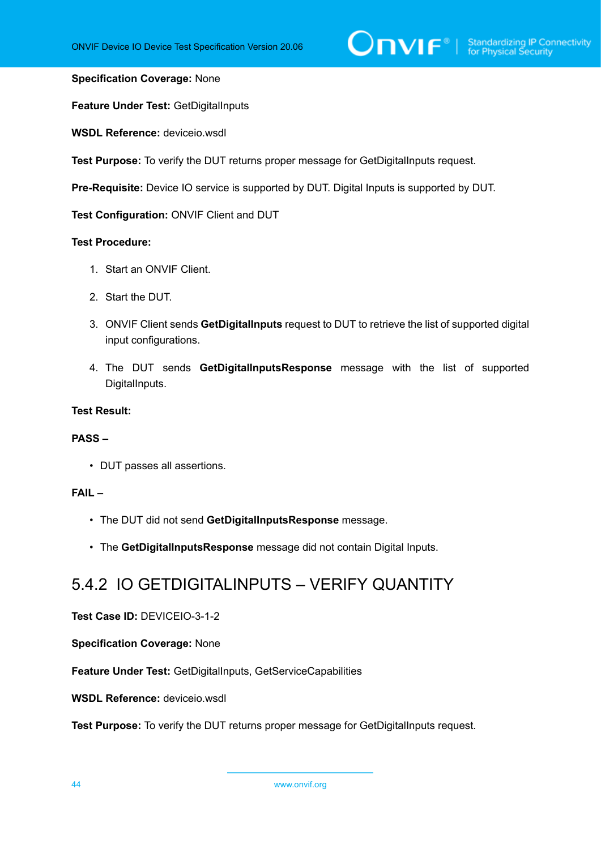# $\sum_{\text{IVIF}^\text{\tiny (\%)}}$  Standardizing IP Connectivity

#### **Specification Coverage:** None

**Feature Under Test:** GetDigitalInputs

**WSDL Reference:** deviceio.wsdl

**Test Purpose:** To verify the DUT returns proper message for GetDigitalInputs request.

**Pre-Requisite:** Device IO service is supported by DUT. Digital Inputs is supported by DUT.

**Test Configuration:** ONVIF Client and DUT

#### **Test Procedure:**

- 1. Start an ONVIF Client.
- 2. Start the DUT.
- 3. ONVIF Client sends **GetDigitalInputs** request to DUT to retrieve the list of supported digital input configurations.
- 4. The DUT sends **GetDigitalInputsResponse** message with the list of supported DigitalInputs.

#### **Test Result:**

#### **PASS –**

• DUT passes all assertions.

#### **FAIL –**

- The DUT did not send **GetDigitalInputsResponse** message.
- The **GetDigitalInputsResponse** message did not contain Digital Inputs.

# 5.4.2 IO GETDIGITALINPUTS – VERIFY QUANTITY

**Test Case ID:** DEVICEIO-3-1-2

**Specification Coverage:** None

**Feature Under Test:** GetDigitalInputs, GetServiceCapabilities

**WSDL Reference:** deviceio.wsdl

**Test Purpose:** To verify the DUT returns proper message for GetDigitalInputs request.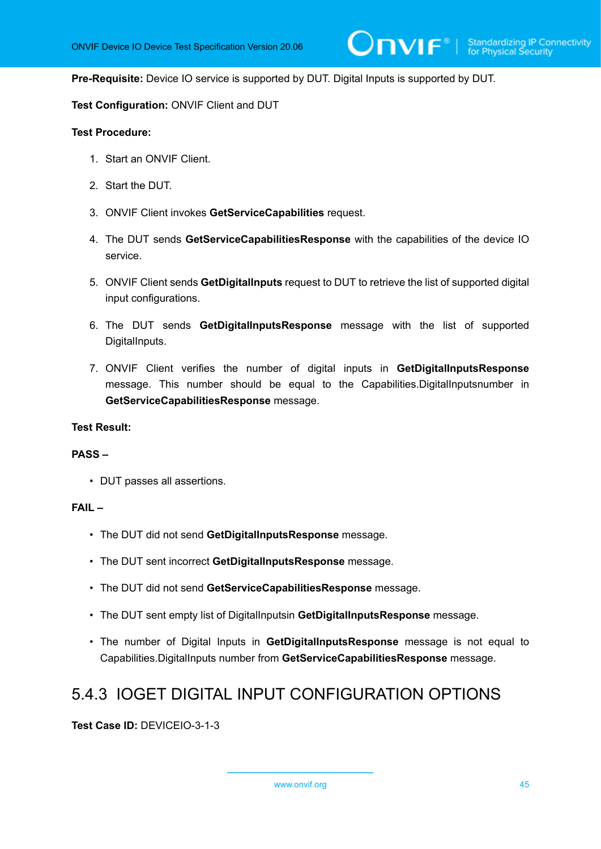**Pre-Requisite:** Device IO service is supported by DUT. Digital Inputs is supported by DUT.

#### **Test Configuration:** ONVIF Client and DUT

#### **Test Procedure:**

- 1. Start an ONVIF Client.
- 2. Start the DUT.
- 3. ONVIF Client invokes **GetServiceCapabilities** request.
- 4. The DUT sends **GetServiceCapabilitiesResponse** with the capabilities of the device IO service.
- 5. ONVIF Client sends **GetDigitalInputs** request to DUT to retrieve the list of supported digital input configurations.
- 6. The DUT sends **GetDigitalInputsResponse** message with the list of supported DigitalInputs.
- 7. ONVIF Client verifies the number of digital inputs in **GetDigitalInputsResponse** message. This number should be equal to the Capabilities.DigitalInputsnumber in **GetServiceCapabilitiesResponse** message.

## **Test Result:**

#### **PASS –**

• DUT passes all assertions.

#### **FAIL –**

- The DUT did not send **GetDigitalInputsResponse** message.
- The DUT sent incorrect **GetDigitalInputsResponse** message.
- The DUT did not send **GetServiceCapabilitiesResponse** message.
- The DUT sent empty list of DigitalInputsin **GetDigitalInputsResponse** message.
- The number of Digital Inputs in **GetDigitalInputsResponse** message is not equal to Capabilities.DigitalInputs number from **GetServiceCapabilitiesResponse** message.

# 5.4.3 IOGET DIGITAL INPUT CONFIGURATION OPTIONS

**Test Case ID:** DEVICEIO-3-1-3

www.onvif.org 45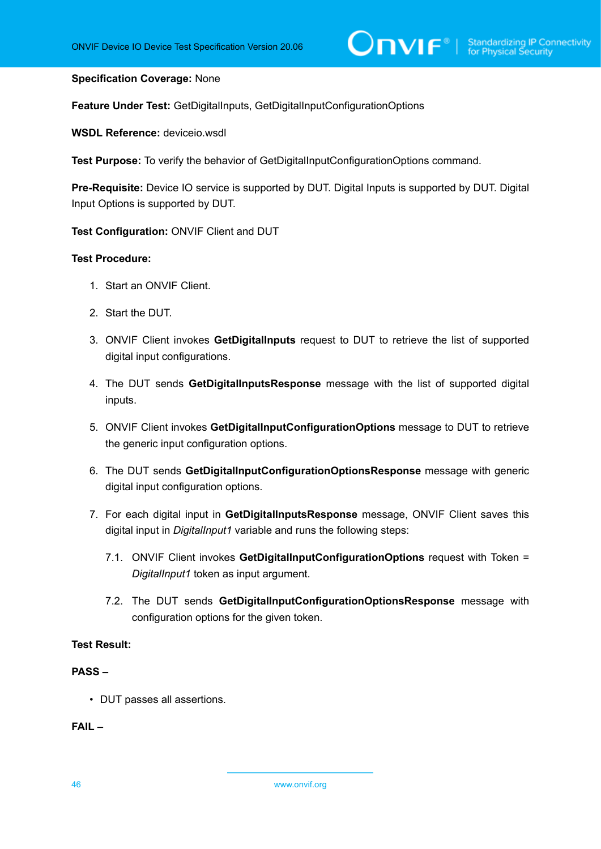#### **Specification Coverage:** None

**Feature Under Test:** GetDigitalInputs, GetDigitalInputConfigurationOptions

**WSDL Reference:** deviceio.wsdl

**Test Purpose:** To verify the behavior of GetDigitalInputConfigurationOptions command.

**Pre-Requisite:** Device IO service is supported by DUT. Digital Inputs is supported by DUT. Digital Input Options is supported by DUT.

**Test Configuration:** ONVIF Client and DUT

## **Test Procedure:**

- 1. Start an ONVIF Client.
- 2. Start the DUT.
- 3. ONVIF Client invokes **GetDigitalInputs** request to DUT to retrieve the list of supported digital input configurations.
- 4. The DUT sends **GetDigitalInputsResponse** message with the list of supported digital inputs.
- 5. ONVIF Client invokes **GetDigitalInputConfigurationOptions** message to DUT to retrieve the generic input configuration options.
- 6. The DUT sends **GetDigitalInputConfigurationOptionsResponse** message with generic digital input configuration options.
- 7. For each digital input in **GetDigitalInputsResponse** message, ONVIF Client saves this digital input in *DigitalInput1* variable and runs the following steps:
	- 7.1. ONVIF Client invokes **GetDigitalInputConfigurationOptions** request with Token = *DigitalInput1* token as input argument.
	- 7.2. The DUT sends **GetDigitalInputConfigurationOptionsResponse** message with configuration options for the given token.

## **Test Result:**

#### **PASS –**

• DUT passes all assertions.

**FAIL –**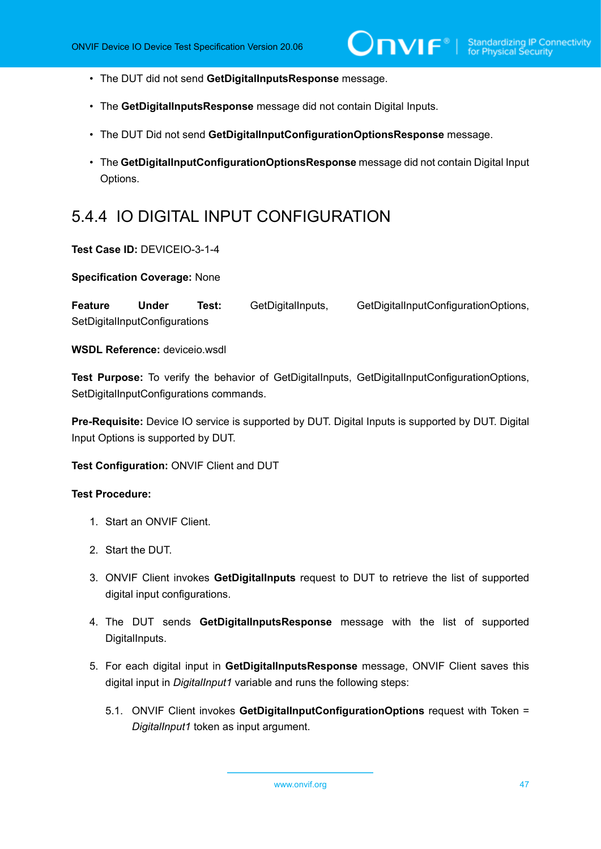- The DUT did not send **GetDigitalInputsResponse** message.
- The **GetDigitalInputsResponse** message did not contain Digital Inputs.
- The DUT Did not send **GetDigitalInputConfigurationOptionsResponse** message.
- The **GetDigitalInputConfigurationOptionsResponse** message did not contain Digital Input Options.

# 5.4.4 IO DIGITAL INPUT CONFIGURATION

## **Test Case ID:** DEVICEIO-3-1-4

**Specification Coverage:** None

**Feature Under Test:** GetDigitalInputs, GetDigitalInputConfigurationOptions, SetDigitalInputConfigurations

**WSDL Reference:** deviceio.wsdl

**Test Purpose:** To verify the behavior of GetDigitalInputs, GetDigitalInputConfigurationOptions, SetDigitalInputConfigurations commands.

**Pre-Requisite:** Device IO service is supported by DUT. Digital Inputs is supported by DUT. Digital Input Options is supported by DUT.

**Test Configuration:** ONVIF Client and DUT

- 1. Start an ONVIF Client.
- 2. Start the DUT.
- 3. ONVIF Client invokes **GetDigitalInputs** request to DUT to retrieve the list of supported digital input configurations.
- 4. The DUT sends **GetDigitalInputsResponse** message with the list of supported DigitalInputs.
- 5. For each digital input in **GetDigitalInputsResponse** message, ONVIF Client saves this digital input in *DigitalInput1* variable and runs the following steps:
	- 5.1. ONVIF Client invokes **GetDigitalInputConfigurationOptions** request with Token = *DigitalInput1* token as input argument.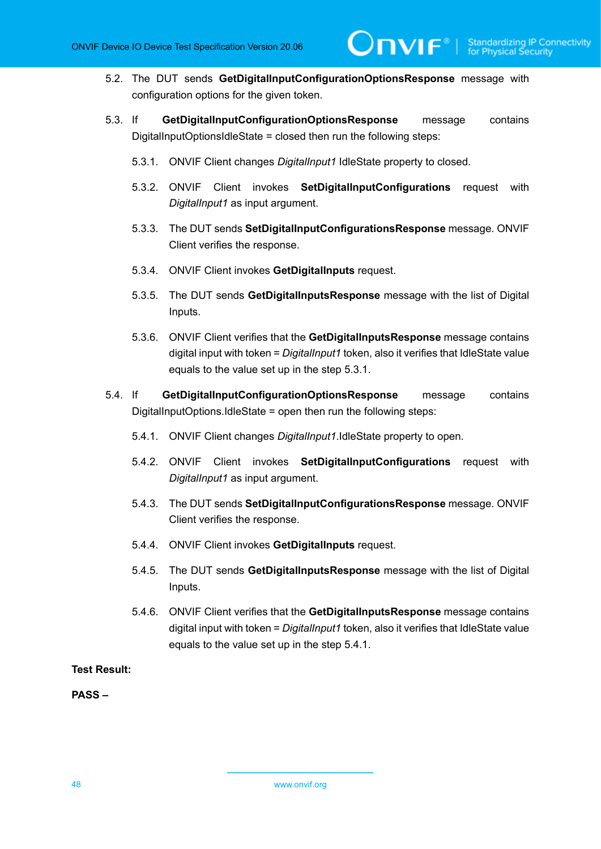5.2. The DUT sends **GetDigitalInputConfigurationOptionsResponse** message with configuration options for the given token.

 $\mathsf{J}\mathsf{IVIF}^*$  i

- 5.3. If **GetDigitalInputConfigurationOptionsResponse** message contains DigitalInputOptionsIdleState = closed then run the following steps:
	- 5.3.1. ONVIF Client changes *DigitalInput1* IdleState property to closed.
	- 5.3.2. ONVIF Client invokes **SetDigitalInputConfigurations** request with *DigitalInput1* as input argument.
	- 5.3.3. The DUT sends **SetDigitalInputConfigurationsResponse** message. ONVIF Client verifies the response.
	- 5.3.4. ONVIF Client invokes **GetDigitalInputs** request.
	- 5.3.5. The DUT sends **GetDigitalInputsResponse** message with the list of Digital Inputs.
	- 5.3.6. ONVIF Client verifies that the **GetDigitalInputsResponse** message contains digital input with token = *DigitalInput1* token, also it verifies that IdleState value equals to the value set up in the step 5.3.1.
- 5.4. If **GetDigitalInputConfigurationOptionsResponse** message contains DigitalInputOptions.IdleState = open then run the following steps:
	- 5.4.1. ONVIF Client changes *DigitalInput1*.IdleState property to open.
	- 5.4.2. ONVIF Client invokes **SetDigitalInputConfigurations** request with *DigitalInput1* as input argument.
	- 5.4.3. The DUT sends **SetDigitalInputConfigurationsResponse** message. ONVIF Client verifies the response.
	- 5.4.4. ONVIF Client invokes **GetDigitalInputs** request.
	- 5.4.5. The DUT sends **GetDigitalInputsResponse** message with the list of Digital Inputs.
	- 5.4.6. ONVIF Client verifies that the **GetDigitalInputsResponse** message contains digital input with token = *DigitalInput1* token, also it verifies that IdleState value equals to the value set up in the step 5.4.1.

#### **Test Result:**

**PASS –**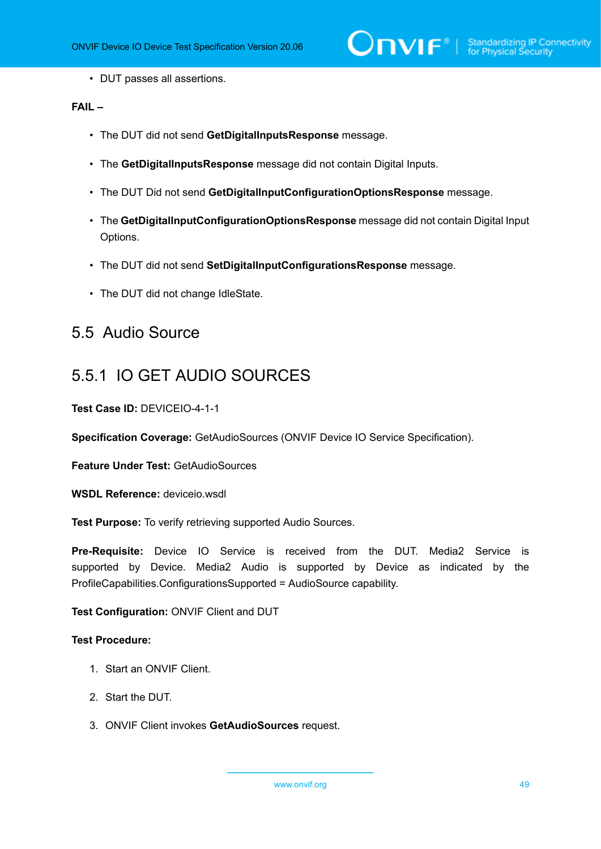• DUT passes all assertions.

## **FAIL –**

- The DUT did not send **GetDigitalInputsResponse** message.
- The **GetDigitalInputsResponse** message did not contain Digital Inputs.
- The DUT Did not send **GetDigitalInputConfigurationOptionsResponse** message.
- The **GetDigitalInputConfigurationOptionsResponse** message did not contain Digital Input Options.
- The DUT did not send **SetDigitalInputConfigurationsResponse** message.
- The DUT did not change IdleState.

# 5.5 Audio Source

# 5.5.1 IO GET AUDIO SOURCES

**Test Case ID:** DEVICEIO-4-1-1

**Specification Coverage:** GetAudioSources (ONVIF Device IO Service Specification).

**Feature Under Test:** GetAudioSources

**WSDL Reference:** deviceio.wsdl

**Test Purpose:** To verify retrieving supported Audio Sources.

**Pre-Requisite:** Device IO Service is received from the DUT. Media2 Service is supported by Device. Media2 Audio is supported by Device as indicated by the ProfileCapabilities.ConfigurationsSupported = AudioSource capability.

## **Test Configuration:** ONVIF Client and DUT

- 1. Start an ONVIF Client.
- 2. Start the DUT.
- 3. ONVIF Client invokes **GetAudioSources** request.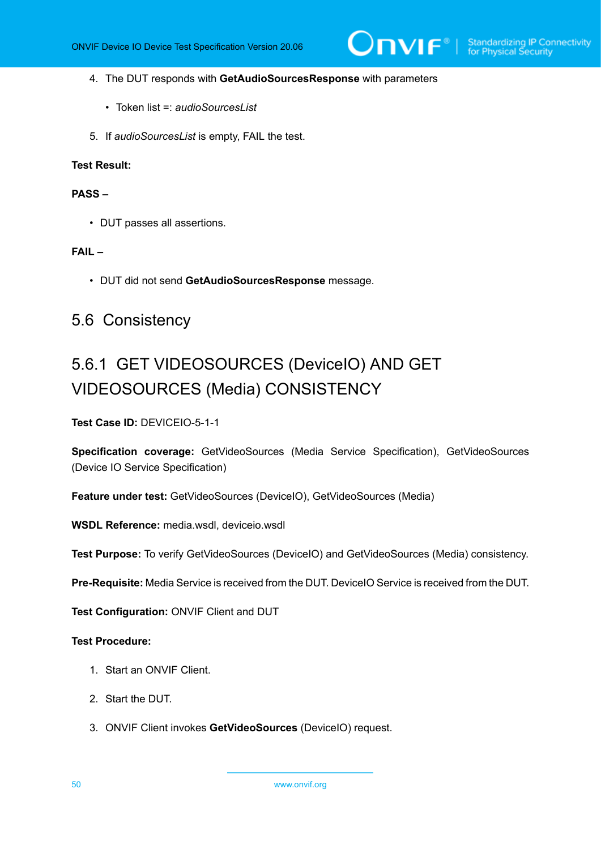- 4. The DUT responds with **GetAudioSourcesResponse** with parameters
	- Token list =: *audioSourcesList*
- 5. If *audioSourcesList* is empty, FAIL the test.

## **PASS –**

• DUT passes all assertions.

#### **FAIL –**

• DUT did not send **GetAudioSourcesResponse** message.

# 5.6 Consistency

# 5.6.1 GET VIDEOSOURCES (DeviceIO) AND GET VIDEOSOURCES (Media) CONSISTENCY

**Test Case ID:** DEVICEIO-5-1-1

**Specification coverage:** GetVideoSources (Media Service Specification), GetVideoSources (Device IO Service Specification)

**Feature under test:** GetVideoSources (DeviceIO), GetVideoSources (Media)

**WSDL Reference:** media.wsdl, deviceio.wsdl

**Test Purpose:** To verify GetVideoSources (DeviceIO) and GetVideoSources (Media) consistency.

**Pre-Requisite:** Media Service is received from the DUT. DeviceIO Service is received from the DUT.

**Test Configuration:** ONVIF Client and DUT

- 1. Start an ONVIF Client.
- 2. Start the DUT.
- 3. ONVIF Client invokes **GetVideoSources** (DeviceIO) request.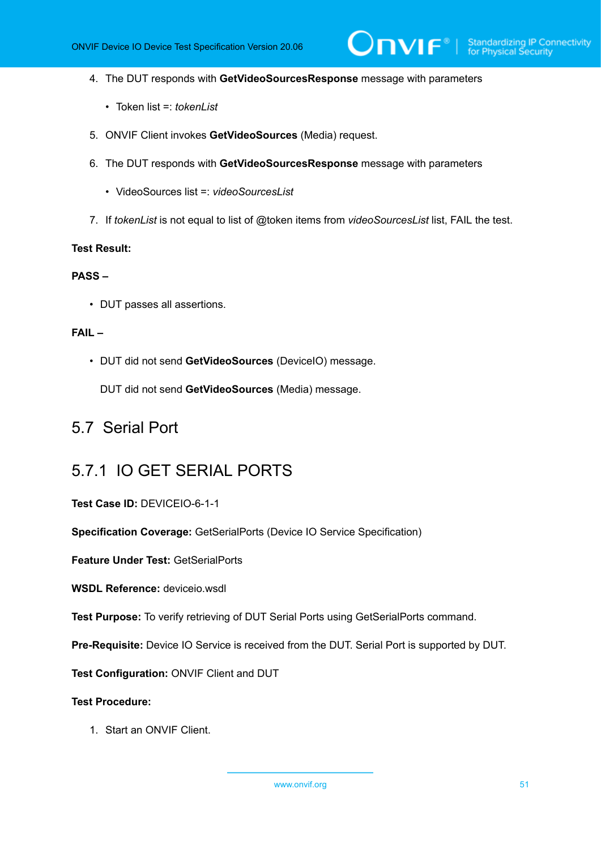$\mathsf{Divif}^*$  i

- 4. The DUT responds with **GetVideoSourcesResponse** message with parameters
	- Token list =: *tokenList*
- 5. ONVIF Client invokes **GetVideoSources** (Media) request.
- 6. The DUT responds with **GetVideoSourcesResponse** message with parameters
	- VideoSources list =: *videoSourcesList*
- 7. If *tokenList* is not equal to list of @token items from *videoSourcesList* list, FAIL the test.

#### **Test Result:**

#### **PASS –**

• DUT passes all assertions.

### **FAIL –**

• DUT did not send **GetVideoSources** (DeviceIO) message.

DUT did not send **GetVideoSources** (Media) message.

# 5.7 Serial Port

# 5.7.1 IO GET SERIAL PORTS

#### **Test Case ID:** DEVICEIO-6-1-1

**Specification Coverage:** GetSerialPorts (Device IO Service Specification)

**Feature Under Test:** GetSerialPorts

**WSDL Reference:** deviceio.wsdl

**Test Purpose:** To verify retrieving of DUT Serial Ports using GetSerialPorts command.

**Pre-Requisite:** Device IO Service is received from the DUT. Serial Port is supported by DUT.

**Test Configuration:** ONVIF Client and DUT

## **Test Procedure:**

1. Start an ONVIF Client.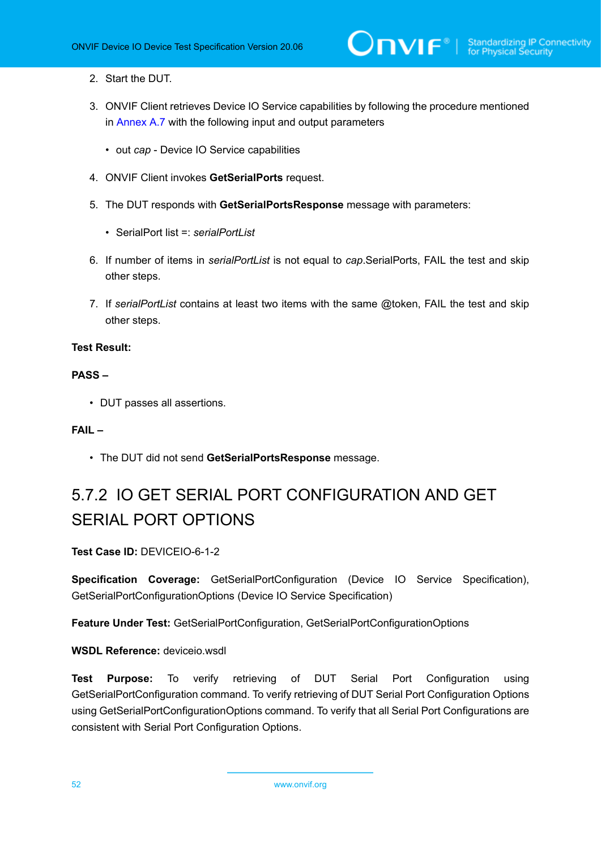- 2. Start the DUT.
- 3. ONVIF Client retrieves Device IO Service capabilities by following the procedure mentioned in [Annex A.7](#page-72-0) with the following input and output parameters
	- out *cap* Device IO Service capabilities
- 4. ONVIF Client invokes **GetSerialPorts** request.
- 5. The DUT responds with **GetSerialPortsResponse** message with parameters:
	- SerialPort list =: *serialPortList*
- 6. If number of items in *serialPortList* is not equal to *cap*.SerialPorts, FAIL the test and skip other steps.
- 7. If *serialPortList* contains at least two items with the same @token, FAIL the test and skip other steps.

## **PASS –**

• DUT passes all assertions.

## **FAIL –**

• The DUT did not send **GetSerialPortsResponse** message.

# 5.7.2 IO GET SERIAL PORT CONFIGURATION AND GET SERIAL PORT OPTIONS

**Test Case ID:** DEVICEIO-6-1-2

**Specification Coverage:** GetSerialPortConfiguration (Device IO Service Specification), GetSerialPortConfigurationOptions (Device IO Service Specification)

**Feature Under Test:** GetSerialPortConfiguration, GetSerialPortConfigurationOptions

**WSDL Reference:** deviceio.wsdl

**Test Purpose:** To verify retrieving of DUT Serial Port Configuration using GetSerialPortConfiguration command. To verify retrieving of DUT Serial Port Configuration Options using GetSerialPortConfigurationOptions command. To verify that all Serial Port Configurations are consistent with Serial Port Configuration Options.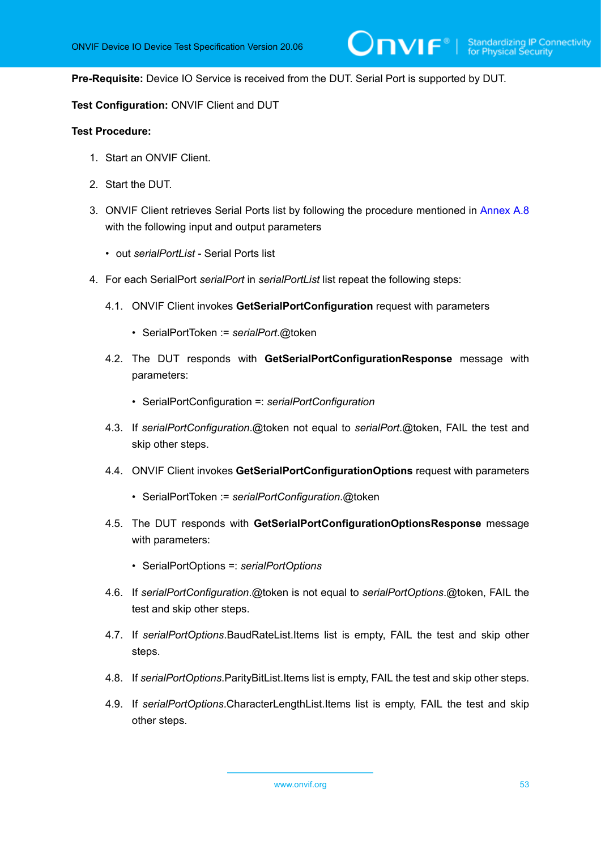**Pre-Requisite:** Device IO Service is received from the DUT. Serial Port is supported by DUT.

#### **Test Configuration:** ONVIF Client and DUT

- 1. Start an ONVIF Client.
- 2. Start the DUT.
- 3. ONVIF Client retrieves Serial Ports list by following the procedure mentioned in [Annex A.8](#page-73-1) with the following input and output parameters
	- out *serialPortList* Serial Ports list
- 4. For each SerialPort *serialPort* in *serialPortList* list repeat the following steps:
	- 4.1. ONVIF Client invokes **GetSerialPortConfiguration** request with parameters
		- SerialPortToken := *serialPort*.@token
	- 4.2. The DUT responds with **GetSerialPortConfigurationResponse** message with parameters:
		- SerialPortConfiguration =: *serialPortConfiguration*
	- 4.3. If *serialPortConfiguration*.@token not equal to *serialPort*.@token, FAIL the test and skip other steps.
	- 4.4. ONVIF Client invokes **GetSerialPortConfigurationOptions** request with parameters
		- SerialPortToken := *serialPortConfiguration*.@token
	- 4.5. The DUT responds with **GetSerialPortConfigurationOptionsResponse** message with parameters:
		- SerialPortOptions =: *serialPortOptions*
	- 4.6. If *serialPortConfiguration*.@token is not equal to *serialPortOptions*.@token, FAIL the test and skip other steps.
	- 4.7. If *serialPortOptions*.BaudRateList.Items list is empty, FAIL the test and skip other steps.
	- 4.8. If *serialPortOptions*.ParityBitList.Items list is empty, FAIL the test and skip other steps.
	- 4.9. If *serialPortOptions*.CharacterLengthList.Items list is empty, FAIL the test and skip other steps.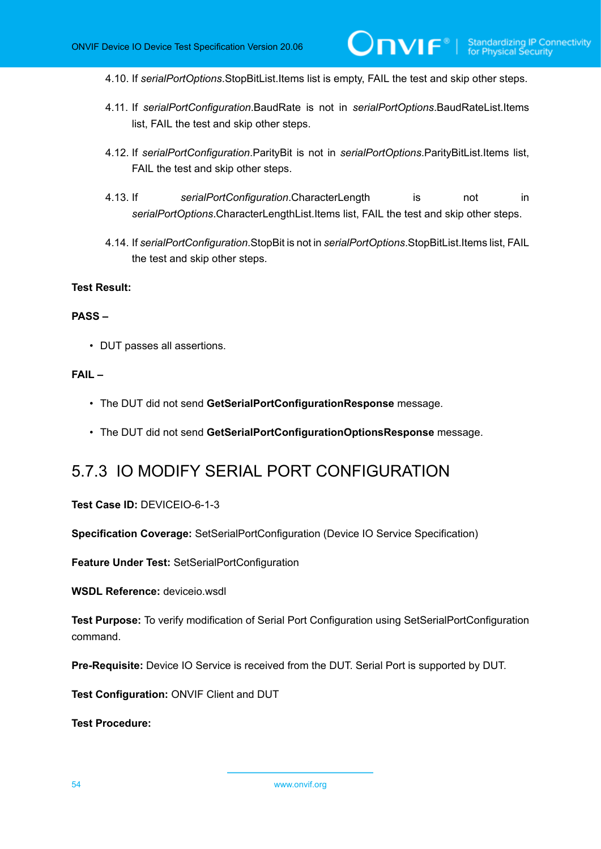4.10. If *serialPortOptions*.StopBitList.Items list is empty, FAIL the test and skip other steps.

- 4.11. If *serialPortConfiguration*.BaudRate is not in *serialPortOptions*.BaudRateList.Items list, FAIL the test and skip other steps.
- 4.12. If *serialPortConfiguration*.ParityBit is not in *serialPortOptions*.ParityBitList.Items list, FAIL the test and skip other steps.
- 4.13. If *serialPortConfiguration*.CharacterLength is not in *serialPortOptions*.CharacterLengthList.Items list, FAIL the test and skip other steps.
- 4.14. If *serialPortConfiguration*.StopBit is not in *serialPortOptions*.StopBitList.Items list, FAIL the test and skip other steps.

#### **Test Result:**

#### **PASS –**

• DUT passes all assertions.

## **FAIL –**

- The DUT did not send **GetSerialPortConfigurationResponse** message.
- The DUT did not send **GetSerialPortConfigurationOptionsResponse** message.

# 5.7.3 IO MODIFY SERIAL PORT CONFIGURATION

**Test Case ID:** DEVICEIO-6-1-3

**Specification Coverage:** SetSerialPortConfiguration (Device IO Service Specification)

**Feature Under Test:** SetSerialPortConfiguration

**WSDL Reference:** deviceio.wsdl

**Test Purpose:** To verify modification of Serial Port Configuration using SetSerialPortConfiguration command.

**Pre-Requisite:** Device IO Service is received from the DUT. Serial Port is supported by DUT.

**Test Configuration:** ONVIF Client and DUT

**Test Procedure:**

54 www.onvif.org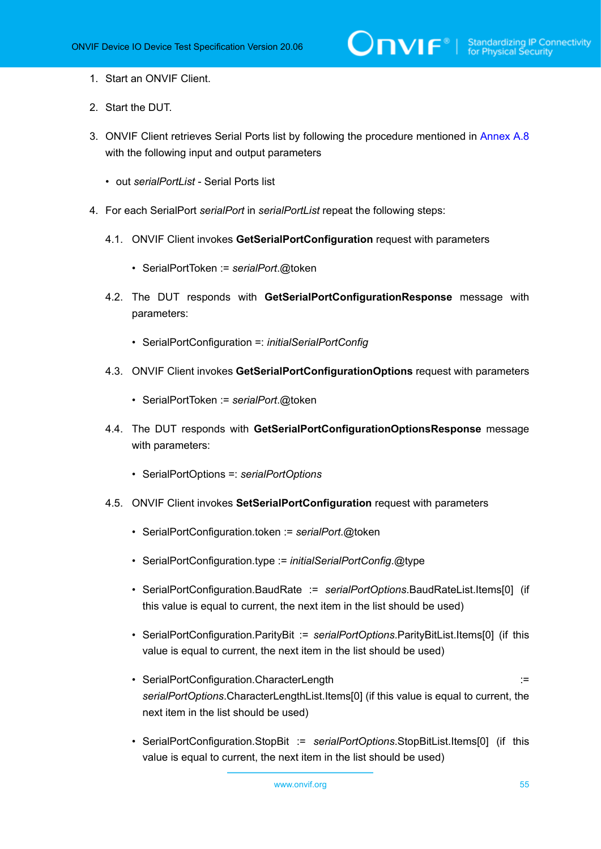- 1. Start an ONVIF Client.
- 2. Start the DUT.
- 3. ONVIF Client retrieves Serial Ports list by following the procedure mentioned in [Annex A.8](#page-73-1) with the following input and output parameters
	- out *serialPortList* Serial Ports list
- <span id="page-54-0"></span>4. For each SerialPort *serialPort* in *serialPortList* repeat the following steps:
	- 4.1. ONVIF Client invokes **GetSerialPortConfiguration** request with parameters
		- SerialPortToken := *serialPort*.@token
	- 4.2. The DUT responds with **GetSerialPortConfigurationResponse** message with parameters:
		- SerialPortConfiguration =: *initialSerialPortConfig*
	- 4.3. ONVIF Client invokes **GetSerialPortConfigurationOptions** request with parameters
		- SerialPortToken := *serialPort*.@token
	- 4.4. The DUT responds with **GetSerialPortConfigurationOptionsResponse** message with parameters:
		- SerialPortOptions =: *serialPortOptions*
	- 4.5. ONVIF Client invokes **SetSerialPortConfiguration** request with parameters
		- SerialPortConfiguration.token := *serialPort*.@token
		- SerialPortConfiguration.type := *initialSerialPortConfig*.@type
		- SerialPortConfiguration.BaudRate := *serialPortOptions*.BaudRateList.Items[0] (if this value is equal to current, the next item in the list should be used)
		- SerialPortConfiguration.ParityBit := *serialPortOptions*.ParityBitList.Items[0] (if this value is equal to current, the next item in the list should be used)
		- SerialPortConfiguration.CharacterLength := *serialPortOptions*.CharacterLengthList.Items[0] (if this value is equal to current, the next item in the list should be used)
		- SerialPortConfiguration.StopBit := *serialPortOptions*.StopBitList.Items[0] (if this value is equal to current, the next item in the list should be used)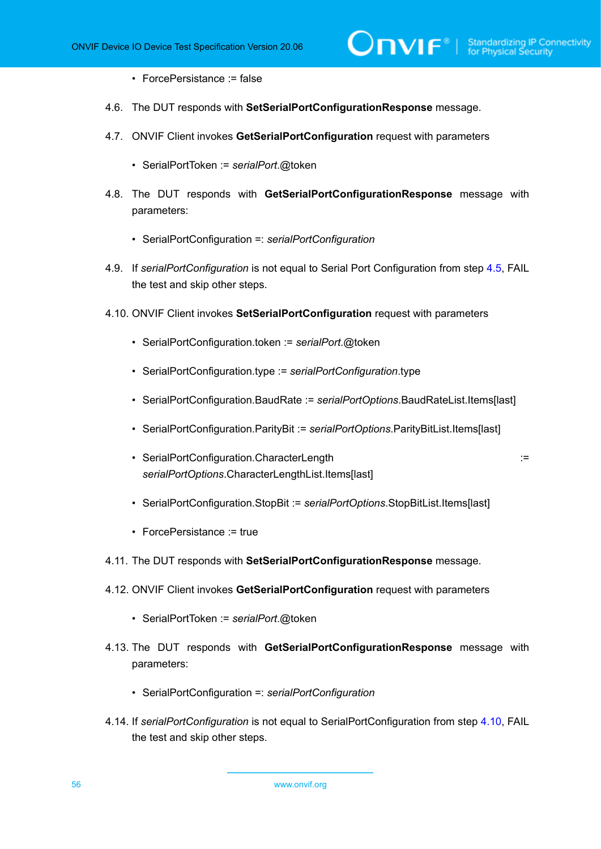- ForcePersistance := false
- 4.6. The DUT responds with **SetSerialPortConfigurationResponse** message.
- 4.7. ONVIF Client invokes **GetSerialPortConfiguration** request with parameters
	- SerialPortToken := *serialPort*.@token
- 4.8. The DUT responds with **GetSerialPortConfigurationResponse** message with parameters:
	- SerialPortConfiguration =: *serialPortConfiguration*
- 4.9. If *serialPortConfiguration* is not equal to Serial Port Configuration from step [4.5,](#page-54-0) FAIL the test and skip other steps.
- <span id="page-55-0"></span>4.10. ONVIF Client invokes **SetSerialPortConfiguration** request with parameters
	- SerialPortConfiguration.token := *serialPort*.@token
	- SerialPortConfiguration.type := *serialPortConfiguration*.type
	- SerialPortConfiguration.BaudRate := *serialPortOptions*.BaudRateList.Items[last]
	- SerialPortConfiguration.ParityBit := *serialPortOptions*.ParityBitList.Items[last]
	- SerialPortConfiguration.CharacterLength := *serialPortOptions*.CharacterLengthList.Items[last]

- SerialPortConfiguration.StopBit := *serialPortOptions*.StopBitList.Items[last]
- ForcePersistance := true
- 4.11. The DUT responds with **SetSerialPortConfigurationResponse** message.
- 4.12. ONVIF Client invokes **GetSerialPortConfiguration** request with parameters
	- SerialPortToken := *serialPort*.@token
- 4.13. The DUT responds with **GetSerialPortConfigurationResponse** message with parameters:
	- SerialPortConfiguration =: *serialPortConfiguration*
- 4.14. If *serialPortConfiguration* is not equal to SerialPortConfiguration from step [4.10,](#page-55-0) FAIL the test and skip other steps.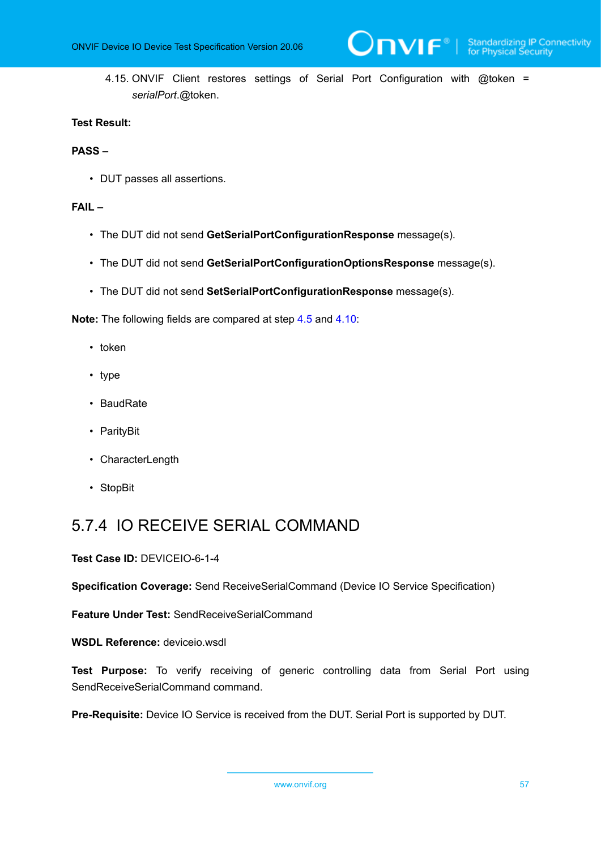4.15. ONVIF Client restores settings of Serial Port Configuration with @token = *serialPort*.@token.

 $\mathsf{J}\mathsf{IVIF}^*$  i

## **Test Result:**

#### **PASS –**

• DUT passes all assertions.

## **FAIL –**

- The DUT did not send **GetSerialPortConfigurationResponse** message(s).
- The DUT did not send **GetSerialPortConfigurationOptionsResponse** message(s).
- The DUT did not send **SetSerialPortConfigurationResponse** message(s).

**Note:** The following fields are compared at step [4.5](#page-54-0) and [4.10](#page-55-0):

- token
- type
- BaudRate
- ParityBit
- CharacterLength
- StopBit

# 5.7.4 IO RECEIVE SERIAL COMMAND

**Test Case ID:** DEVICEIO-6-1-4

**Specification Coverage:** Send ReceiveSerialCommand (Device IO Service Specification)

**Feature Under Test:** SendReceiveSerialCommand

**WSDL Reference:** deviceio.wsdl

**Test Purpose:** To verify receiving of generic controlling data from Serial Port using SendReceiveSerialCommand command.

**Pre-Requisite:** Device IO Service is received from the DUT. Serial Port is supported by DUT.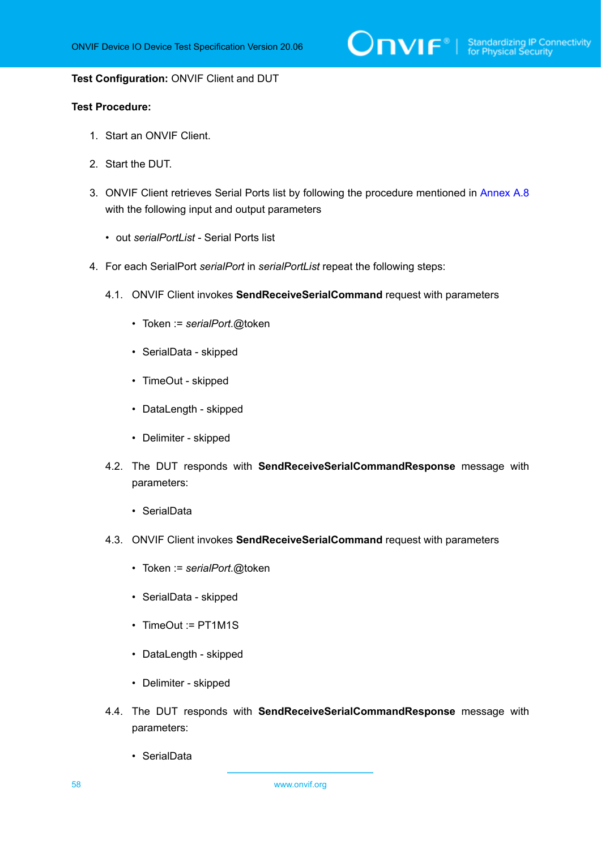$\sum_{\text{IVIF}^{\circ} | \text{Standardizing IP Connectivity}}$ 

#### **Test Configuration:** ONVIF Client and DUT

- 1. Start an ONVIF Client.
- 2. Start the DUT.
- 3. ONVIF Client retrieves Serial Ports list by following the procedure mentioned in [Annex A.8](#page-73-1) with the following input and output parameters
	- out *serialPortList* Serial Ports list
- <span id="page-57-1"></span><span id="page-57-0"></span>4. For each SerialPort *serialPort* in *serialPortList* repeat the following steps:
	- 4.1. ONVIF Client invokes **SendReceiveSerialCommand** request with parameters
		- Token := *serialPort*.@token
		- SerialData skipped
		- TimeOut skipped
		- DataLength skipped
		- Delimiter skipped
	- 4.2. The DUT responds with **SendReceiveSerialCommandResponse** message with parameters:
		- SerialData
	- 4.3. ONVIF Client invokes **SendReceiveSerialCommand** request with parameters
		- Token := *serialPort*.@token
		- SerialData skipped
		- TimeOut := PT1M1S
		- DataLength skipped
		- Delimiter skipped
	- 4.4. The DUT responds with **SendReceiveSerialCommandResponse** message with parameters:
		- SerialData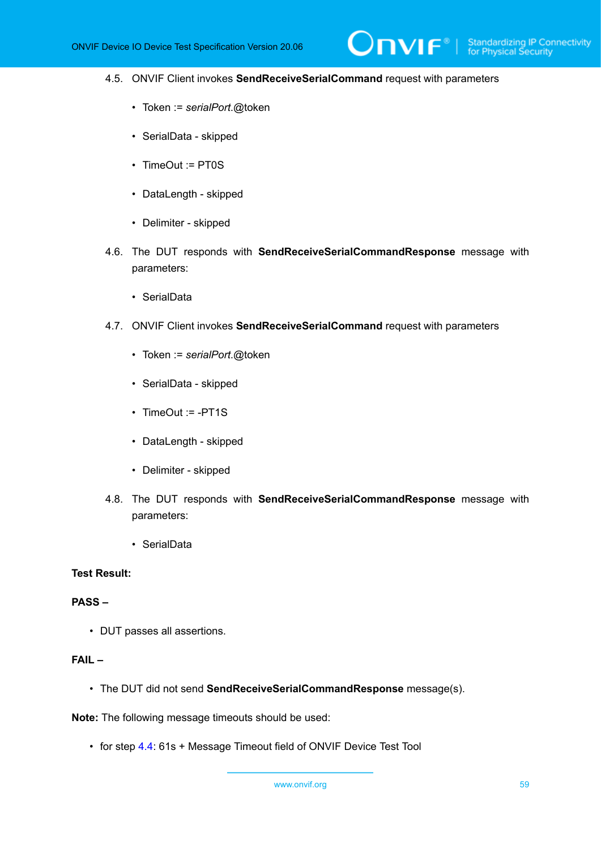#### 4.5. ONVIF Client invokes **SendReceiveSerialCommand** request with parameters

 $\mathsf{D}\mathbf{N}\mathsf{I}\mathsf{F}^\ast$ l

- Token := *serialPort*.@token
- SerialData skipped
- TimeOut := PT0S
- DataLength skipped
- Delimiter skipped
- 4.6. The DUT responds with **SendReceiveSerialCommandResponse** message with parameters:
	- SerialData
- 4.7. ONVIF Client invokes **SendReceiveSerialCommand** request with parameters
	- Token := *serialPort*.@token
	- SerialData skipped
	- TimeOut := -PT1S
	- DataLength skipped
	- Delimiter skipped
- <span id="page-58-0"></span>4.8. The DUT responds with **SendReceiveSerialCommandResponse** message with parameters:
	- SerialData

## **Test Result:**

## **PASS –**

• DUT passes all assertions.

## **FAIL –**

• The DUT did not send **SendReceiveSerialCommandResponse** message(s).

**Note:** The following message timeouts should be used:

• for step [4.4:](#page-57-0) 61s + Message Timeout field of ONVIF Device Test Tool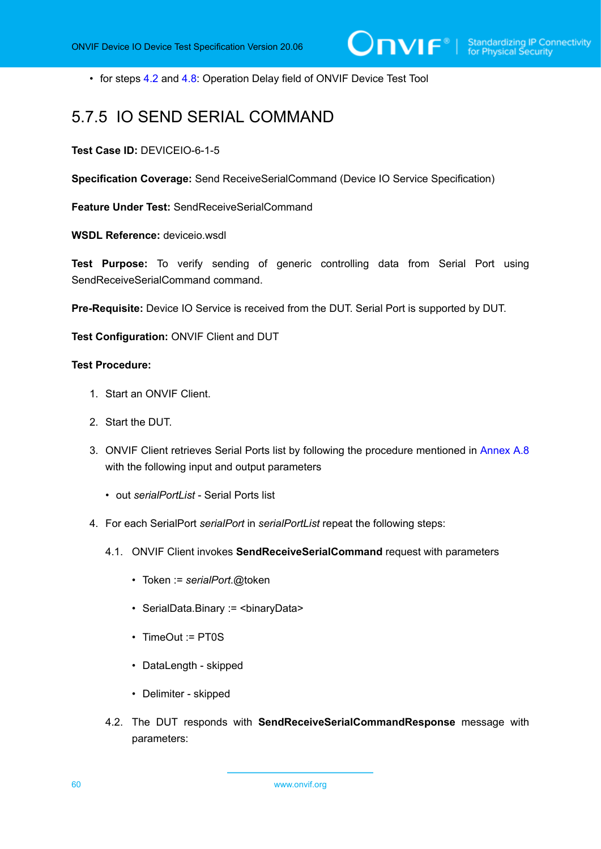• for steps [4.2](#page-57-1) and [4.8:](#page-58-0) Operation Delay field of ONVIF Device Test Tool

# 5.7.5 IO SEND SERIAL COMMAND

**Test Case ID:** DEVICEIO-6-1-5

**Specification Coverage:** Send ReceiveSerialCommand (Device IO Service Specification)

**Feature Under Test:** SendReceiveSerialCommand

**WSDL Reference:** deviceio.wsdl

**Test Purpose:** To verify sending of generic controlling data from Serial Port using SendReceiveSerialCommand command.

**Pre-Requisite:** Device IO Service is received from the DUT. Serial Port is supported by DUT.

**Test Configuration:** ONVIF Client and DUT

- 1. Start an ONVIF Client.
- 2. Start the DUT.
- 3. ONVIF Client retrieves Serial Ports list by following the procedure mentioned in [Annex A.8](#page-73-1) with the following input and output parameters
	- out *serialPortList* Serial Ports list
- 4. For each SerialPort *serialPort* in *serialPortList* repeat the following steps:
	- 4.1. ONVIF Client invokes **SendReceiveSerialCommand** request with parameters
		- Token := *serialPort*.@token
		- SerialData.Binary := <binaryData>
		- TimeOut := PT0S
		- DataLength skipped
		- Delimiter skipped
	- 4.2. The DUT responds with **SendReceiveSerialCommandResponse** message with parameters: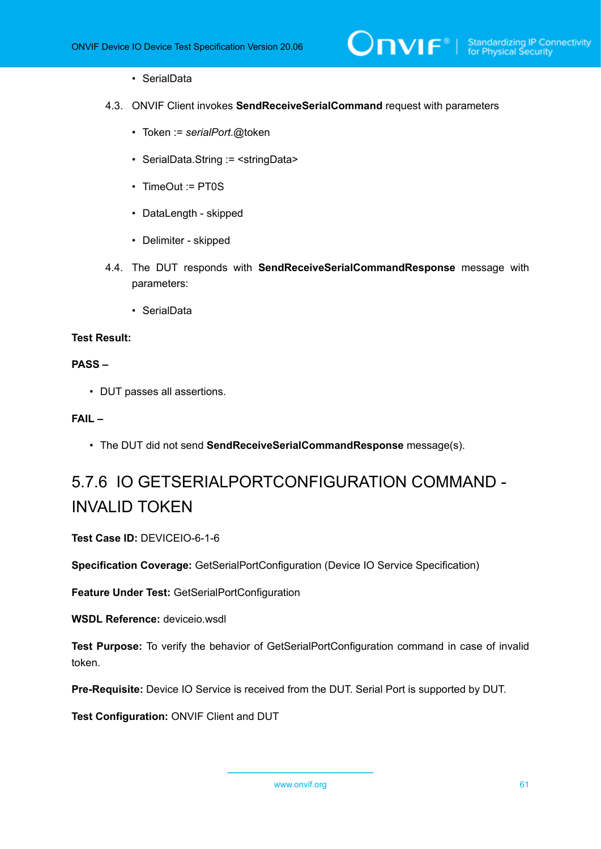- SerialData
- 4.3. ONVIF Client invokes **SendReceiveSerialCommand** request with parameters
	- Token := *serialPort*.@token
	- SerialData.String := <stringData>
	- TimeOut := PT0S
	- DataLength skipped
	- Delimiter skipped
- 4.4. The DUT responds with **SendReceiveSerialCommandResponse** message with parameters:
	- SerialData

#### **PASS –**

• DUT passes all assertions.

#### **FAIL –**

• The DUT did not send **SendReceiveSerialCommandResponse** message(s).

# 5.7.6 IO GETSERIALPORTCONFIGURATION COMMAND - INVALID TOKEN

**Test Case ID:** DEVICEIO-6-1-6

**Specification Coverage:** GetSerialPortConfiguration (Device IO Service Specification)

**Feature Under Test:** GetSerialPortConfiguration

**WSDL Reference:** deviceio.wsdl

**Test Purpose:** To verify the behavior of GetSerialPortConfiguration command in case of invalid token.

**Pre-Requisite:** Device IO Service is received from the DUT. Serial Port is supported by DUT.

**Test Configuration:** ONVIF Client and DUT

www.onvif.org 61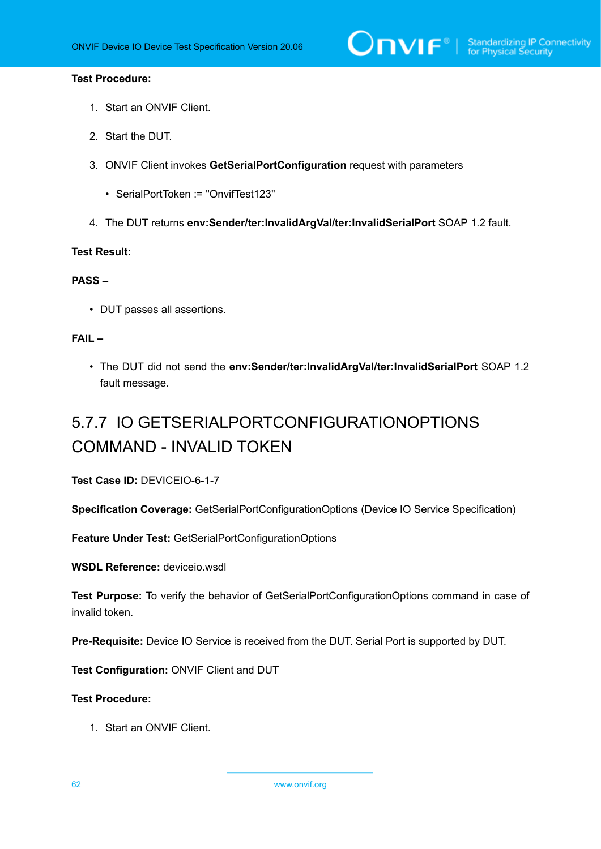# $\bigcirc$   $\bigcap$   $\bigvee$   $\bigcirc$   $\bigcirc$   $\bigcirc$   $\bigcirc$   $\bigcirc$   $\bigcirc$   $\bigcirc$   $\bigcirc$   $\bigcirc$   $\bigcirc$   $\bigcirc$   $\bigcirc$   $\bigcirc$   $\bigcirc$   $\bigcirc$   $\bigcirc$   $\bigcirc$   $\bigcirc$   $\bigcirc$   $\bigcirc$   $\bigcirc$   $\bigcirc$   $\bigcirc$   $\bigcirc$   $\bigcirc$   $\bigcirc$   $\bigcirc$   $\bigcirc$   $\bigcirc$   $\bigcirc$   $\bigcirc$   $\bigcirc$   $\bigcirc$   $\bigcirc$

#### **Test Procedure:**

- 1. Start an ONVIF Client.
- 2. Start the DUT.
- 3. ONVIF Client invokes **GetSerialPortConfiguration** request with parameters
	- SerialPortToken := "OnvifTest123"
- 4. The DUT returns **env:Sender/ter:InvalidArgVal/ter:InvalidSerialPort** SOAP 1.2 fault.

## **Test Result:**

#### **PASS –**

• DUT passes all assertions.

## **FAIL –**

• The DUT did not send the **env:Sender/ter:InvalidArgVal/ter:InvalidSerialPort** SOAP 1.2 fault message.

# 5.7.7 IO GETSERIALPORTCONFIGURATIONOPTIONS COMMAND - INVALID TOKEN

**Test Case ID:** DEVICEIO-6-1-7

**Specification Coverage:** GetSerialPortConfigurationOptions (Device IO Service Specification)

**Feature Under Test:** GetSerialPortConfigurationOptions

**WSDL Reference:** deviceio.wsdl

**Test Purpose:** To verify the behavior of GetSerialPortConfigurationOptions command in case of invalid token.

**Pre-Requisite:** Device IO Service is received from the DUT. Serial Port is supported by DUT.

**Test Configuration:** ONVIF Client and DUT

#### **Test Procedure:**

1. Start an ONVIF Client.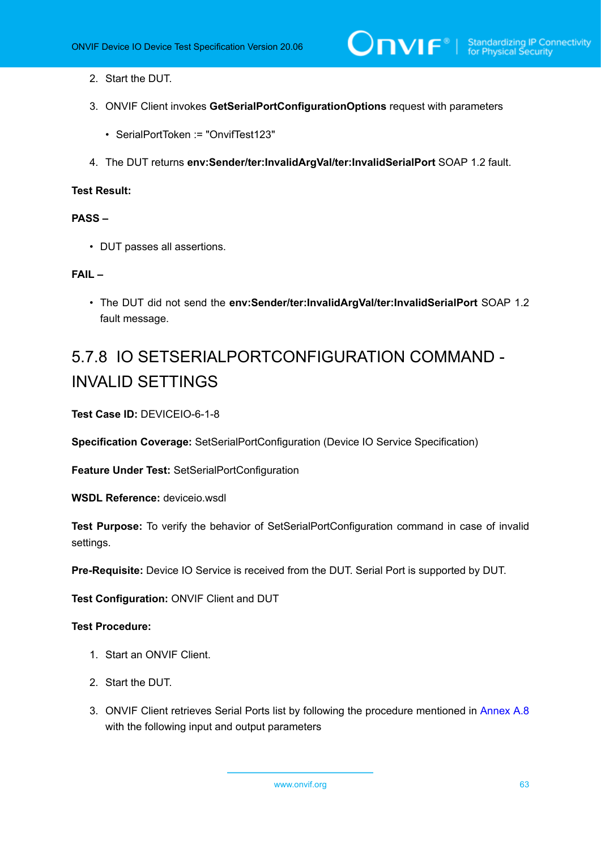- 2. Start the DUT.
- 3. ONVIF Client invokes **GetSerialPortConfigurationOptions** request with parameters
	- SerialPortToken := "OnvifTest123"
- 4. The DUT returns **env:Sender/ter:InvalidArgVal/ter:InvalidSerialPort** SOAP 1.2 fault.

#### **PASS –**

• DUT passes all assertions.

#### **FAIL –**

• The DUT did not send the **env:Sender/ter:InvalidArgVal/ter:InvalidSerialPort** SOAP 1.2 fault message.

# 5.7.8 IO SETSERIALPORTCONFIGURATION COMMAND - INVALID SETTINGS

**Test Case ID:** DEVICEIO-6-1-8

**Specification Coverage:** SetSerialPortConfiguration (Device IO Service Specification)

**Feature Under Test:** SetSerialPortConfiguration

**WSDL Reference:** deviceio.wsdl

**Test Purpose:** To verify the behavior of SetSerialPortConfiguration command in case of invalid settings.

**Pre-Requisite:** Device IO Service is received from the DUT. Serial Port is supported by DUT.

**Test Configuration:** ONVIF Client and DUT

- 1. Start an ONVIF Client.
- 2. Start the DUT.
- 3. ONVIF Client retrieves Serial Ports list by following the procedure mentioned in [Annex A.8](#page-73-1) with the following input and output parameters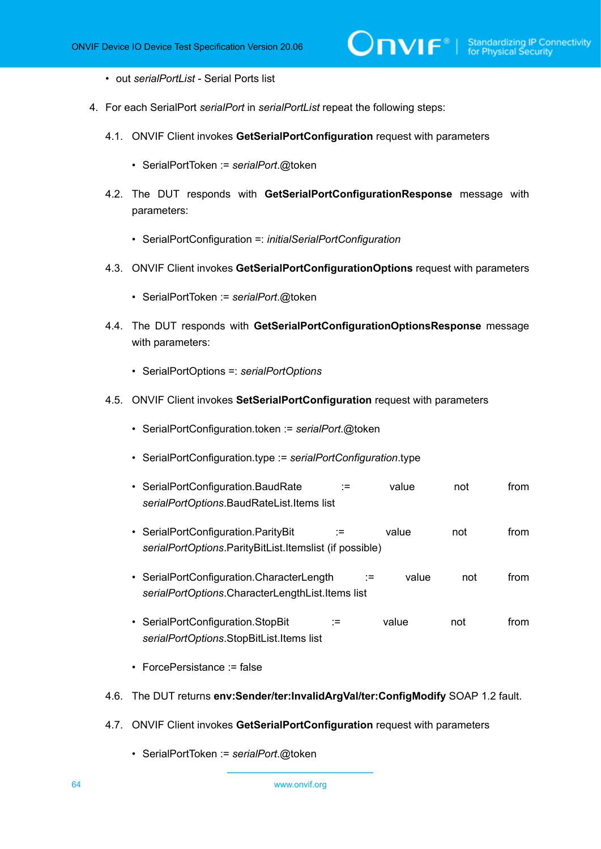$\mathbf{\mathsf{Divif}}^*$  i

- out *serialPortList* Serial Ports list
- 4. For each SerialPort *serialPort* in *serialPortList* repeat the following steps:
	- 4.1. ONVIF Client invokes **GetSerialPortConfiguration** request with parameters
		- SerialPortToken := *serialPort*.@token
	- 4.2. The DUT responds with **GetSerialPortConfigurationResponse** message with parameters:
		- SerialPortConfiguration =: *initialSerialPortConfiguration*
	- 4.3. ONVIF Client invokes **GetSerialPortConfigurationOptions** request with parameters
		- SerialPortToken := *serialPort*.@token
	- 4.4. The DUT responds with **GetSerialPortConfigurationOptionsResponse** message with parameters:
		- SerialPortOptions =: *serialPortOptions*
	- 4.5. ONVIF Client invokes **SetSerialPortConfiguration** request with parameters
		- SerialPortConfiguration.token := *serialPort*.@token
		- SerialPortConfiguration.type := *serialPortConfiguration*.type
		- SerialPortConfiguration.BaudRate := value not from *serialPortOptions*.BaudRateList.Items list
		- SerialPortConfiguration.ParityBit := value not from *serialPortOptions*.ParityBitList.Itemslist (if possible)
		- SerialPortConfiguration.CharacterLength := value not from *serialPortOptions*.CharacterLengthList.Items list
		- SerialPortConfiguration.StopBit := value not from *serialPortOptions*.StopBitList.Items list
		- ForcePersistance := false
	- 4.6. The DUT returns **env:Sender/ter:InvalidArgVal/ter:ConfigModify** SOAP 1.2 fault.
	- 4.7. ONVIF Client invokes **GetSerialPortConfiguration** request with parameters
		- SerialPortToken := *serialPort*.@token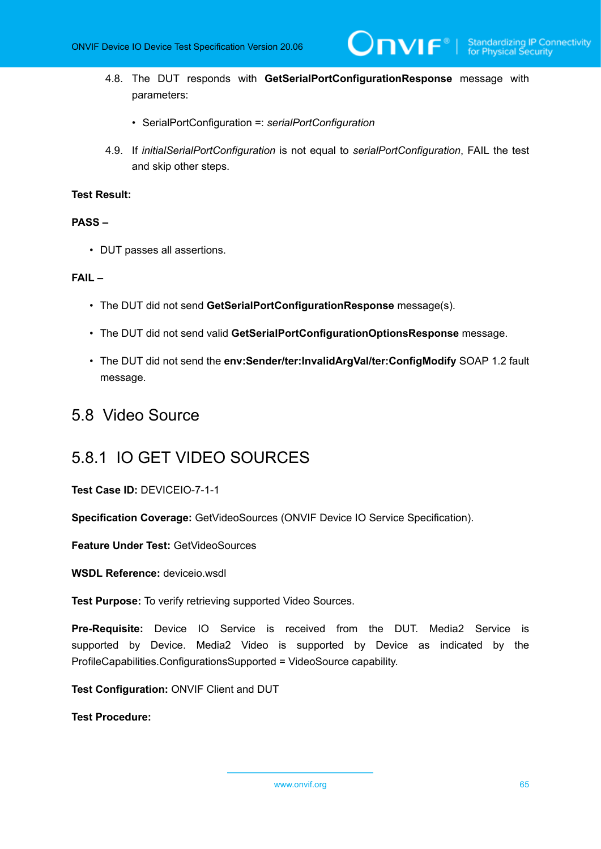- 4.8. The DUT responds with **GetSerialPortConfigurationResponse** message with parameters:
	- SerialPortConfiguration =: *serialPortConfiguration*
- 4.9. If *initialSerialPortConfiguration* is not equal to *serialPortConfiguration*, FAIL the test and skip other steps.

#### **PASS –**

• DUT passes all assertions.

#### **FAIL –**

- The DUT did not send **GetSerialPortConfigurationResponse** message(s).
- The DUT did not send valid **GetSerialPortConfigurationOptionsResponse** message.
- The DUT did not send the **env:Sender/ter:InvalidArgVal/ter:ConfigModify** SOAP 1.2 fault message.

# 5.8 Video Source

# 5.8.1 IO GET VIDEO SOURCES

## **Test Case ID:** DEVICEIO-7-1-1

**Specification Coverage:** GetVideoSources (ONVIF Device IO Service Specification).

**Feature Under Test:** GetVideoSources

**WSDL Reference:** deviceio.wsdl

**Test Purpose:** To verify retrieving supported Video Sources.

**Pre-Requisite:** Device IO Service is received from the DUT. Media2 Service is supported by Device. Media2 Video is supported by Device as indicated by the ProfileCapabilities.ConfigurationsSupported = VideoSource capability.

**Test Configuration:** ONVIF Client and DUT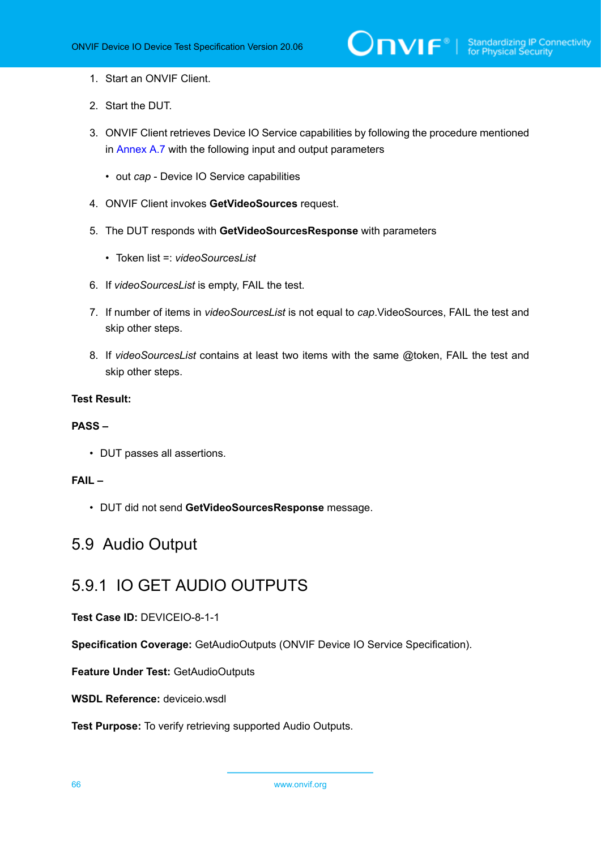- 1. Start an ONVIF Client.
- 2. Start the DUT.
- 3. ONVIF Client retrieves Device IO Service capabilities by following the procedure mentioned in [Annex A.7](#page-72-0) with the following input and output parameters
	- out *cap* Device IO Service capabilities
- 4. ONVIF Client invokes **GetVideoSources** request.
- 5. The DUT responds with **GetVideoSourcesResponse** with parameters
	- Token list =: *videoSourcesList*
- 6. If *videoSourcesList* is empty, FAIL the test.
- 7. If number of items in *videoSourcesList* is not equal to *cap*.VideoSources, FAIL the test and skip other steps.
- 8. If *videoSourcesList* contains at least two items with the same @token, FAIL the test and skip other steps.

## **PASS –**

• DUT passes all assertions.

## **FAIL –**

• DUT did not send **GetVideoSourcesResponse** message.

# 5.9 Audio Output

# 5.9.1 IO GET AUDIO OUTPUTS

### **Test Case ID:** DEVICEIO-8-1-1

**Specification Coverage:** GetAudioOutputs (ONVIF Device IO Service Specification).

**Feature Under Test:** GetAudioOutputs

**WSDL Reference:** deviceio.wsdl

**Test Purpose:** To verify retrieving supported Audio Outputs.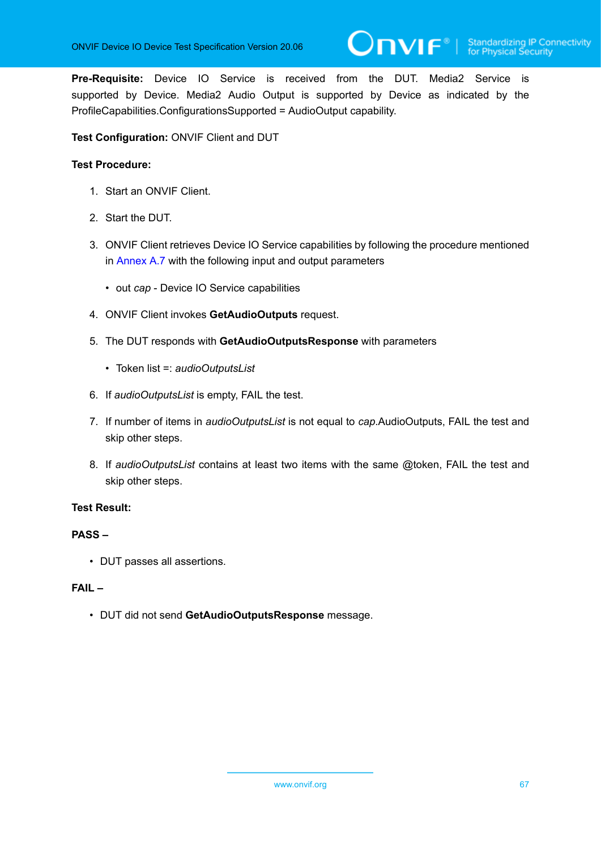**Pre-Requisite:** Device IO Service is received from the DUT. Media2 Service is supported by Device. Media2 Audio Output is supported by Device as indicated by the ProfileCapabilities.ConfigurationsSupported = AudioOutput capability.

## **Test Configuration:** ONVIF Client and DUT

## **Test Procedure:**

- 1. Start an ONVIF Client.
- 2. Start the DUT.
- 3. ONVIF Client retrieves Device IO Service capabilities by following the procedure mentioned in [Annex A.7](#page-72-0) with the following input and output parameters
	- out *cap* Device IO Service capabilities
- 4. ONVIF Client invokes **GetAudioOutputs** request.
- 5. The DUT responds with **GetAudioOutputsResponse** with parameters
	- Token list =: *audioOutputsList*
- 6. If *audioOutputsList* is empty, FAIL the test.
- 7. If number of items in *audioOutputsList* is not equal to *cap*.AudioOutputs, FAIL the test and skip other steps.
- 8. If *audioOutputsList* contains at least two items with the same @token, FAIL the test and skip other steps.

## **Test Result:**

#### **PASS –**

• DUT passes all assertions.

#### **FAIL –**

• DUT did not send **GetAudioOutputsResponse** message.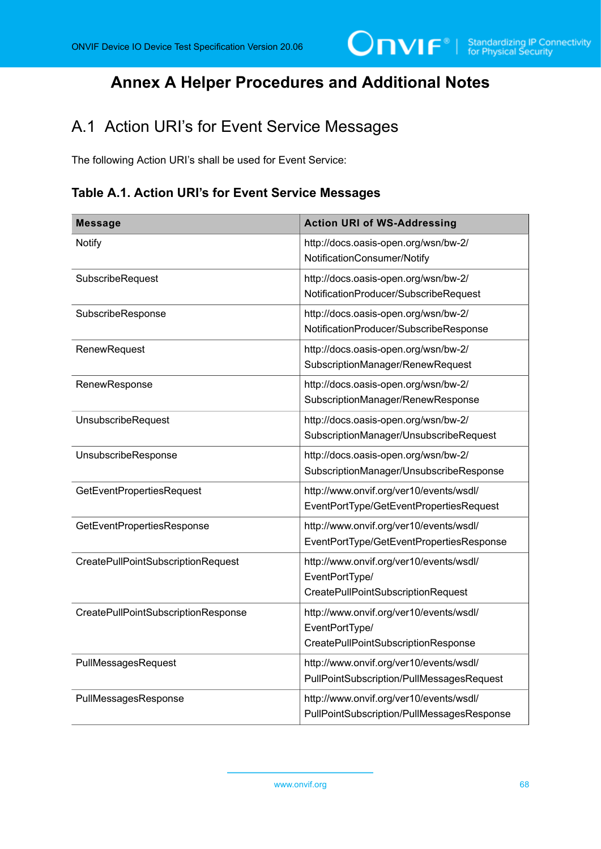# **Annex A Helper Procedures and Additional Notes**

# A.1 Action URI's for Event Service Messages

The following Action URI's shall be used for Event Service:

# **Table A.1. Action URI's for Event Service Messages**

| <b>Message</b>                      | <b>Action URI of WS-Addressing</b>                                                               |
|-------------------------------------|--------------------------------------------------------------------------------------------------|
| <b>Notify</b>                       | http://docs.oasis-open.org/wsn/bw-2/<br>NotificationConsumer/Notify                              |
| SubscribeRequest                    | http://docs.oasis-open.org/wsn/bw-2/<br>NotificationProducer/SubscribeRequest                    |
| SubscribeResponse                   | http://docs.oasis-open.org/wsn/bw-2/<br>NotificationProducer/SubscribeResponse                   |
| RenewRequest                        | http://docs.oasis-open.org/wsn/bw-2/<br>SubscriptionManager/RenewRequest                         |
| RenewResponse                       | http://docs.oasis-open.org/wsn/bw-2/<br>SubscriptionManager/RenewResponse                        |
| UnsubscribeRequest                  | http://docs.oasis-open.org/wsn/bw-2/<br>SubscriptionManager/UnsubscribeRequest                   |
| UnsubscribeResponse                 | http://docs.oasis-open.org/wsn/bw-2/<br>SubscriptionManager/UnsubscribeResponse                  |
| <b>GetEventPropertiesRequest</b>    | http://www.onvif.org/ver10/events/wsdl/<br>EventPortType/GetEventPropertiesRequest               |
| GetEventPropertiesResponse          | http://www.onvif.org/ver10/events/wsdl/<br>EventPortType/GetEventPropertiesResponse              |
| CreatePullPointSubscriptionRequest  | http://www.onvif.org/ver10/events/wsdl/<br>EventPortType/<br>CreatePullPointSubscriptionRequest  |
| CreatePullPointSubscriptionResponse | http://www.onvif.org/ver10/events/wsdl/<br>EventPortType/<br>CreatePullPointSubscriptionResponse |
| PullMessagesRequest                 | http://www.onvif.org/ver10/events/wsdl/<br>PullPointSubscription/PullMessagesRequest             |
| PullMessagesResponse                | http://www.onvif.org/ver10/events/wsdl/<br>PullPointSubscription/PullMessagesResponse            |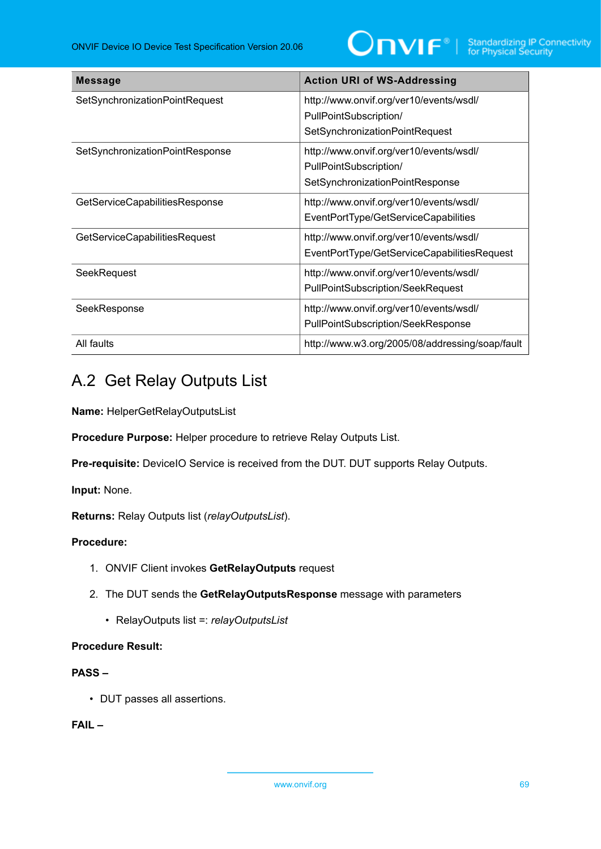

| <b>Message</b>                  | <b>Action URI of WS-Addressing</b>                                                                   |
|---------------------------------|------------------------------------------------------------------------------------------------------|
| SetSynchronizationPointRequest  | http://www.onvif.org/ver10/events/wsdl/<br>PullPointSubscription/<br>SetSynchronizationPointRequest  |
| SetSynchronizationPointResponse | http://www.onvif.org/ver10/events/wsdl/<br>PullPointSubscription/<br>SetSynchronizationPointResponse |
| GetServiceCapabilitiesResponse  | http://www.onvif.org/ver10/events/wsdl/<br>EventPortType/GetServiceCapabilities                      |
| GetServiceCapabilitiesRequest   | http://www.onvif.org/ver10/events/wsdl/<br>EventPortType/GetServiceCapabilitiesRequest               |
| SeekRequest                     | http://www.onvif.org/ver10/events/wsdl/<br>PullPointSubscription/SeekRequest                         |
| SeekResponse                    | http://www.onvif.org/ver10/events/wsdl/<br>PullPointSubscription/SeekResponse                        |
| All faults                      | http://www.w3.org/2005/08/addressing/soap/fault                                                      |

# A.2 Get Relay Outputs List

**Name:** HelperGetRelayOutputsList

**Procedure Purpose:** Helper procedure to retrieve Relay Outputs List.

**Pre-requisite:** DeviceIO Service is received from the DUT. DUT supports Relay Outputs.

**Input:** None.

**Returns:** Relay Outputs list (*relayOutputsList*).

## **Procedure:**

- 1. ONVIF Client invokes **GetRelayOutputs** request
- 2. The DUT sends the **GetRelayOutputsResponse** message with parameters
	- RelayOutputs list =: *relayOutputsList*

# **Procedure Result:**

## **PASS –**

• DUT passes all assertions.

**FAIL –**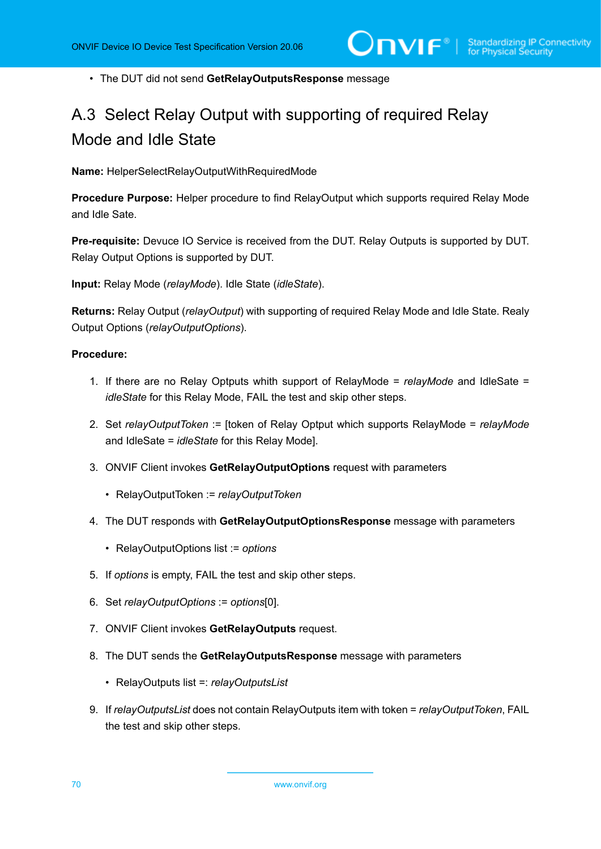• The DUT did not send **GetRelayOutputsResponse** message

# A.3 Select Relay Output with supporting of required Relay Mode and Idle State

**Name:** HelperSelectRelayOutputWithRequiredMode

**Procedure Purpose:** Helper procedure to find RelayOutput which supports required Relay Mode and Idle Sate.

**Pre-requisite:** Devuce IO Service is received from the DUT. Relay Outputs is supported by DUT. Relay Output Options is supported by DUT.

**Input:** Relay Mode (*relayMode*). Idle State (*idleState*).

**Returns:** Relay Output (*relayOutput*) with supporting of required Relay Mode and Idle State. Realy Output Options (*relayOutputOptions*).

## **Procedure:**

- <span id="page-69-0"></span>1. If there are no Relay Optputs whith support of RelayMode = *relayMode* and IdleSate = *idleState* for this Relay Mode, FAIL the test and skip other steps.
- <span id="page-69-1"></span>2. Set *relayOutputToken* := [token of Relay Optput which supports RelayMode = *relayMode* and IdleSate = *idleState* for this Relay Mode].
- 3. ONVIF Client invokes **GetRelayOutputOptions** request with parameters
	- RelayOutputToken := *relayOutputToken*
- 4. The DUT responds with **GetRelayOutputOptionsResponse** message with parameters
	- RelayOutputOptions list := *options*
- 5. If *options* is empty, FAIL the test and skip other steps.
- 6. Set *relayOutputOptions* := *options*[0].
- 7. ONVIF Client invokes **GetRelayOutputs** request.
- 8. The DUT sends the **GetRelayOutputsResponse** message with parameters
	- RelayOutputs list =: *relayOutputsList*
- 9. If *relayOutputsList* does not contain RelayOutputs item with token = *relayOutputToken*, FAIL the test and skip other steps.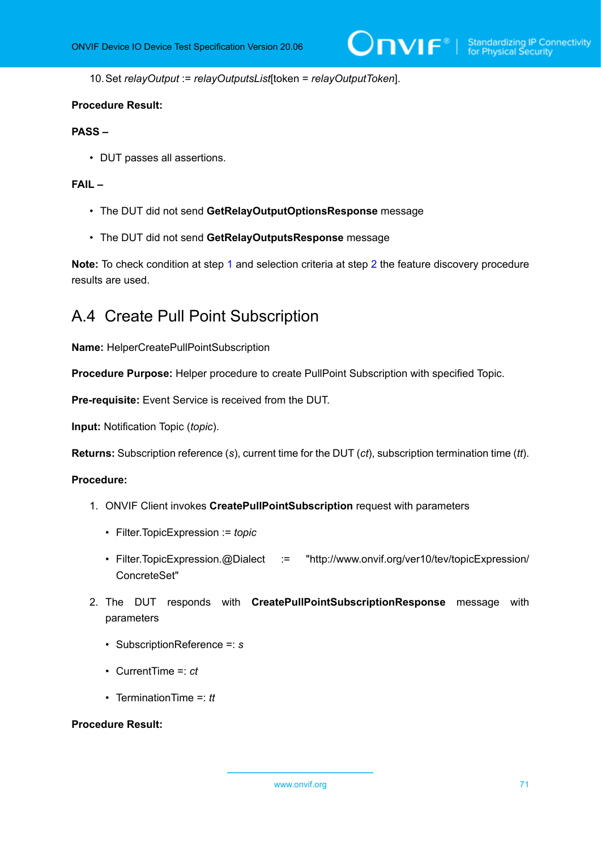10.Set *relayOutput* := *relayOutputsList*[token = *relayOutputToken*].

#### **Procedure Result:**

## **PASS –**

• DUT passes all assertions.

## **FAIL –**

- The DUT did not send **GetRelayOutputOptionsResponse** message
- The DUT did not send **GetRelayOutputsResponse** message

**Note:** To check condition at step [1](#page-69-0) and selection criteria at step [2](#page-69-1) the feature discovery procedure results are used.

# <span id="page-70-0"></span>A.4 Create Pull Point Subscription

**Name:** HelperCreatePullPointSubscription

**Procedure Purpose:** Helper procedure to create PullPoint Subscription with specified Topic.

**Pre-requisite:** Event Service is received from the DUT.

**Input:** Notification Topic (*topic*).

**Returns:** Subscription reference (*s*), current time for the DUT (*ct*), subscription termination time (*tt*).

#### **Procedure:**

- 1. ONVIF Client invokes **CreatePullPointSubscription** request with parameters
	- Filter.TopicExpression := *topic*
	- Filter.TopicExpression.@Dialect := "http://www.onvif.org/ver10/tev/topicExpression/ ConcreteSet"
- 2. The DUT responds with **CreatePullPointSubscriptionResponse** message with parameters
	- SubscriptionReference =: *s*
	- CurrentTime =: *ct*
	- TerminationTime =: *tt*

#### **Procedure Result:**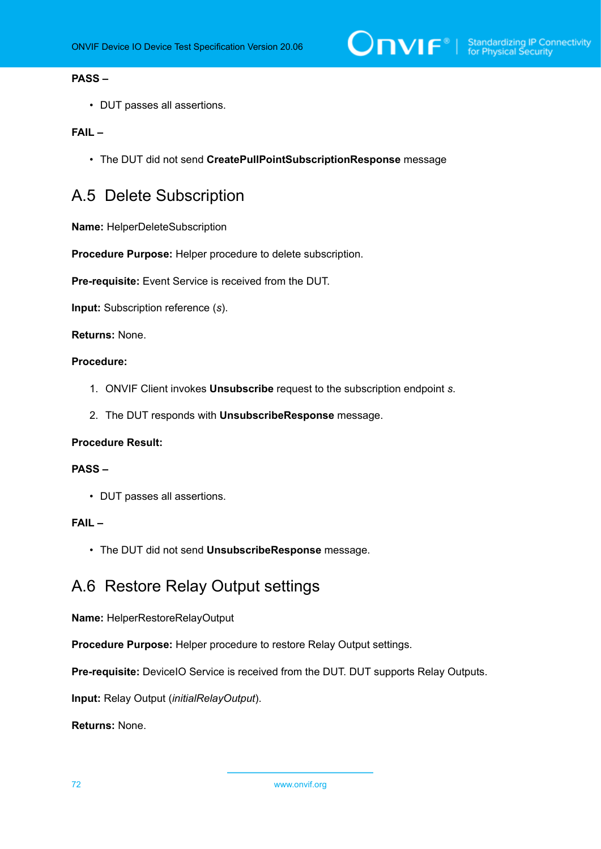

## **PASS –**

• DUT passes all assertions.

#### **FAIL –**

• The DUT did not send **CreatePullPointSubscriptionResponse** message

# <span id="page-71-1"></span>A.5 Delete Subscription

**Name:** HelperDeleteSubscription

**Procedure Purpose:** Helper procedure to delete subscription.

**Pre-requisite:** Event Service is received from the DUT.

**Input:** Subscription reference (*s*).

**Returns:** None.

# **Procedure:**

- 1. ONVIF Client invokes **Unsubscribe** request to the subscription endpoint *s*.
- 2. The DUT responds with **UnsubscribeResponse** message.

#### **Procedure Result:**

## **PASS –**

• DUT passes all assertions.

### **FAIL –**

• The DUT did not send **UnsubscribeResponse** message.

# <span id="page-71-0"></span>A.6 Restore Relay Output settings

**Name:** HelperRestoreRelayOutput

**Procedure Purpose:** Helper procedure to restore Relay Output settings.

**Pre-requisite:** DeviceIO Service is received from the DUT. DUT supports Relay Outputs.

**Input:** Relay Output (*initialRelayOutput*).

**Returns:** None.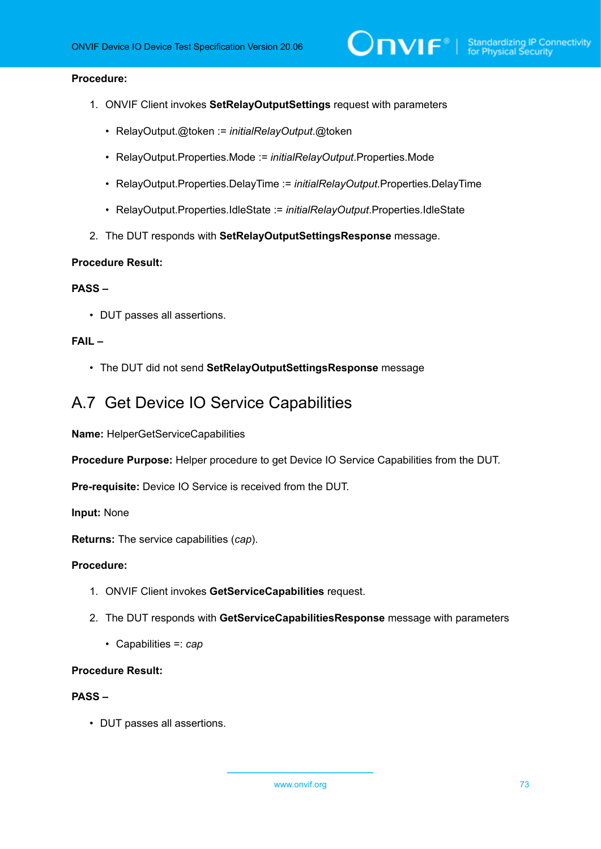#### **Procedure:**

- 1. ONVIF Client invokes **SetRelayOutputSettings** request with parameters
	- RelayOutput.@token := *initialRelayOutput*.@token
	- RelayOutput.Properties.Mode := *initialRelayOutput*.Properties.Mode
	- RelayOutput.Properties.DelayTime := *initialRelayOutput*.Properties.DelayTime
	- RelayOutput.Properties.IdleState := *initialRelayOutput*.Properties.IdleState
- 2. The DUT responds with **SetRelayOutputSettingsResponse** message.

#### **Procedure Result:**

## **PASS –**

• DUT passes all assertions.

## **FAIL –**

• The DUT did not send **SetRelayOutputSettingsResponse** message

# A.7 Get Device IO Service Capabilities

**Name:** HelperGetServiceCapabilities

**Procedure Purpose:** Helper procedure to get Device IO Service Capabilities from the DUT.

**Pre-requisite:** Device IO Service is received from the DUT.

**Input:** None

**Returns:** The service capabilities (*cap*).

#### **Procedure:**

- 1. ONVIF Client invokes **GetServiceCapabilities** request.
- 2. The DUT responds with **GetServiceCapabilitiesResponse** message with parameters
	- Capabilities =: *cap*

## **Procedure Result:**

#### **PASS –**

• DUT passes all assertions.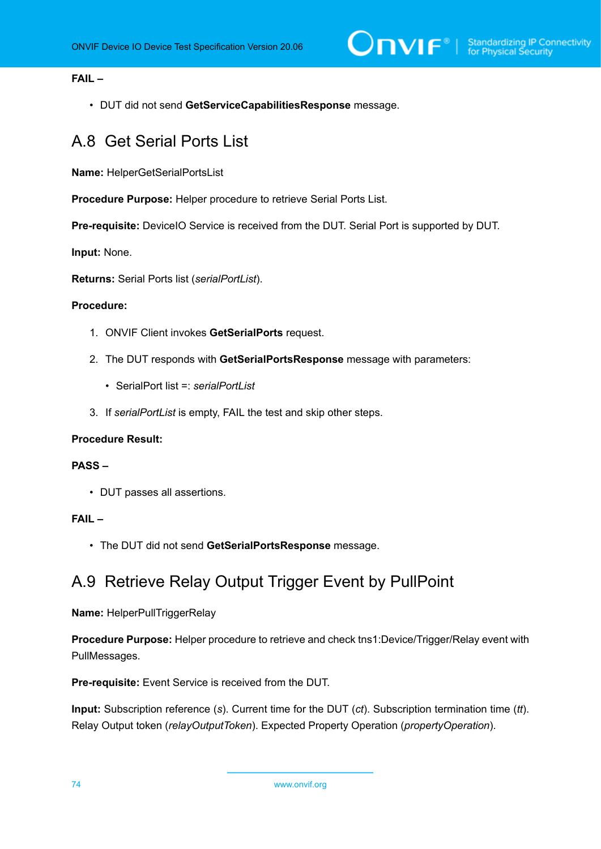# **FAIL –**

• DUT did not send **GetServiceCapabilitiesResponse** message.

# A.8 Get Serial Ports List

**Name:** HelperGetSerialPortsList

**Procedure Purpose:** Helper procedure to retrieve Serial Ports List.

**Pre-requisite:** DeviceIO Service is received from the DUT. Serial Port is supported by DUT.

**Input:** None.

**Returns:** Serial Ports list (*serialPortList*).

#### **Procedure:**

- 1. ONVIF Client invokes **GetSerialPorts** request.
- 2. The DUT responds with **GetSerialPortsResponse** message with parameters:
	- SerialPort list =: *serialPortList*
- 3. If *serialPortList* is empty, FAIL the test and skip other steps.

## **Procedure Result:**

#### **PASS –**

• DUT passes all assertions.

# **FAIL –**

• The DUT did not send **GetSerialPortsResponse** message.

# <span id="page-73-0"></span>A.9 Retrieve Relay Output Trigger Event by PullPoint

## **Name:** HelperPullTriggerRelay

**Procedure Purpose:** Helper procedure to retrieve and check tns1:Device/Trigger/Relay event with PullMessages.

**Pre-requisite:** Event Service is received from the DUT.

**Input:** Subscription reference (*s*). Current time for the DUT (*ct*). Subscription termination time (*tt*). Relay Output token (*relayOutputToken*). Expected Property Operation (*propertyOperation*).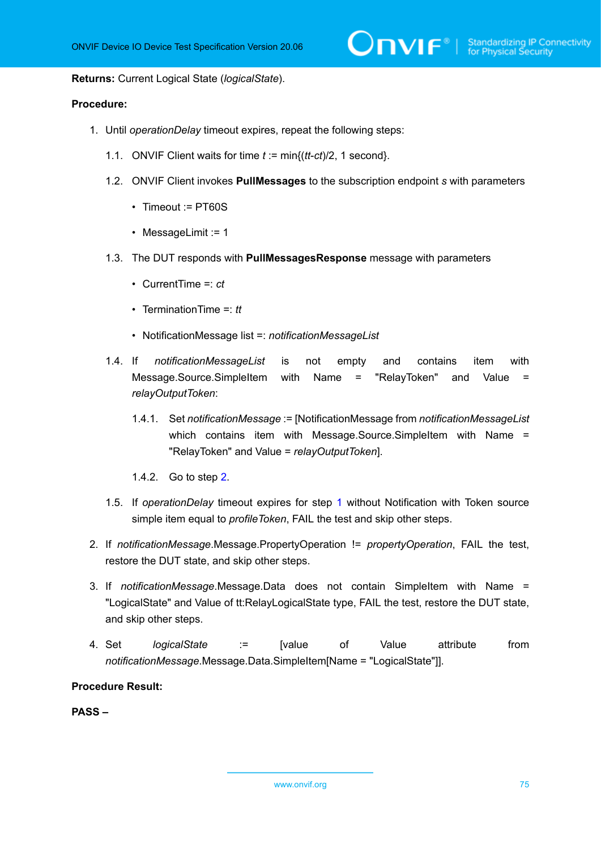$\sum_{\text{ref}}$   $\sum_{\text{ref}}$   $\sum_{\text{ref}}$  Standardizing IP Connectivity

**Returns:** Current Logical State (*logicalState*).

#### **Procedure:**

- <span id="page-74-1"></span>1. Until *operationDelay* timeout expires, repeat the following steps:
	- 1.1. ONVIF Client waits for time *t* := min{(*tt*-*ct*)/2, 1 second}.
	- 1.2. ONVIF Client invokes **PullMessages** to the subscription endpoint *s* with parameters
		- Timeout := PT60S
		- MessageLimit := 1
	- 1.3. The DUT responds with **PullMessagesResponse** message with parameters
		- CurrentTime =: *ct*
		- TerminationTime =: *tt*
		- NotificationMessage list =: *notificationMessageList*
	- 1.4. If *notificationMessageList* is not empty and contains item with Message.Source.SimpleItem with Name = "RelayToken" and Value = *relayOutputToken*:
		- 1.4.1. Set *notificationMessage* := [NotificationMessage from *notificationMessageList* which contains item with Message.Source.SimpleItem with Name = "RelayToken" and Value = *relayOutputToken*].
		- 1.4.2. Go to step [2.](#page-74-0)
	- 1.5. If *operationDelay* timeout expires for step [1](#page-74-1) without Notification with Token source simple item equal to *profileToken*, FAIL the test and skip other steps.
- <span id="page-74-0"></span>2. If *notificationMessage*.Message.PropertyOperation != *propertyOperation*, FAIL the test, restore the DUT state, and skip other steps.
- 3. If *notificationMessage*.Message.Data does not contain SimpleItem with Name = "LogicalState" and Value of tt:RelayLogicalState type, FAIL the test, restore the DUT state, and skip other steps.
- 4. Set *logicalState* := [value of Value attribute from *notificationMessage*.Message.Data.SimpleItem[Name = "LogicalState"]].

**Procedure Result:**

**PASS –**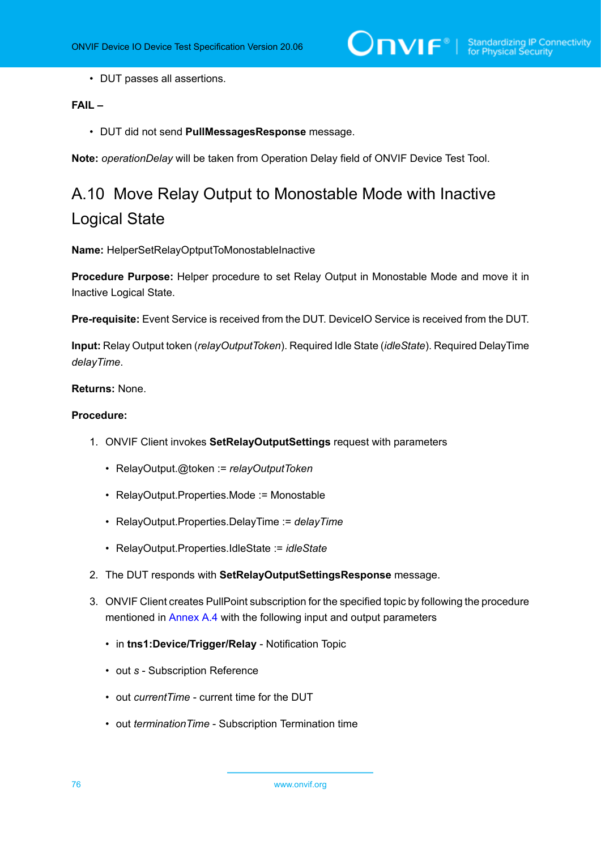• DUT passes all assertions.

# **FAIL –**

• DUT did not send **PullMessagesResponse** message.

**Note:** *operationDelay* will be taken from Operation Delay field of ONVIF Device Test Tool.

# A.10 Move Relay Output to Monostable Mode with Inactive Logical State

**Name:** HelperSetRelayOptputToMonostableInactive

**Procedure Purpose:** Helper procedure to set Relay Output in Monostable Mode and move it in Inactive Logical State.

**Pre-requisite:** Event Service is received from the DUT. DeviceIO Service is received from the DUT.

**Input:** Relay Output token (*relayOutputToken*). Required Idle State (*idleState*). Required DelayTime *delayTime*.

#### **Returns:** None.

# **Procedure:**

- 1. ONVIF Client invokes **SetRelayOutputSettings** request with parameters
	- RelayOutput.@token := *relayOutputToken*
	- RelayOutput.Properties.Mode := Monostable
	- RelayOutput.Properties.DelayTime := *delayTime*
	- RelayOutput.Properties.IdleState := *idleState*
- 2. The DUT responds with **SetRelayOutputSettingsResponse** message.
- 3. ONVIF Client creates PullPoint subscription for the specified topic by following the procedure mentioned in [Annex A.4](#page-70-0) with the following input and output parameters
	- in **tns1:Device/Trigger/Relay** Notification Topic
	- out *s* Subscription Reference
	- out *currentTime* current time for the DUT
	- out *terminationTime* Subscription Termination time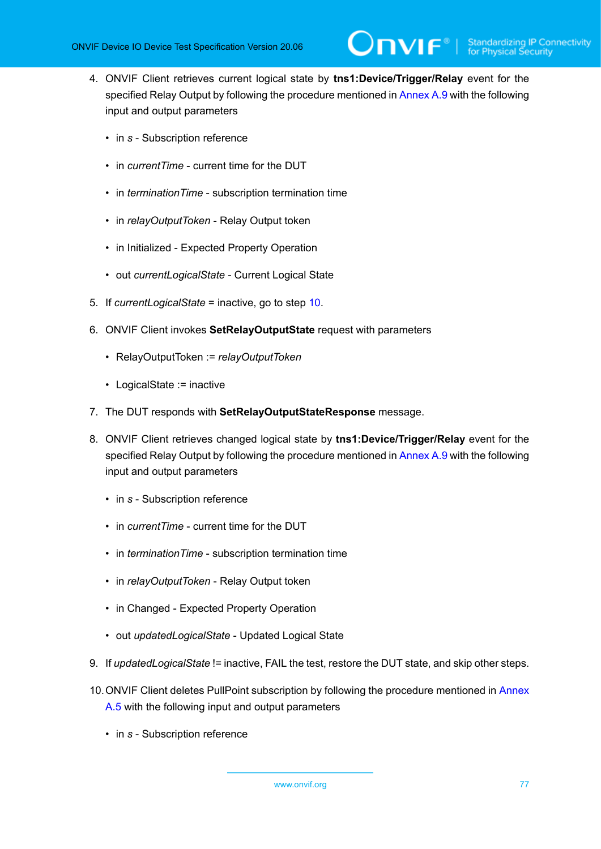- 4. ONVIF Client retrieves current logical state by **tns1:Device/Trigger/Relay** event for the specified Relay Output by following the procedure mentioned in [Annex A.9](#page-73-0) with the following input and output parameters
	- in *s* Subscription reference
	- in *currentTime* current time for the DUT
	- in *terminationTime* subscription termination time
	- in *relayOutputToken* Relay Output token
	- in Initialized Expected Property Operation
	- out *currentLogicalState* Current Logical State
- 5. If *currentLogicalState* = inactive, go to step [10.](#page-76-0)
- 6. ONVIF Client invokes **SetRelayOutputState** request with parameters
	- RelayOutputToken := *relayOutputToken*
	- LogicalState := inactive
- 7. The DUT responds with **SetRelayOutputStateResponse** message.
- 8. ONVIF Client retrieves changed logical state by **tns1:Device/Trigger/Relay** event for the specified Relay Output by following the procedure mentioned in [Annex A.9](#page-73-0) with the following input and output parameters
	- in *s* Subscription reference
	- in *currentTime* current time for the DUT
	- in *terminationTime* subscription termination time
	- in *relayOutputToken* Relay Output token
	- in Changed Expected Property Operation
	- out *updatedLogicalState* Updated Logical State
- 9. If *updatedLogicalState* != inactive, FAIL the test, restore the DUT state, and skip other steps.
- <span id="page-76-0"></span>10.ONVIF Client deletes PullPoint subscription by following the procedure mentioned in [Annex](#page-71-0) [A.5](#page-71-0) with the following input and output parameters
	- in *s* Subscription reference